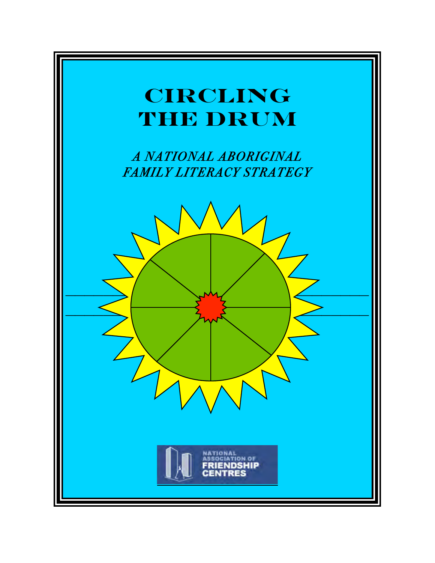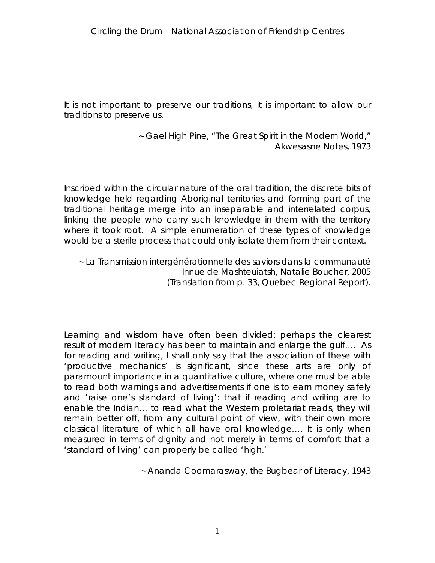*It is not important to preserve our traditions, it is important to allow our traditions to preserve us.* 

> ~ Gael High Pine, "The Great Spirit in the Modern World," Akwesasne Notes, 1973

*Inscribed within the circular nature of the oral tradition, the discrete bits of knowledge held regarding Aboriginal territories and forming part of the traditional heritage merge into an inseparable and interrelated corpus,*  linking the people who carry such knowledge in them with the territory *where it took root. A simple enumeration of these types of knowledge would be a sterile process that could only isolate them from their context.*

~ La Transmission intergénérationnelle des saviors dans la communauté Innue de Mashteuiatsh, Natalie Boucher, 2005 (Translation from p. 33, Quebec Regional Report).

Learning and wisdom have often been divided; perhaps the clearest *result of modern literacy has been to maintain and enlarge the gulf…. As for reading and writing, I shall only say that the association of these with 'productive mechanics' is significant, since these arts are only of paramount importance in a quantitative culture, where one must be able to read both warnings and advertisements if one is to earn money safely and 'raise one's standard of living': that if reading and writing are to*  enable the Indian... to read what the Western proletariat reads, they will *remain better off, from any cultural point of view, with their own more classical literature of which all have oral knowledge…. It is only when*  measured in terms of dignity and not merely in terms of comfort that a *'standard of living' can properly be called 'high.'*

~ Ananda Coomarasway, the Bugbear of Literacy, 1943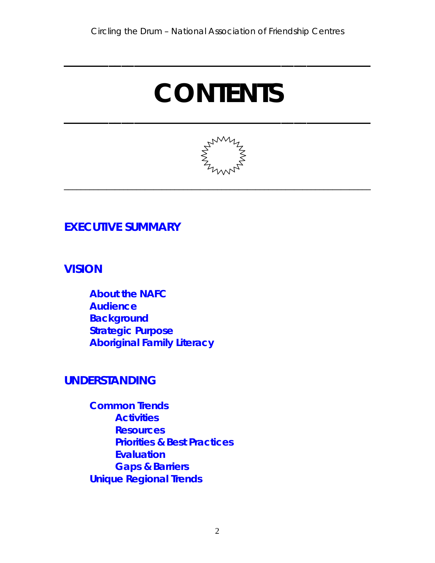**\_\_\_\_\_\_\_\_\_\_\_\_\_\_\_\_\_\_\_\_\_\_\_\_\_\_\_\_\_\_\_\_\_\_\_\_\_\_\_\_\_\_\_\_\_\_\_\_**

# **CONTENTS**

**\_\_\_\_\_\_\_\_\_\_\_\_\_\_\_\_\_\_\_\_\_\_\_\_\_\_\_\_\_\_\_\_\_\_\_\_\_\_\_\_\_\_\_\_\_\_\_\_**



\_\_\_\_\_\_\_\_\_\_\_\_\_\_\_\_\_\_\_\_\_\_\_\_\_\_\_\_\_\_\_\_\_\_\_\_\_\_\_\_\_\_\_\_\_\_\_\_\_\_\_\_\_\_\_\_\_\_\_\_\_\_\_\_\_\_\_\_\_\_\_\_

## **[EXECUTIVE SUMMARY](#page-4-0)**

**[VISION](#page-12-0)**

**[About the NAFC](#page-13-0) [Audience](#page-14-0) [Background](#page-14-0) [Strategic Purpose](#page-15-0) [Aboriginal Family Literacy](#page-17-0)**

## **[UNDERSTANDING](#page-21-0)**

**[Common Trends](#page-22-0) [Activities](#page-22-0) [Resources](#page-30-0) [Priorities & Best Practices](#page-37-0) [Evaluation](#page-69-0) [Gaps & Barriers](#page-61-0) [Unique Regional Trends](#page-73-0)**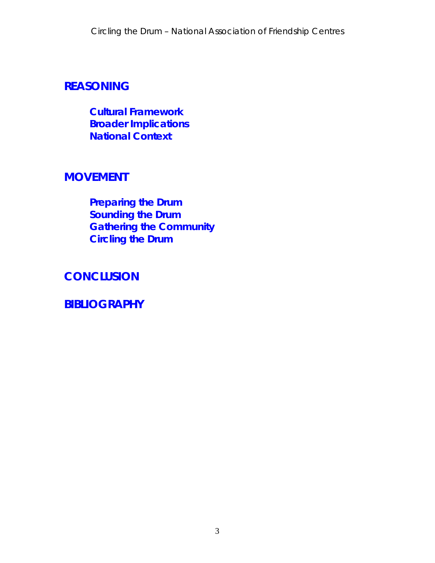## **[REASONING](#page-78-0)**

**[Cultural Framework](#page-79-0) [Broader Implications](#page-88-0) [National Context](#page-94-0)**

### **[MOVEMENT](#page-104-0)**

**[Preparing the Drum](#page-106-0) [Sounding the Drum](#page-108-0) [Gathering the Community](#page-110-0) [Circling the Drum](#page-115-0)**

**[CONCLUSION](#page-125-0)**

**[BIBLIOGRAPHY](#page-133-0)**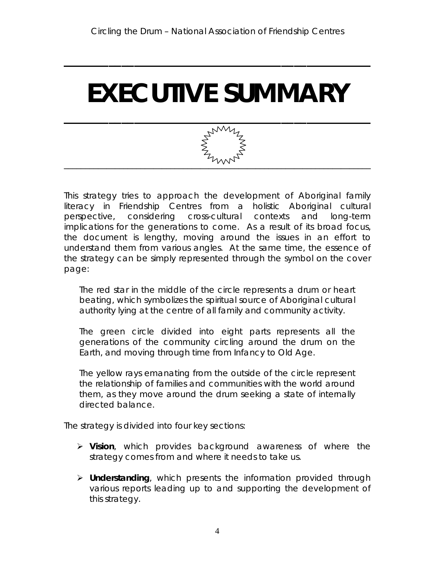<span id="page-4-0"></span>**\_\_\_\_\_\_\_\_\_\_\_\_\_\_\_\_\_\_\_\_\_\_\_\_\_\_\_\_\_\_\_\_\_\_\_\_\_\_\_\_\_\_\_\_\_\_\_\_**

# **EXECUTIVE SUMMARY**



This strategy tries to approach the development of Aboriginal family literacy in Friendship Centres from a holistic Aboriginal cultural perspective, considering cross-cultural contexts and long-term implications for the generations to come. As a result of its broad focus, the document is lengthy, moving around the issues in an effort to understand them from various angles. At the same time, the essence of the strategy can be simply represented through the symbol on the cover page:

The red star in the middle of the circle represents a drum or heart beating, which symbolizes the spiritual source of Aboriginal cultural authority lying at the centre of all family and community activity.

The green circle divided into eight parts represents all the generations of the community circling around the drum on the Earth, and moving through time from Infancy to Old Age.

The yellow rays emanating from the outside of the circle represent the relationship of families and communities with the world around them, as they move around the drum seeking a state of internally directed balance.

The strategy is divided into four key sections:

- **Vision**, which provides background awareness of where the strategy comes from and where it needs to take us.
- **Understanding**, which presents the information provided through various reports leading up to and supporting the development of this strategy.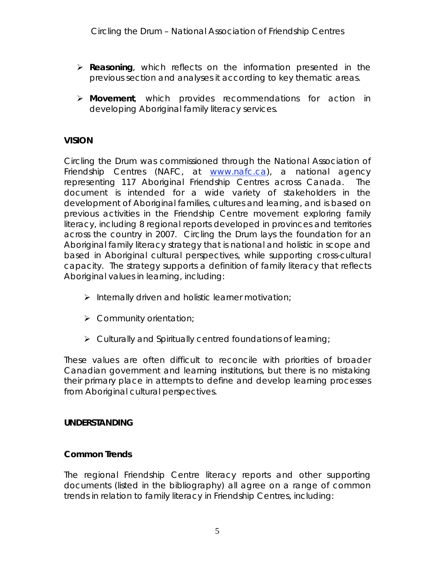- **Reasoning**, which reflects on the information presented in the previous section and analyses it according to key thematic areas.
- **Movement**, which provides recommendations for action in developing Aboriginal family literacy services.

### **VISION**

*Circling the Drum* was commissioned through the National Association of Friendship Centres (NAFC, at www.nafc.ca), a national agency representing 117 Aboriginal Friendship Centres across Canada. The document is intended for a wide variety of stakeholders in the development of Aboriginal families, cultures and learning, and is based on previous activities in the Friendship Centre movement exploring family literacy, including 8 regional reports developed in provinces and territories across the country in 2007. *Circling the Drum* lays the foundation for an Aboriginal family literacy strategy that is national and holistic in scope and based in Aboriginal cultural perspectives, while supporting cross-cultural capacity. The strategy supports a definition of family literacy that reflects Aboriginal values in learning, including:

- $\triangleright$  Internally driven and holistic learner motivation;
- $\triangleright$  Community orientation;
- $\triangleright$  Culturally and Spiritually centred foundations of learning;

These values are often difficult to reconcile with priorities of broader Canadian government and learning institutions, but there is no mistaking their primary place in attempts to define and develop learning processes from Aboriginal cultural perspectives.

### **UNDERSTANDING**

### **Common Trends**

The regional Friendship Centre literacy reports and other supporting documents (listed in the bibliography) all agree on a range of common trends in relation to family literacy in Friendship Centres, including: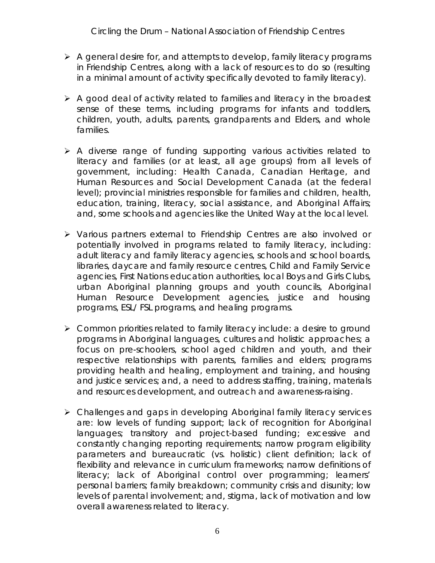- $\triangleright$  A general desire for, and attempts to develop, family literacy programs in Friendship Centres, along with a lack of resources to do so (resulting in a minimal amount of activity specifically devoted to family literacy).
- A good deal of activity related to *families* and *literacy* in the broadest sense of these terms, including programs for infants and toddlers, children, youth, adults, parents, grandparents and Elders, and whole families.
- $\triangleright$  A diverse range of funding supporting various activities related to literacy and families (or at least, all age groups) from all levels of government, including: Health Canada, Canadian Heritage, and Human Resources and Social Development Canada (at the federal level); provincial ministries responsible for families and children, health, education, training, literacy, social assistance, and Aboriginal Affairs; and, some schools and agencies like the United Way at the local level.
- Various partners *external* to Friendship Centres are also involved or potentially involved in programs related to family literacy, including: adult literacy and family literacy agencies, schools and school boards, libraries, daycare and family resource centres, Child and Family Service agencies, First Nations education authorities, local Boys and Girls Clubs, urban Aboriginal planning groups and youth councils, Aboriginal Human Resource Development agencies, justice and housing programs, ESL/ FSL programs, and healing programs.
- Common priorities related to family literacy include: a desire to ground programs in Aboriginal languages, cultures and holistic approaches; a focus on pre-schoolers, school aged children and youth, and their respective relationships with parents, families and elders; programs providing health and healing, employment and training, and housing and justice services; and, a need to address staffing, training, materials and resources development, and outreach and awareness-raising.
- Challenges and gaps in developing Aboriginal family literacy services are: low levels of funding support; lack of recognition for Aboriginal languages; transitory and project-based funding; excessive and constantly changing reporting requirements; narrow program eligibility parameters and bureaucratic (vs. holistic) client definition; lack of flexibility and relevance in curriculum frameworks; narrow definitions of literacy; lack of Aboriginal control over programming; learners' personal barriers; family breakdown; community crisis and disunity; low levels of parental involvement; and, stigma, lack of motivation and low overall awareness related to literacy.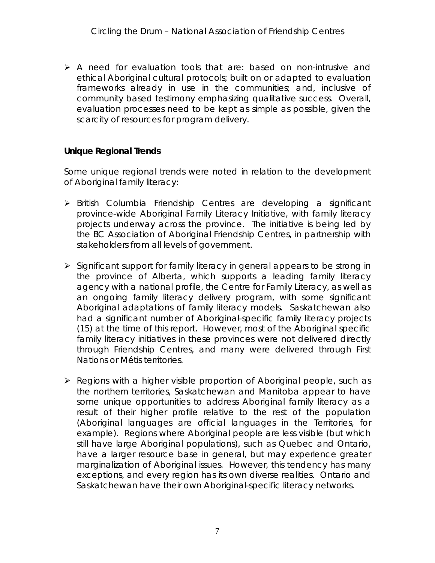A need for evaluation tools that are: based on non-intrusive and ethical Aboriginal cultural protocols; built on or adapted to evaluation frameworks already in use in the communities; and, inclusive of community based testimony emphasizing qualitative success. Overall, evaluation processes need to be kept as simple as possible, given the scarcity of resources for program delivery.

### **Unique Regional Trends**

Some unique regional trends were noted in relation to the development of Aboriginal family literacy:

- British Columbia Friendship Centres are developing a significant province-wide Aboriginal Family Literacy Initiative, with family literacy projects underway across the province. The initiative is being led by the BC Association of Aboriginal Friendship Centres, in partnership with stakeholders from all levels of government.
- $\triangleright$  Significant support for family literacy in general appears to be strong in the province of Alberta, which supports a leading family literacy agency with a national profile, the Centre for Family Literacy, as well as an ongoing family literacy delivery program, with some significant Aboriginal adaptations of family literacy models. Saskatchewan also had a significant number of Aboriginal-specific family literacy projects (15) at the time of this report. However, most of the Aboriginal specific family literacy initiatives in these provinces were not delivered directly through Friendship Centres, and many were delivered through First Nations or Métis territories.
- $\triangleright$  Regions with a higher visible proportion of Aboriginal people, such as the northern territories, Saskatchewan and Manitoba appear to have some unique opportunities to address Aboriginal family literacy as a result of their higher profile relative to the rest of the population (Aboriginal languages are official languages in the Territories, for example). Regions where Aboriginal people are less visible (but which still have large Aboriginal populations), such as Quebec and Ontario, have a larger resource base in general, but may experience greater marginalization of Aboriginal issues. However, this tendency has many exceptions, and every region has its own diverse realities. Ontario and Saskatchewan have their own Aboriginal-specific literacy networks.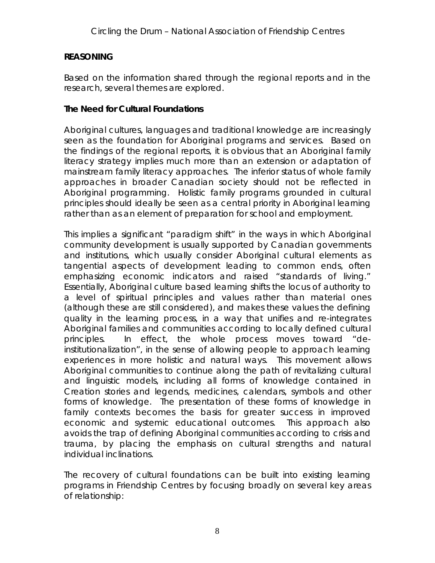### **REASONING**

Based on the information shared through the regional reports and in the research, several themes are explored.

### **The Need for Cultural Foundations**

Aboriginal cultures, languages and traditional knowledge are increasingly seen as the foundation for Aboriginal programs and services. Based on the findings of the regional reports, it is obvious that an Aboriginal family literacy strategy implies much more than an extension or adaptation of mainstream family literacy approaches. The inferior status of whole family approaches in broader Canadian society should not be reflected in Aboriginal programming. Holistic family programs grounded in cultural principles should ideally be seen as a central priority in Aboriginal learning rather than as an element of preparation for school and employment.

This implies a significant "paradigm shift" in the ways in which Aboriginal community development is usually supported by Canadian governments and institutions, which usually consider Aboriginal cultural elements as tangential aspects of development leading to common ends, often emphasizing economic indicators and raised "standards of living." Essentially, Aboriginal culture based learning shifts the locus of authority to a level of spiritual principles and values rather than material ones (although these are still considered), and makes these values the defining quality in the learning process, in a way that unifies and re-integrates Aboriginal families and communities according to locally defined cultural principles. In effect, the whole process moves toward "deinstitutionalization", in the sense of allowing people to approach learning experiences in more holistic and natural ways. This movement allows Aboriginal communities to continue along the path of revitalizing cultural and linguistic models, including all forms of knowledge contained in Creation stories and legends, medicines, calendars, symbols and other forms of knowledge. The presentation of these forms of knowledge in family contexts becomes the basis for greater success in improved economic and systemic educational outcomes. This approach also avoids the trap of defining Aboriginal communities according to crisis and trauma, by placing the emphasis on cultural strengths and natural individual inclinations.

The recovery of cultural foundations can be built into existing learning programs in Friendship Centres by focusing broadly on several key areas of relationship: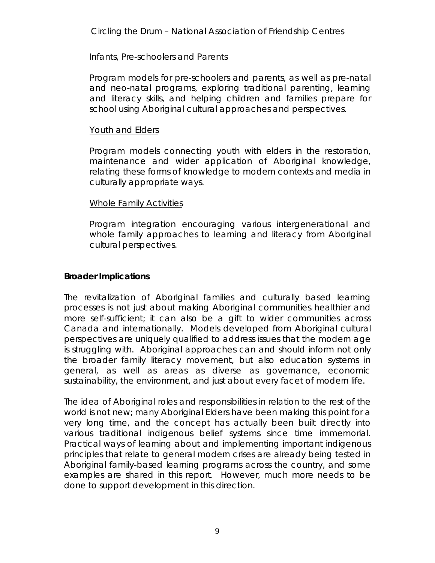### Infants, Pre-schoolers and Parents

Program models for pre-schoolers and parents, as well as pre-natal and neo-natal programs, exploring traditional parenting, learning and literacy skills, and helping children and families prepare for school using Aboriginal cultural approaches and perspectives.

### Youth and Elders

Program models connecting youth with elders in the restoration, maintenance and wider application of Aboriginal knowledge, relating these forms of knowledge to modern contexts and media in culturally appropriate ways.

### Whole Family Activities

Program integration encouraging various intergenerational and whole family approaches to learning and literacy from Aboriginal cultural perspectives.

### **Broader Implications**

The revitalization of Aboriginal families and culturally based learning processes is not just about making Aboriginal communities healthier and more self-sufficient; it can also be a gift to wider communities across Canada and internationally. Models developed from Aboriginal cultural perspectives are uniquely qualified to address issues that the modern age is struggling with. Aboriginal approaches can and should inform not only the broader family literacy movement, but also education systems in general, as well as areas as diverse as governance, economic sustainability, the environment, and just about every facet of modern life.

The idea of Aboriginal roles and responsibilities in relation to the rest of the world is not new; many Aboriginal Elders have been making this point for a very long time, and the concept has actually been built directly into various traditional indigenous belief systems since time immemorial. Practical ways of learning about and implementing important indigenous principles that relate to general modern crises are already being tested in Aboriginal family-based learning programs across the country, and some examples are shared in this report. However, much more needs to be done to support development in this direction.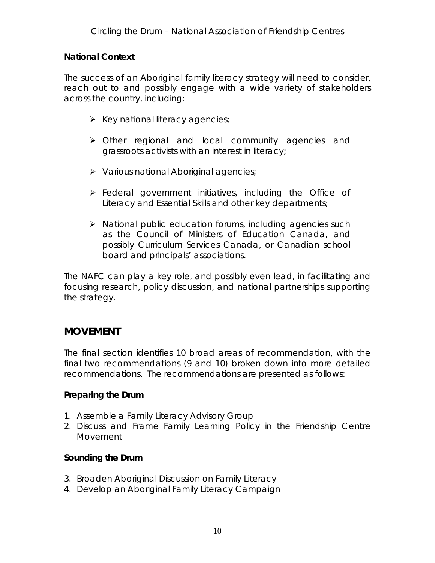**National Context**

The success of an Aboriginal family literacy strategy will need to consider, reach out to and possibly engage with a wide variety of stakeholders across the country, including:

- $\triangleright$  Key national literacy agencies;
- Other regional and local community agencies and grassroots activists with an interest in literacy;
- $\triangleright$  Various national Aboriginal agencies;
- **Federal government initiatives, including the Office of** Literacy and Essential Skills and other key departments;
- $\triangleright$  National public education forums, including agencies such as the Council of Ministers of Education Canada, and possibly Curriculum Services Canada, or Canadian school board and principals' associations.

The NAFC can play a key role, and possibly even lead, in facilitating and focusing research, policy discussion, and national partnerships supporting the strategy.

### **MOVEMENT**

The final section identifies 10 broad areas of recommendation, with the final two recommendations (9 and 10) broken down into more detailed recommendations. The recommendations are presented as follows:

**Preparing the Drum**

- 1. Assemble a Family Literacy Advisory Group
- 2. Discuss and Frame Family Learning Policy in the Friendship Centre Movement

**Sounding the Drum**

- 3. Broaden Aboriginal Discussion on Family Literacy
- 4. Develop an Aboriginal Family Literacy Campaign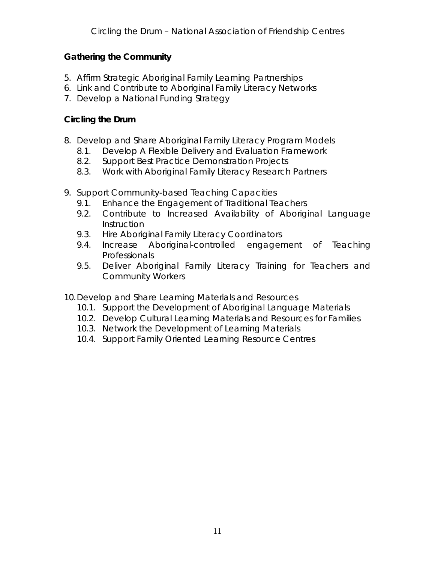**Gathering the Community**

- 5. Affirm Strategic Aboriginal Family Learning Partnerships
- 6. Link and Contribute to Aboriginal Family Literacy Networks
- 7. Develop a National Funding Strategy

**Circling the Drum**

- 8. Develop and Share Aboriginal Family Literacy Program Models
	- 8.1. Develop A Flexible Delivery and Evaluation Framework
	- 8.2. Support Best Practice Demonstration Projects
	- 8.3. Work with Aboriginal Family Literacy Research Partners
- 9. Support Community-based Teaching Capacities
	- 9.1. Enhance the Engagement of Traditional Teachers
	- 9.2. Contribute to Increased Availability of Aboriginal Language **Instruction**
	- 9.3. Hire Aboriginal Family Literacy Coordinators
	- 9.4. Increase Aboriginal-controlled engagement of Teaching Professionals
	- 9.5. Deliver Aboriginal Family Literacy Training for Teachers and Community Workers

10.Develop and Share Learning Materials and Resources

- 10.1. Support the Development of Aboriginal Language Materials
- 10.2. Develop Cultural Learning Materials and Resources for Families
- 10.3. Network the Development of Learning Materials
- 10.4. Support Family Oriented Learning Resource Centres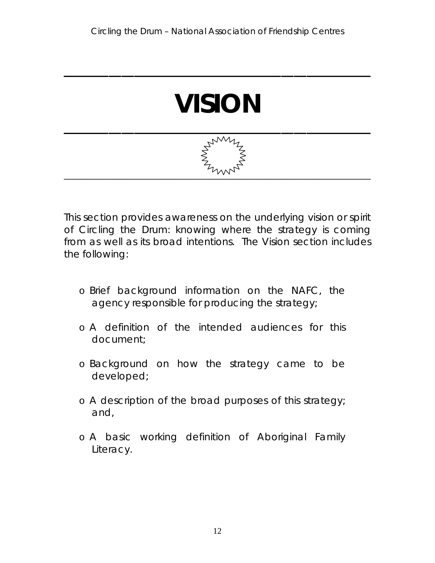

<span id="page-12-0"></span>**\_\_\_\_\_\_\_\_\_\_\_\_\_\_\_\_\_\_\_\_\_\_\_\_\_\_\_\_\_\_\_\_\_\_\_\_\_\_\_\_\_\_\_\_\_\_\_\_**



This section provides awareness on the underlying vision or spirit of *Circling the Drum*: knowing where the strategy is coming from as well as its broad intentions. The Vision section includes the following:

- o Brief background information on the NAFC, the agency responsible for producing the strategy;
- o A definition of the intended audiences for this document;
- o Background on how the strategy came to be developed;
- o A description of the broad purposes of this strategy; and,
- o A basic working definition of Aboriginal Family Literacy.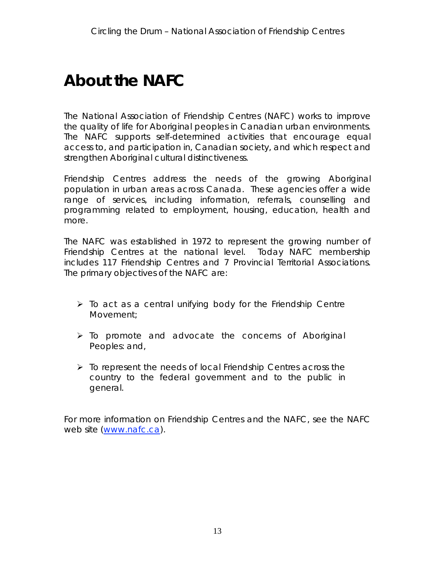## <span id="page-13-0"></span>**About the NAFC**

The National Association of Friendship Centres (NAFC) works to improve the quality of life for Aboriginal peoples in Canadian urban environments. The NAFC supports self-determined activities that encourage equal access to, and participation in, Canadian society, and which respect and strengthen Aboriginal cultural distinctiveness.

Friendship Centres address the needs of the growing Aboriginal population in urban areas across Canada. These agencies offer a wide range of services, including information, referrals, counselling and programming related to employment, housing, education, health and more.

The NAFC was established in 1972 to represent the growing number of Friendship Centres at the national level. Today NAFC membership includes 117 Friendship Centres and 7 Provincial Territorial Associations. The primary objectives of the NAFC are:

- $\triangleright$  To act as a central unifying body for the Friendship Centre Movement;
- $\triangleright$  To promote and advocate the concerns of Aboriginal Peoples: and,
- $\triangleright$  To represent the needs of local Friendship Centres across the country to the federal government and to the public in general.

For more information on Friendship Centres and the NAFC, see the NAFC web site (www.nafc.ca).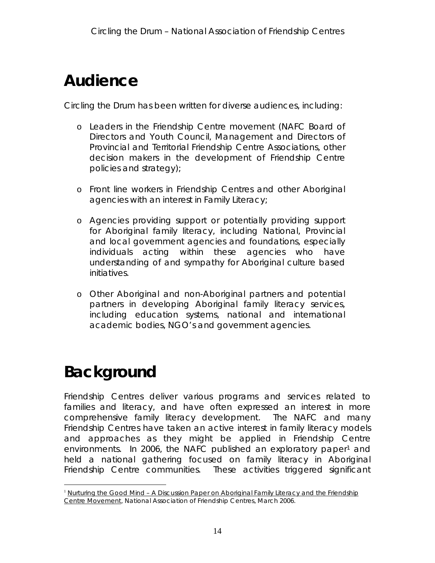## <span id="page-14-0"></span>**Audience**

*Circling the Drum* has been written for diverse audiences, including:

- o Leaders in the Friendship Centre movement (NAFC Board of Directors and Youth Council, Management and Directors of Provincial and Territorial Friendship Centre Associations, other decision makers in the development of Friendship Centre policies and strategy);
- o Front line workers in Friendship Centres and other Aboriginal agencies with an interest in Family Literacy;
- o Agencies providing support or potentially providing support for Aboriginal family literacy, including National, Provincial and local government agencies and foundations, especially individuals acting within these agencies who have understanding of and sympathy for Aboriginal culture based initiatives.
- o Other Aboriginal and non-Aboriginal partners and potential partners in developing Aboriginal family literacy services, including education systems, national and international academic bodies, NGO's and government agencies.

# **Background**

Friendship Centres deliver various programs and services related to families and literacy, and have often expressed an interest in more comprehensive family literacy development. The NAFC and many Friendship Centres have taken an active interest in family literacy models and approaches as they might be applied in Friendship Centre environments. In 2006, the NAFC published an exploratory paper<sup>1</sup> and held a national gathering focused on family literacy in Aboriginal Friendship Centre communities. These activities triggered significant

<sup>&</sup>lt;sup>1</sup> Nurturing the Good Mind - A Discussion Paper on Aboriginal Family Literacy and the Friendship Centre Movement, National Association of Friendship Centres, March 2006.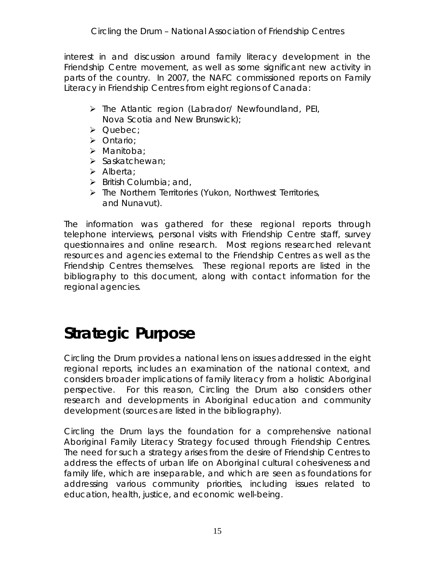<span id="page-15-0"></span>interest in and discussion around family literacy development in the Friendship Centre movement, as well as some significant new activity in parts of the country. In 2007, the NAFC commissioned reports on Family Literacy in Friendship Centres from eight regions of Canada:

- $\triangleright$  The Atlantic region (Labrador/ Newfoundland, PEI, Nova Scotia and New Brunswick);
- $\triangleright$  Quebec;
- > Ontario;
- $\triangleright$  Manitoba;
- $\triangleright$  Saskatchewan:
- $\triangleright$  Alberta;
- $\triangleright$  British Columbia; and,
- $\triangleright$  The Northern Territories (Yukon, Northwest Territories, and Nunavut).

The information was gathered for these regional reports through telephone interviews, personal visits with Friendship Centre staff, survey questionnaires and online research. Most regions researched relevant resources and agencies external to the Friendship Centres as well as the Friendship Centres themselves. These regional reports are listed in the bibliography to this document, along with contact information for the regional agencies.

# **Strategic Purpose**

*Circling the Drum* provides a national lens on issues addressed in the eight regional reports, includes an examination of the national context, and considers broader implications of family literacy from a holistic Aboriginal perspective. For this reason, *Circling the Drum* also considers other research and developments in Aboriginal education and community development (sources are listed in the bibliography).

*Circling the Drum* lays the foundation for a comprehensive national Aboriginal Family Literacy Strategy focused through Friendship Centres. The need for such a strategy arises from the desire of Friendship Centres to address the effects of urban life on Aboriginal cultural cohesiveness and family life, which are inseparable, and which are seen as foundations for addressing various community priorities, including issues related to education, health, justice, and economic well-being.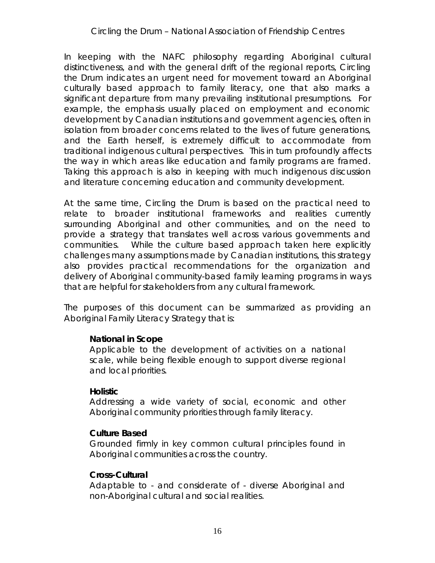### *Circling the Drum* – National Association of Friendship Centres

In keeping with the NAFC philosophy regarding Aboriginal cultural distinctiveness, and with the general drift of the regional reports, *Circling the Drum* indicates an urgent need for movement toward an Aboriginal culturally based approach to family literacy, one that also marks a significant departure from many prevailing institutional presumptions. For example, the emphasis usually placed on employment and economic development by Canadian institutions and government agencies, often in isolation from broader concerns related to the lives of future generations, and the Earth herself, is extremely difficult to accommodate from traditional indigenous cultural perspectives. This in turn profoundly affects the way in which areas like education and family programs are framed. Taking this approach is also in keeping with much indigenous discussion and literature concerning education and community development.

At the same time, *Circling the Drum* is based on the practical need to relate to broader institutional frameworks and realities currently surrounding Aboriginal and other communities, and on the need to provide a strategy that translates well across various governments and communities. While the culture based approach taken here explicitly challenges many assumptions made by Canadian institutions, this strategy also provides practical recommendations for the organization and delivery of Aboriginal community-based family learning programs in ways that are helpful for stakeholders from any cultural framework.

The purposes of this document can be summarized as providing an Aboriginal Family Literacy Strategy that is:

### **National in Scope**

Applicable to the development of activities on a national scale, while being flexible enough to support diverse regional and local priorities.

### **Holistic**

Addressing a wide variety of social, economic and other Aboriginal community priorities through family literacy.

### **Culture Based**

Grounded firmly in key common cultural principles found in Aboriginal communities across the country.

### **Cross-Cultural**

Adaptable to - and considerate of - diverse Aboriginal and non-Aboriginal cultural and social realities.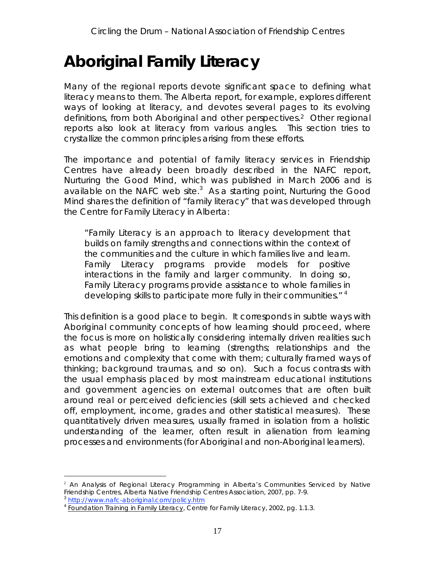# <span id="page-17-0"></span>**Aboriginal Family Literacy**

Many of the regional reports devote significant space to defining what literacy means to them. The Alberta report, for example, explores different ways of looking at literacy, and devotes several pages to its evolving definitions, from both Aboriginal and other perspectives.2 Other regional reports also look at literacy from various angles. This section tries to crystallize the common principles arising from these efforts.

The importance and potential of family literacy services in Friendship Centres have already been broadly described in the NAFC report, *Nurturing the Good Mind*, which was published in March 2006 and is available on the NAFC web site.<sup>3</sup> As a starting point, Nurturing the Good *Mind* shares the definition of "family literacy" that was developed through the Centre for Family Literacy in Alberta:

"*Family Literacy is an approach to literacy development that builds on family strengths and connections within the context of the communities and the culture in which families live and learn. Family Literacy programs provide models for positive interactions in the family and larger community. In doing so, Family Literacy programs provide assistance to whole families in developing skills to participate more fully in their communities*." <sup>4</sup>

This definition is a good place to begin. It corresponds in subtle ways with Aboriginal community concepts of how learning should proceed, where the focus is more on holistically considering *internally* driven realities such as what people *bring* to learning (strengths; relationships and the emotions and complexity that come with them; culturally framed ways of thinking; background traumas, and so on). Such a focus contrasts with the usual emphasis placed by most mainstream educational institutions and government agencies on *external outcomes* that are often built around real or perceived deficiencies (skill sets achieved and checked off, employment, income, grades and other statistical measures). These quantitatively driven measures, usually framed in isolation from a holistic understanding of the learner, often result in alienation from learning processes and environments (for Aboriginal and non-Aboriginal learners).

 $\frac{1}{2}$ <sup>2</sup> An Analysis of Regional Literacy Programming in Alberta's Communities Serviced by Native Friendship Centres, Alberta Native Friendship Centres Association, 2007, pp. 7-9.

http://www.nafc-aboriginal.com/policy.htm

 $4$  Foundation Training in Family Literacy, Centre for Family Literacy, 2002, pg. 1.1.3.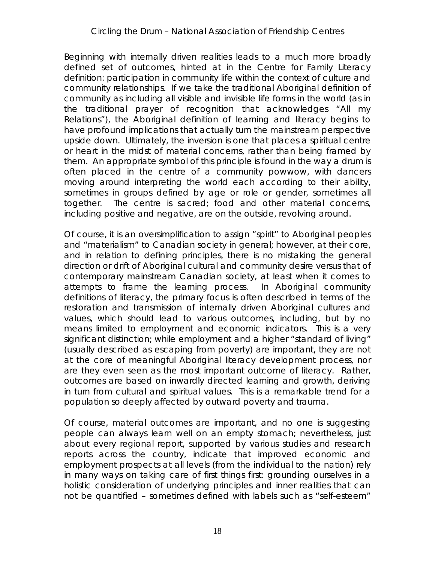Beginning with internally driven realities leads to a much more broadly defined set of outcomes, hinted at in the Centre for Family Literacy definition: *participation in community life* within the context of culture and community relationships. If we take the traditional Aboriginal definition of community as including all visible and invisible life forms in the world (as in the traditional prayer of recognition that acknowledges "All my Relations"), the Aboriginal definition of learning and literacy begins to have profound implications that actually turn the mainstream perspective *upside down*. Ultimately, the inversion is one that places a spiritual centre or *heart* in the midst of material concerns, *rather than being framed by them*. An appropriate symbol of this principle is found in the way a drum is often placed in the centre of a community powwow, with dancers moving around interpreting the world each according to their ability, sometimes in groups defined by age or role or gender, sometimes all together. The centre is sacred; food and other material concerns, including positive and negative, are on the outside, revolving around.

Of course, it is an oversimplification to assign "spirit" to Aboriginal peoples and "materialism" to Canadian society in general; however, at their core, and in relation to defining principles, there is no mistaking the general direction or drift of Aboriginal cultural and community desire versus that of contemporary mainstream Canadian society, at least when it comes to attempts to frame the learning process. In Aboriginal community definitions of literacy, the *primary focus* is often described in terms of the restoration and transmission of internally driven Aboriginal cultures and *values*, which should lead to various outcomes, including, but by no means limited to employment and economic indicators. This is a very significant distinction; while employment and a higher "standard of living" (usually described as escaping from poverty) are important, they are not at the core of meaningful Aboriginal literacy development process, nor are they even seen as the most important outcome of literacy. Rather, outcomes are based on inwardly directed learning and growth, deriving in turn from cultural and spiritual values. This is a remarkable trend for a population so deeply affected by outward poverty and trauma.

Of course, material outcomes are important, and no one is suggesting people can always learn well on an empty stomach; nevertheless, just about every regional report, supported by various studies and research reports across the country, indicate that improved economic and employment prospects at all levels (from the individual to the nation) rely in many ways on taking care of first things first: grounding ourselves in a holistic consideration of underlying principles and inner realities that can not be quantified – sometimes defined with labels such as "self-esteem"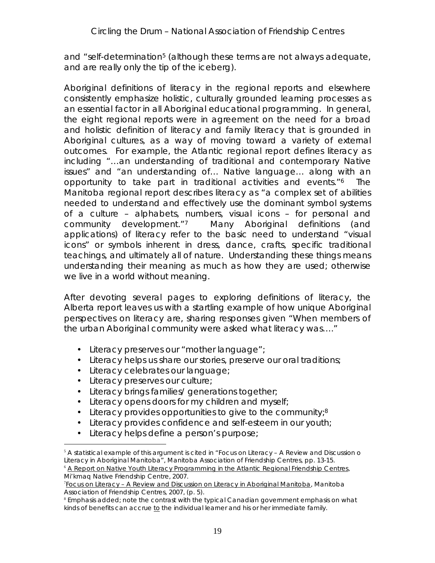and "self-determination<sup>5</sup> (although these terms are not always adequate, and are really only the tip of the iceberg).

Aboriginal definitions of literacy in the regional reports and elsewhere consistently emphasize holistic, culturally grounded learning processes as an essential factor in all Aboriginal educational programming. In general, the eight regional reports were in agreement on the need for a broad and holistic definition of literacy and family literacy that is grounded in Aboriginal cultures, as a way of moving toward a variety of external outcomes. For example, the Atlantic regional report defines literacy as including "…an understanding of traditional and contemporary Native issues" and "an understanding of… Native language… along with an opportunity to take part in traditional activities and events."6 The Manitoba regional report describes literacy as "a complex set of abilities needed to understand and effectively use the dominant symbol systems of a culture – alphabets, numbers, visual icons – for personal and community development."7 Many Aboriginal definitions (and applications) of literacy refer to the basic need to understand "visual icons" or symbols inherent in dress, dance, crafts, specific traditional teachings, and ultimately all of nature. Understanding these things means understanding their meaning as much as how they are used; otherwise we live in a world without meaning.

After devoting several pages to exploring definitions of literacy, the Alberta report leaves us with a startling example of how unique Aboriginal perspectives on literacy are, sharing responses given "When members of the urban Aboriginal community were asked what literacy was…."

- Literacy preserves our "mother language";
- Literacy helps us share our stories, preserve our oral traditions;
- Literacy celebrates our language;
- Literacy preserves our culture;
- Literacy brings families/ generations together;
- Literacy opens doors for my children and myself;
- Literacy provides opportunities to *give to the community*;8
- Literacy provides confidence and self-esteem in our youth;
- Literacy helps define a person's purpose;

 <sup>5</sup>  $5$  A statistical example of this argument is cited in "Focus on Literacy – A Review and Discussion o Literacy in Aboriginal Manitoba", Manitoba Association of Friendship Centres, pp. 13-15.

<sup>&</sup>lt;sup>6</sup> A Report on Native Youth Literacy Programming in the Atlantic Regional Friendship Centres, Mi'kmaq Native Friendship Centre, 2007.

<sup>7</sup> Focus on Literacy – A Review and Discussion on Literacy in Aboriginal Manitoba, Manitoba Association of Friendship Centres, 2007, (p. 5).

<sup>8</sup> Emphasis added; note the contrast with the typical Canadian government emphasis on what kinds of benefits can accrue *to* the individual learner and his or her immediate family.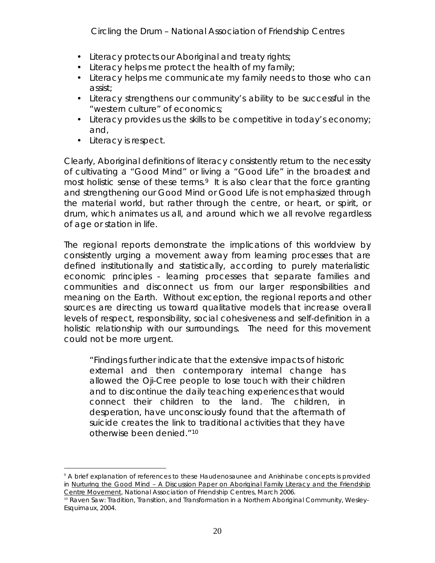*Circling the Drum* – National Association of Friendship Centres

- Literacy protects our Aboriginal and treaty rights;
- Literacy helps me protect the health of my family;
- Literacy helps me communicate my family needs to those who can assist;
- Literacy strengthens our community's ability to be successful in the "western culture" of economics;
- Literacy provides us the skills to be competitive in today's economy; and,
- Literacy is respect.

Clearly, Aboriginal definitions of literacy consistently return to the necessity of cultivating a "Good Mind" or living a "Good Life" in the broadest and most holistic sense of these terms.<sup>9</sup> It is also clear that the force granting and strengthening our Good Mind or Good Life is not emphasized through the material world, but rather through the centre, or heart, or spirit, or *drum*, which animates us all, and around which we all revolve regardless of age or station in life.

The regional reports demonstrate the implications of this worldview by consistently urging a movement away from learning processes that are defined institutionally and statistically, according to purely materialistic economic principles - learning processes that separate families and communities and disconnect us from our larger responsibilities and meaning on the Earth. Without exception, the regional reports and other sources are directing us toward qualitative models that increase overall levels of respect, responsibility, social cohesiveness and self-definition in a holistic relationship with our surroundings. The need for this movement could not be more urgent.

"Findings further indicate that the extensive impacts of historic external and then contemporary internal change has allowed the Oji-Cree people to lose touch with their children and to discontinue the daily teaching experiences that would connect their children to the land. The children, in desperation, have unconsciously found that the aftermath of suicide creates the link to traditional activities that they have otherwise been denied."10

 $\frac{1}{9}$ <sup>9</sup> A brief explanation of references to these Haudenosaunee and Anishinabe concepts is provided in Nurturing the Good Mind - A Discussion Paper on Aboriginal Family Literacy and the Friendship Centre Movement, National Association of Friendship Centres, March 2006.

<sup>&</sup>lt;sup>10</sup> Raven Saw: Tradition, Transition, and Transformation in a Northern Aboriginal Community, Wesley-Esquimaux, 2004.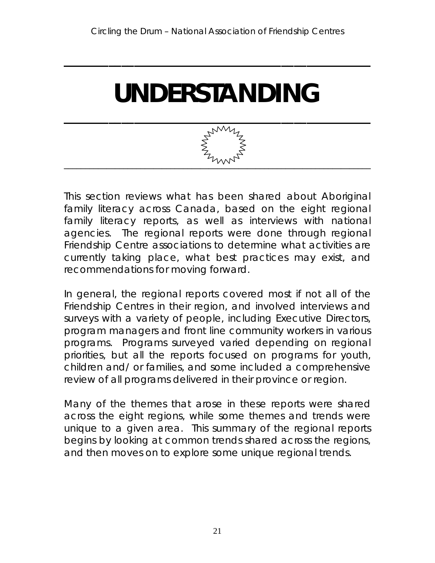<span id="page-21-0"></span>**\_\_\_\_\_\_\_\_\_\_\_\_\_\_\_\_\_\_\_\_\_\_\_\_\_\_\_\_\_\_\_\_\_\_\_\_\_\_\_\_\_\_\_\_\_\_\_\_**

# **UNDERSTANDING**



This section reviews what has been shared about Aboriginal family literacy across Canada, based on the eight regional family literacy reports, as well as interviews with national agencies. The regional reports were done through regional Friendship Centre associations to determine what activities are currently taking place, what best practices may exist, and recommendations for moving forward.

In general, the regional reports covered most if not all of the Friendship Centres in their region, and involved interviews and surveys with a variety of people, including Executive Directors, program managers and front line community workers in various programs. Programs surveyed varied depending on regional priorities, but all the reports focused on programs for youth, children and/ or families, and some included a comprehensive review of all programs delivered in their province or region.

Many of the themes that arose in these reports were shared across the eight regions, while some themes and trends were unique to a given area. This summary of the regional reports begins by looking at common trends shared across the regions, and then moves on to explore some unique regional trends.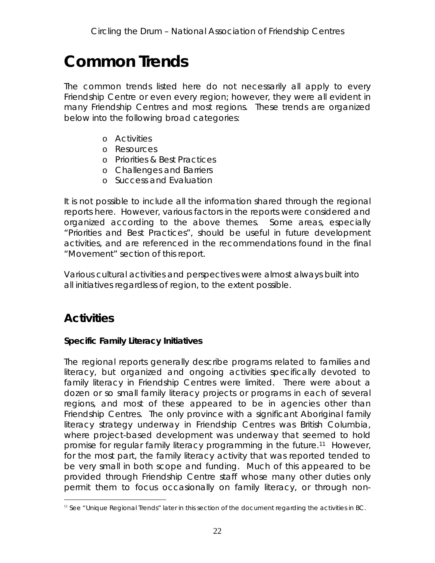## <span id="page-22-0"></span>**Common Trends**

The common trends listed here do not necessarily all apply to every Friendship Centre or even every region; however, they were all evident in many Friendship Centres and most regions. These trends are organized below into the following broad categories:

- o Activities
- o Resources
- o Priorities & Best Practices
- o Challenges and Barriers
- o Success and Evaluation

It is not possible to include all the information shared through the regional reports here. However, various factors in the reports were considered and organized according to the above themes. Some areas, especially "Priorities and Best Practices", should be useful in future development activities, and are referenced in the recommendations found in the final "Movement" section of this report.

Various cultural activities and perspectives were almost always built into all initiatives regardless of region, to the extent possible.

### **Activities**

### **Specific Family Literacy Initiatives**

The regional reports generally describe programs related to *families* and *literacy*, but *organized and ongoing activities* specifically devoted to family literacy in Friendship Centres were limited. There were about a dozen or so small family literacy projects or programs in each of several regions, and most of these appeared to be in agencies other than Friendship Centres. The only province with a significant Aboriginal family literacy strategy underway in Friendship Centres was British Columbia, where project-based development was underway that seemed to hold promise for regular family literacy programming in the future.11 However, for the most part, the family literacy activity that was reported tended to be very small in both scope and funding. Much of this appeared to be provided through Friendship Centre staff whose many other duties only permit them to focus occasionally on family literacy, or through non-

 $<sup>11</sup>$  See "Unique Regional Trends" later in this section of the document regarding the activities in BC.</sup>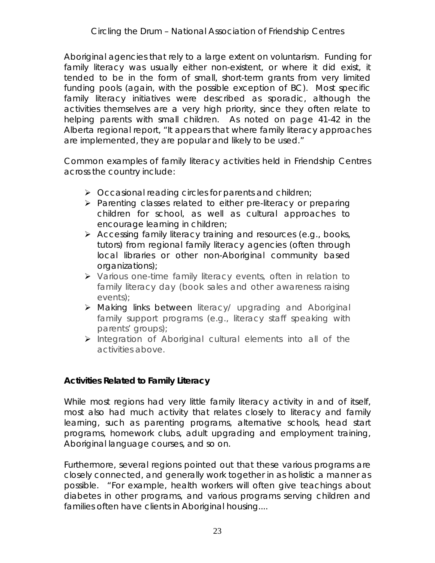Aboriginal agencies that rely to a large extent on voluntarism. Funding for family literacy was usually either non-existent, or where it did exist, it tended to be in the form of small, short-term grants from very limited funding pools (again, with the possible exception of BC). Most specific family literacy initiatives were described as sporadic, *although the activities themselves are a very high priority*, since they often relate to helping parents with small children. As noted on page 41-42 in the Alberta regional report, "It appears that where family literacy approaches are implemented, they are popular and likely to be used."

Common examples of family literacy activities held in Friendship Centres across the country include:

- $\triangleright$  Occasional reading circles for parents and children;
- $\triangleright$  Parenting classes related to either pre-literacy or preparing children for school, as well as cultural approaches to encourage learning in children;
- $\triangleright$  Accessing family literacy training and resources (e.g., books, tutors) from regional family literacy agencies (often through local libraries or other non-Aboriginal community based organizations);
- Various one-time family literacy events, often in relation to family literacy day (book sales and other awareness raising events);
- Making links between literacy/ upgrading and Aboriginal family support programs (e.g., literacy staff speaking with parents' groups);
- $\triangleright$  Integration of Aboriginal cultural elements into all of the activities above.

**Activities Related to Family Literacy**

While most regions had very little family literacy activity in and of itself, most also had much activity that *relates closely to literacy and family learning*, such as parenting programs, alternative schools, head start programs, homework clubs, adult upgrading and employment training, Aboriginal language courses, and so on.

Furthermore, several regions pointed out that these various programs are closely connected, and generally work together in as holistic a manner as possible. "For example, health workers will often give teachings about diabetes in other programs, and various programs serving children and families often have clients in Aboriginal housing....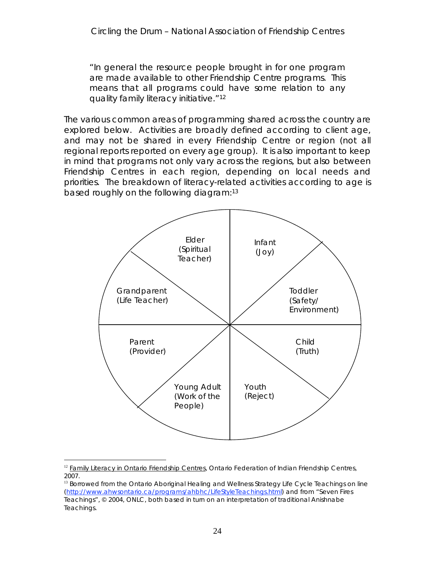"In general the resource people brought in for one program are made available to other Friendship Centre programs. This means that all programs could have some relation to any quality family literacy initiative."12

The various common areas of programming shared across the country are explored below. Activities are broadly defined according to client age, and may not be shared in every Friendship Centre or region (not all regional reports reported on every age group). It is also important to keep in mind that programs not only vary across the regions, but also between Friendship Centres in each region, depending on local needs and priorities. The breakdown of literacy-related activities according to age is based roughly on the following diagram:13



 $<sup>12</sup>$  Family Literacy in Ontario Friendship Centres, Ontario Federation of Indian Friendship Centres,</sup> 2007.

<sup>&</sup>lt;sup>13</sup> Borrowed from the Ontario Aboriginal Healing and Wellness Strategy Life Cycle Teachings on line (http://www.ahwsontario.ca/programs/ahbhc/LifeStyleTeachings.html) and from "Seven Fires Teachings", © 2004, ONLC, both based in turn on an interpretation of traditional Anishnabe Teachings.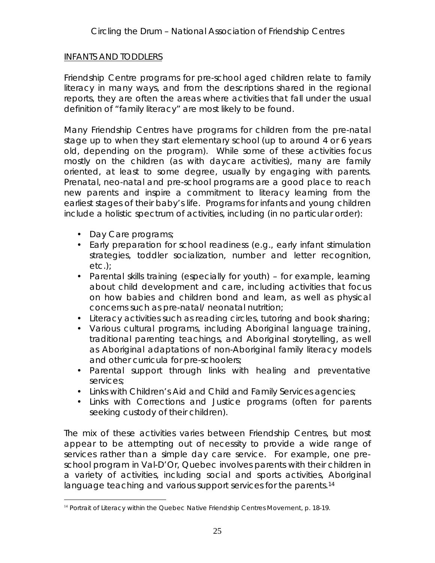### INFANTS AND TODDLERS

Friendship Centre programs for pre-school aged children relate to family literacy in many ways, and from the descriptions shared in the regional reports, they are often the areas where activities that fall under the usual definition of "family literacy" are most likely to be found.

Many Friendship Centres have programs for children from the pre-natal stage up to when they start elementary school (up to around 4 or 6 years old, depending on the program). While some of these activities focus mostly on the children (as with daycare activities), many are family oriented, at least to some degree, usually by engaging with parents. Prenatal, neo-natal and pre-school programs are a good place to reach new parents and inspire a commitment to literacy learning from the earliest stages of their baby's life. Programs for infants and young children include a holistic spectrum of activities, including (in no particular order):

- Day Care programs;
- Early preparation for school readiness (e.g., early infant stimulation strategies, toddler socialization, number and letter recognition, etc.);
- Parental skills training (especially for youth) for example, learning about child development and care, including activities that focus on how babies and children bond and learn, as well as physical concerns such as pre-natal/ neonatal nutrition;
- Literacy activities such as reading circles, tutoring and book sharing;
- Various cultural programs, including Aboriginal language training, traditional parenting teachings, and Aboriginal storytelling, as well as Aboriginal adaptations of non-Aboriginal family literacy models and other curricula for pre-schoolers;
- Parental support through links with healing and preventative services;
- Links with Children's Aid and Child and Family Services agencies;
- Links with Corrections and Justice programs (often for parents seeking custody of their children).

The mix of these activities varies between Friendship Centres, but most appear to be attempting out of necessity to provide a wide range of services rather than a simple day care service. For example, one preschool program in Val-D'Or, Quebec involves parents with their children in a variety of activities, including social and sports activities, Aboriginal language teaching and various support services for the parents.<sup>14</sup>

<sup>&</sup>lt;sup>14</sup> Portrait of Literacy within the Quebec Native Friendship Centres Movement, p. 18-19.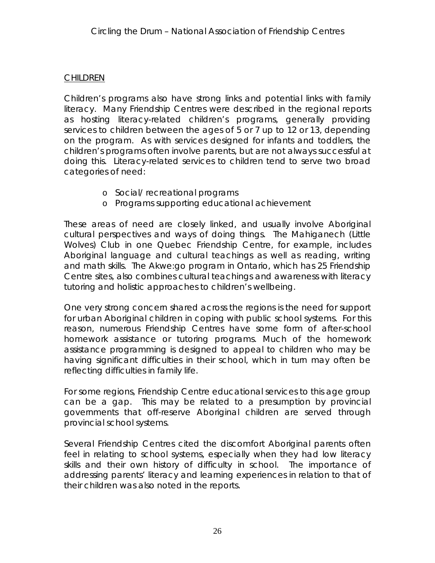### **CHILDREN**

Children's programs also have strong links and potential links with family literacy. Many Friendship Centres were described in the regional reports as hosting literacy-related children's programs, generally providing services to children between the ages of 5 or 7 up to 12 or 13, depending on the program. As with services designed for infants and toddlers, the children's programs often involve parents, but are not always successful at doing this. Literacy-related services to children tend to serve two broad categories of need:

- o Social/ recreational programs
- o Programs supporting educational achievement

These areas of need are closely linked, and usually involve Aboriginal cultural perspectives and ways of doing things. The Mahiganech (Little Wolves) Club in one Quebec Friendship Centre, for example, includes Aboriginal language and cultural teachings as well as reading, writing and math skills. The Akwe:go program in Ontario, which has 25 Friendship Centre sites, also combines cultural teachings and awareness with literacy tutoring and holistic approaches to children's wellbeing.

One very strong concern shared across the regions is the need for support for urban Aboriginal children in coping with public school systems. For this reason, numerous Friendship Centres have some form of after-school homework assistance or tutoring programs. Much of the homework assistance programming is designed to appeal to children who may be having significant difficulties in their school, which in turn may often be reflecting difficulties in family life.

For some regions, Friendship Centre educational services to this age group can be a gap. This may be related to a presumption by provincial governments that off-reserve Aboriginal children are served through provincial school systems.

Several Friendship Centres cited the discomfort Aboriginal parents often feel in relating to school systems, especially when they had low literacy skills and their own history of difficulty in school. The importance of addressing parents' literacy and learning experiences in relation to that of their children was also noted in the reports.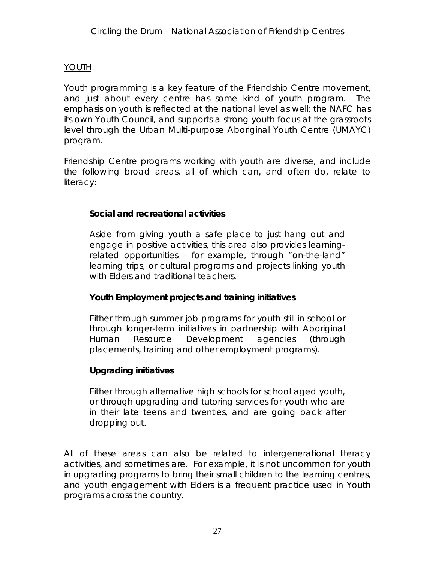### YOUTH

Youth programming is a key feature of the Friendship Centre movement, and just about every centre has some kind of youth program. The emphasis on youth is reflected at the national level as well; the NAFC has its own Youth Council, and supports a strong youth focus at the grassroots level through the Urban Multi-purpose Aboriginal Youth Centre (UMAYC) program.

Friendship Centre programs working with youth are diverse, and include the following broad areas, all of which can, and often do, relate to literacy:

**Social and recreational activities**

Aside from giving youth a safe place to just hang out and engage in positive activities, this area also provides learningrelated opportunities – for example, through "on-the-land" learning trips, or cultural programs and projects linking youth with Elders and traditional teachers.

**Youth Employment projects and training initiatives**

Either through summer job programs for youth still in school or through longer-term initiatives in partnership with Aboriginal Human Resource Development agencies (through placements, training and other employment programs).

**Upgrading initiatives**

Either through alternative high schools for school aged youth, or through upgrading and tutoring services for youth who are in their late teens and twenties, and are going back after dropping out.

All of these areas can also be related to *intergenerational* literacy activities, and sometimes are. For example, it is not uncommon for youth in upgrading programs to bring their small children to the learning centres, and youth engagement with Elders is a frequent practice used in Youth programs across the country.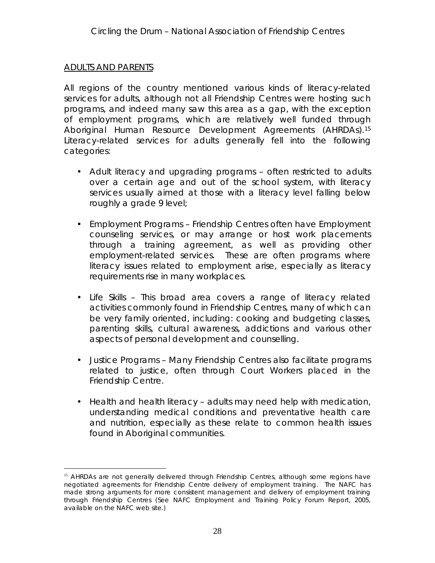### ADULTS AND PARENTS

All regions of the country mentioned various kinds of literacy-related services for adults, although not all Friendship Centres were hosting such programs, and indeed many saw this area as a gap, with the exception of employment programs, which are relatively well funded through Aboriginal Human Resource Development Agreements (AHRDAs).15 Literacy-related services for adults generally fell into the following categories:

- Adult literacy and upgrading programs often restricted to adults over a certain age and out of the school system, with literacy services usually aimed at those with a literacy level falling below roughly a grade 9 level;
- Employment Programs Friendship Centres often have Employment counseling services, or may arrange or host work placements through a training agreement, as well as providing other employment-related services. These are often programs where literacy issues related to employment arise, especially as literacy requirements rise in many workplaces.
- Life Skills This broad area covers a range of literacy related activities commonly found in Friendship Centres, many of which can be very family oriented, including: cooking and budgeting classes, parenting skills, cultural awareness, addictions and various other aspects of personal development and counselling.
- Justice Programs Many Friendship Centres also facilitate programs related to justice, often through Court Workers placed in the Friendship Centre.
- Health and health literacy adults may need help with medication, understanding medical conditions and preventative health care and nutrition, especially as these relate to common health issues found in Aboriginal communities.

<sup>&</sup>lt;sup>15</sup> AHRDAs are not generally delivered through Friendship Centres, although some regions have negotiated agreements for Friendship Centre delivery of employment training. The NAFC has made strong arguments for more consistent management and delivery of employment training through Friendship Centres (See NAFC Employment and Training Policy Forum Report, 2005, available on the NAFC web site.)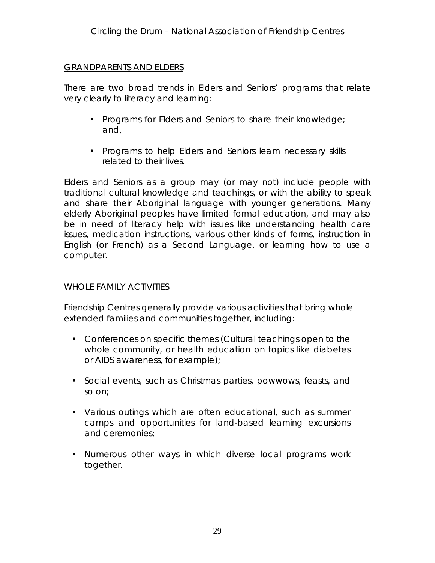### GRANDPARENTS AND ELDERS

There are two broad trends in Elders and Seniors' programs that relate very clearly to literacy and learning:

- Programs for Elders and Seniors to share their knowledge; and,
- Programs to help Elders and Seniors learn necessary skills related to their lives.

Elders and Seniors as a group may (or may not) include people with traditional cultural knowledge and teachings, or with the ability to speak and share their Aboriginal language with younger generations. Many elderly Aboriginal peoples have limited formal education, and may also be in need of literacy help with issues like understanding health care issues, medication instructions, various other kinds of forms, instruction in English (or French) as a Second Language, or learning how to use a computer.

### WHOLE FAMILY ACTIVITIES

Friendship Centres generally provide various activities that bring whole extended families and communities together, including:

- Conferences on specific themes (Cultural teachings open to the whole community, or health education on topics like diabetes or AIDS awareness, for example);
- Social events, such as Christmas parties, powwows, feasts, and so on;
- Various outings which are often educational, such as summer camps and opportunities for land-based learning excursions and ceremonies;
- Numerous other ways in which diverse local programs work together.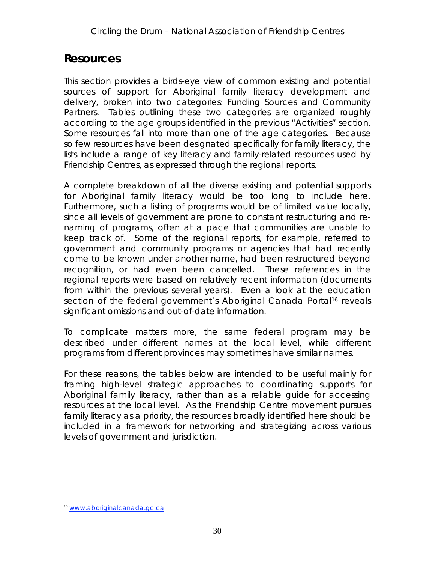### <span id="page-30-0"></span>**Resources**

This section provides a birds-eye view of common existing and potential sources of support for Aboriginal family literacy development and delivery, broken into two categories: *Funding Sources* and *Community Partners*. Tables outlining these two categories are organized roughly according to the age groups identified in the previous "Activities" section. Some resources fall into more than one of the age categories. Because so few resources have been designated specifically for family literacy, the lists include a range of key *literacy and family-related* resources used by Friendship Centres, as expressed through the regional reports.

A complete breakdown of all the diverse existing and potential supports for Aboriginal family literacy would be too long to include here. Furthermore, such a listing of programs would be of limited value locally, since all levels of government are prone to constant restructuring and renaming of programs, often at a pace that communities are unable to keep track of. Some of the regional reports, for example, referred to government and community programs or agencies that had recently come to be known under another name, had been restructured beyond recognition, or had even been cancelled. These references in the regional reports were based on relatively recent information (documents from within the previous several years). Even a look at the education section of the federal government's Aboriginal Canada Portal<sup>16</sup> reveals significant omissions and out-of-date information.

To complicate matters more, the same federal program may be described under different names at the local level, while different programs from different provinces may sometimes have similar names.

For these reasons, the tables below are intended to be useful mainly for framing high-level strategic approaches to coordinating supports for Aboriginal family literacy, rather than as a reliable guide for accessing resources at the local level. As the Friendship Centre movement pursues family literacy as a priority, the resources broadly identified here should be included in a framework for networking and strategizing across various levels of government and jurisdiction.

 <sup>16</sup> www.aboriginalcanada.gc.ca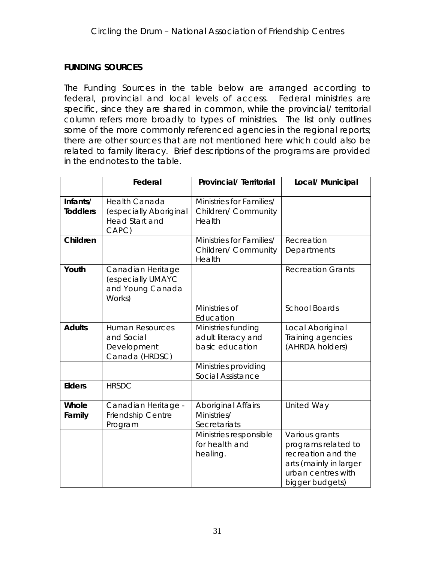### **FUNDING SOURCES**

The Funding Sources in the table below are arranged according to federal, provincial and local levels of access. Federal ministries are specific, since they are shared in common, while the provincial/ territorial column refers more broadly to *types* of ministries. The list only outlines some of the more commonly referenced agencies in the regional reports; there are other sources that are not mentioned here which could also be related to family literacy. Brief descriptions of the programs are provided in the endnotes to the table.

|                             | Federal                                                                          | Provincial/ Territorial                                     | Local/ Municipal                                                                                                               |
|-----------------------------|----------------------------------------------------------------------------------|-------------------------------------------------------------|--------------------------------------------------------------------------------------------------------------------------------|
| Infants/<br><b>Toddlers</b> | <b>Health Canada</b><br>(especially Aboriginal<br><b>Head Start and</b><br>CAPC) | Ministries for Families/<br>Children/ Community<br>Health   |                                                                                                                                |
| Children                    |                                                                                  | Ministries for Families/<br>Children/ Community<br>Health   | Recreation<br>Departments                                                                                                      |
| Youth                       | Canadian Heritage<br>(especially UMAYC<br>and Young Canada<br>Works)             |                                                             | <b>Recreation Grants</b>                                                                                                       |
|                             |                                                                                  | Ministries of<br>Education                                  | <b>School Boards</b>                                                                                                           |
| <b>Adults</b>               | <b>Human Resources</b><br>and Social<br>Development<br>Canada (HRDSC)            | Ministries funding<br>adult literacy and<br>basic education | Local Aboriginal<br>Training agencies<br>(AHRDA holders)                                                                       |
|                             |                                                                                  | Ministries providing<br><b>Social Assistance</b>            |                                                                                                                                |
| Elders                      | <b>HRSDC</b>                                                                     |                                                             |                                                                                                                                |
| Whole<br>Family             | Canadian Heritage -<br>Friendship Centre<br>Program                              | <b>Aboriginal Affairs</b><br>Ministries/<br>Secretariats    | <b>United Way</b>                                                                                                              |
|                             |                                                                                  | Ministries responsible<br>for health and<br>healing.        | Various grants<br>programs related to<br>recreation and the<br>arts (mainly in larger<br>urban centres with<br>bigger budgets) |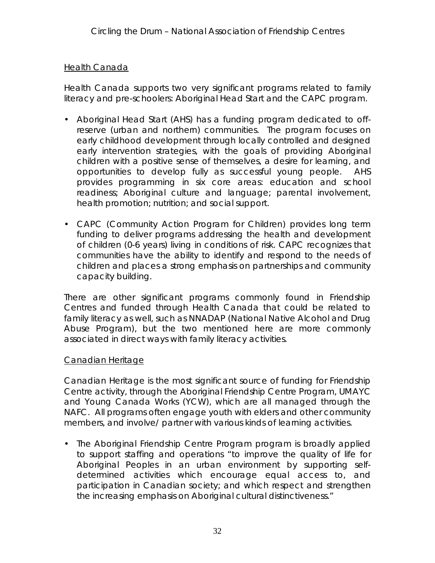### Health Canada

Health Canada supports two very significant programs related to family literacy and pre-schoolers: Aboriginal Head Start and the CAPC program.

- Aboriginal Head Start (AHS) has a funding program dedicated to offreserve (urban and northern) communities. The program focuses on early childhood development through locally controlled and designed early intervention strategies, with the goals of providing Aboriginal children with a positive sense of themselves, a desire for learning, and opportunities to develop fully as successful young people. AHS provides programming in six core areas: education and school readiness; Aboriginal culture and language; parental involvement, health promotion; nutrition; and social support.
- CAPC (Community Action Program for Children) provides long term funding to deliver programs addressing the health and development of children (0-6 years) living in conditions of risk. CAPC recognizes that communities have the ability to identify and respond to the needs of children and places a strong emphasis on partnerships and community capacity building.

There are other significant programs commonly found in Friendship Centres and funded through Health Canada that could be related to family literacy as well, such as NNADAP (National Native Alcohol and Drug Abuse Program), but the two mentioned here are more commonly associated in direct ways with family literacy activities.

### Canadian Heritage

Canadian Heritage is the most significant source of funding for Friendship Centre activity, through the Aboriginal Friendship Centre Program, UMAYC and Young Canada Works (YCW), which are all managed through the NAFC. All programs often engage youth with elders and other community members, and involve/ partner with various kinds of learning activities.

• The Aboriginal Friendship Centre Program program is broadly applied to support staffing and operations "to improve the quality of life for Aboriginal Peoples in an urban environment by supporting selfdetermined activities which encourage equal access to, and participation in Canadian society; and which respect and strengthen the increasing emphasis on Aboriginal cultural distinctiveness."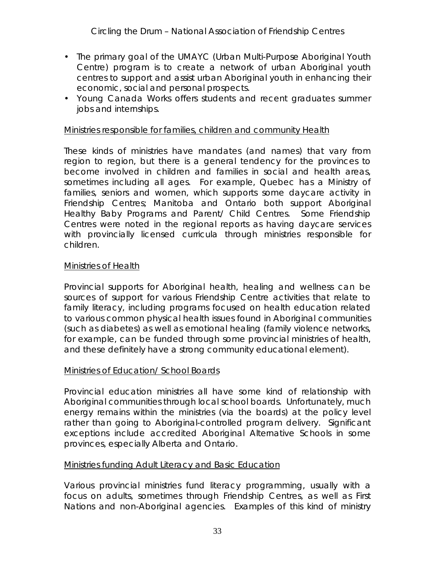- The primary goal of the UMAYC (Urban Multi-Purpose Aboriginal Youth Centre) program is to create a network of urban Aboriginal youth centres to support and assist urban Aboriginal youth in enhancing their economic, social and personal prospects.
- Young Canada Works offers students and recent graduates summer jobs and internships.

### Ministries responsible for families, children and community Health

These kinds of ministries have mandates (and names) that vary from region to region, but there is a general tendency for the provinces to become involved in children and families in social and health areas, sometimes including all ages. For example, Quebec has a Ministry of families, seniors and women, which supports some daycare activity in Friendship Centres; Manitoba and Ontario both support Aboriginal Healthy Baby Programs and Parent/ Child Centres. Some Friendship Centres were noted in the regional reports as having daycare services with provincially licensed curricula through ministries responsible for children.

### Ministries of Health

Provincial supports for Aboriginal health, healing and wellness can be sources of support for various Friendship Centre activities that relate to family literacy, including programs focused on health education related to various common physical health issues found in Aboriginal communities (such as diabetes) as well as emotional healing (family violence networks, for example, can be funded through some provincial ministries of health, and these definitely have a strong community educational element).

### Ministries of Education/ School Boards

Provincial education ministries all have some kind of relationship with Aboriginal communities through local school boards. Unfortunately, much energy remains within the ministries (via the boards) at the policy level rather than going to Aboriginal-controlled program delivery. Significant exceptions include accredited Aboriginal Alternative Schools in some provinces, especially Alberta and Ontario.

### Ministries funding Adult Literacy and Basic Education

Various provincial ministries fund literacy programming, usually with a focus on adults, sometimes through Friendship Centres, as well as First Nations and non-Aboriginal agencies. Examples of this kind of ministry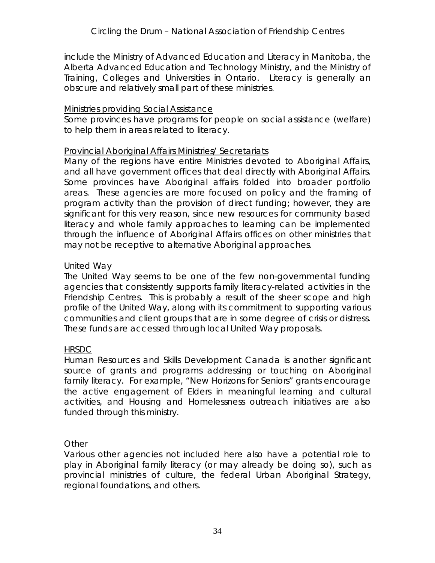include the Ministry of Advanced Education and Literacy in Manitoba, the Alberta Advanced Education and Technology Ministry, and the Ministry of Training, Colleges and Universities in Ontario. Literacy is generally an obscure and relatively small part of these ministries.

### Ministries providing Social Assistance

Some provinces have programs for people on social assistance (welfare) to help them in areas related to literacy.

### Provincial Aboriginal Affairs Ministries/ Secretariats

Many of the regions have entire Ministries devoted to Aboriginal Affairs, and all have government offices that deal directly with Aboriginal Affairs. Some provinces have Aboriginal affairs folded into broader portfolio areas. These agencies are more focused on policy and the framing of program activity than the provision of direct funding; however, they are significant for this very reason, since new resources for community based literacy and whole family approaches to learning can be implemented through the influence of Aboriginal Affairs offices on other ministries that may not be receptive to alternative Aboriginal approaches.

### United Way

The United Way seems to be one of the few non-governmental funding agencies that consistently supports family literacy-related activities in the Friendship Centres. This is probably a result of the sheer scope and high profile of the United Way, along with its commitment to supporting various communities and client groups that are in some degree of crisis or distress. These funds are accessed through local United Way proposals.

### **HRSDC**

Human Resources and Skills Development Canada is another significant source of grants and programs addressing or touching on Aboriginal family literacy. For example, "New Horizons for Seniors" grants encourage the active engagement of Elders in meaningful learning and cultural activities, and Housing and Homelessness outreach initiatives are also funded through this ministry.

### **Other**

Various other agencies not included here also have a potential role to play in Aboriginal family literacy (or may already be doing so), such as provincial ministries of culture, the federal Urban Aboriginal Strategy, regional foundations, and others.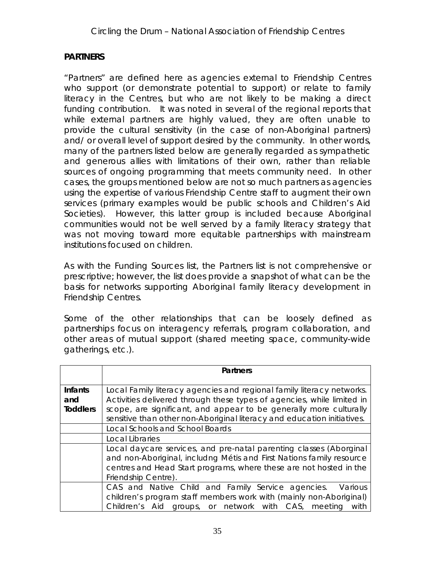### **PARTNERS**

"Partners" are defined here as agencies *external* to Friendship Centres who support (or demonstrate potential to support) or relate to family literacy in the Centres, but who are not likely to be making a direct funding contribution. It was noted in several of the regional reports that while external partners are highly valued, they are often unable to provide the cultural sensitivity (in the case of non-Aboriginal partners) and/ or overall level of support desired by the community. In other words, many of the partners listed below are generally regarded as sympathetic and generous allies with limitations of their own, rather than reliable sources of ongoing programming that meets community need. In other cases, the groups mentioned below are not so much partners as agencies using the expertise of various Friendship Centre staff to augment their own services (primary examples would be public schools and Children's Aid Societies). However, this latter group is included because Aboriginal communities would not be well served by a family literacy strategy that was not moving toward more equitable partnerships with mainstream institutions focused on children.

As with the Funding Sources list, the Partners list is not comprehensive or prescriptive; however, the list does provide a snapshot of what can be the basis for networks supporting Aboriginal family literacy development in Friendship Centres.

Some of the other relationships that can be loosely defined as partnerships focus on interagency referrals, program collaboration, and other areas of mutual support (shared meeting space, community-wide gatherings, etc.).

|                                   | Partners                                                                                                                                                                                                                                                                                         |  |  |
|-----------------------------------|--------------------------------------------------------------------------------------------------------------------------------------------------------------------------------------------------------------------------------------------------------------------------------------------------|--|--|
| Infants<br>and<br><b>Toddlers</b> | Local Family literacy agencies and regional family literacy networks.<br>Activities delivered through these types of agencies, while limited in<br>scope, are significant, and appear to be generally more culturally<br>sensitive than other non-Aboriginal literacy and education initiatives. |  |  |
|                                   | Local Schools and School Boards                                                                                                                                                                                                                                                                  |  |  |
|                                   | Local Libraries                                                                                                                                                                                                                                                                                  |  |  |
|                                   | Local daycare services, and pre-natal parenting classes (Aborginal<br>and non-Aboriginal, includng Métis and First Nations family resource<br>centres and Head Start programs, where these are not hosted in the<br>Friendship Centre).                                                          |  |  |
|                                   | CAS and Native Child and Family Service agencies.<br>Various<br>children's program staff members work with (mainly non-Aboriginal)<br>Children's Aid groups, or network with CAS, meeting<br>with                                                                                                |  |  |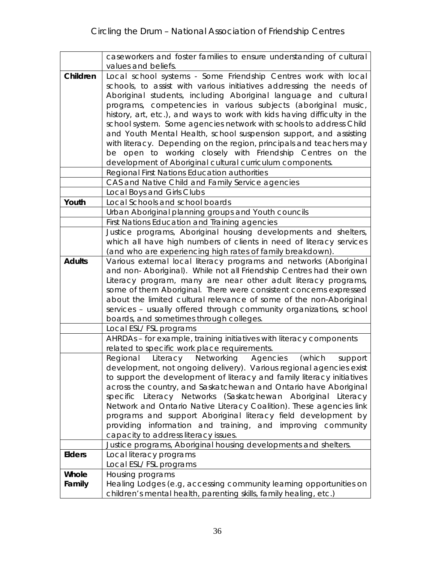|          | caseworkers and foster families to ensure understanding of cultural                                              |
|----------|------------------------------------------------------------------------------------------------------------------|
|          | values and beliefs.                                                                                              |
| Children | Local school systems - Some Friendship Centres work with local                                                   |
|          | schools, to assist with various initiatives addressing the needs of                                              |
|          | Aboriginal students, including Aboriginal language and cultural                                                  |
|          | programs, competencies in various subjects (aboriginal music,                                                    |
|          | history, art, etc.), and ways to work with kids having difficulty in the                                         |
|          | school system. Some agencies network with schools to address Child                                               |
|          | and Youth Mental Health, school suspension support, and assisting                                                |
|          | with literacy. Depending on the region, principals and teachers may                                              |
|          | be open to working closely with Friendship Centres on the                                                        |
|          | development of Aboriginal cultural curriculum components.                                                        |
|          | Regional First Nations Education authorities                                                                     |
|          | CAS and Native Child and Family Service agencies                                                                 |
| Youth    | Local Boys and Girls Clubs<br>Local Schools and school boards                                                    |
|          |                                                                                                                  |
|          | Urban Aboriginal planning groups and Youth councils                                                              |
|          | First Nations Education and Training agencies<br>Justice programs, Aboriginal housing developments and shelters, |
|          | which all have high numbers of clients in need of literacy services                                              |
|          | (and who are experiencing high rates of family breakdown).                                                       |
| Adults   | Various external local literacy programs and networks (Aboriginal                                                |
|          | and non- Aboriginal). While not all Friendship Centres had their own                                             |
|          | Literacy program, many are near other adult literacy programs,                                                   |
|          | some of them Aboriginal. There were consistent concerns expressed                                                |
|          | about the limited cultural relevance of some of the non-Aboriginal                                               |
|          | services - usually offered through community organizations, school                                               |
|          | boards, and sometimes through colleges.                                                                          |
|          | Local ESL/FSL programs                                                                                           |
|          | AHRDAs - for example, training initiatives with literacy components                                              |
|          | related to specific work place requirements.                                                                     |
|          | Networking Agencies<br>Regional<br>Literacy<br>(which<br>support                                                 |
|          | development, not ongoing delivery). Various regional agencies exist                                              |
|          | to support the development of literacy and family literacy initiatives                                           |
|          | across the country, and Saskatchewan and Ontario have Aboriginal                                                 |
|          | specific Literacy Networks (Saskatchewan Aboriginal Literacy                                                     |
|          | Network and Ontario Native Literacy Coalition). These agencies link                                              |
|          | programs and support Aboriginal literacy field development by                                                    |
|          | providing information and training, and improving community                                                      |
|          | capacity to address literacy issues.                                                                             |
|          | Justice programs, Aboriginal housing developments and shelters.                                                  |
| Elders   | Local literacy programs                                                                                          |
| Whole    | Local ESL/FSL programs                                                                                           |
| Family   | Housing programs<br>Healing Lodges (e.g, accessing community learning opportunities on                           |
|          | children's mental health, parenting skills, family healing, etc.)                                                |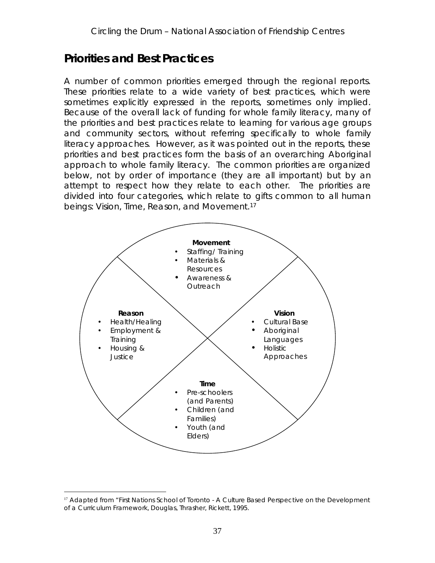# **Priorities and Best Practices**

A number of common priorities emerged through the regional reports. These priorities relate to a wide variety of best practices, which were sometimes explicitly expressed in the reports, sometimes only implied. Because of the overall lack of funding for whole family literacy, many of the priorities and best practices relate to learning for various age groups and community sectors, without referring specifically to whole family literacy approaches. However, as it was pointed out in the reports, these priorities and best practices form the basis of an overarching Aboriginal approach to whole family literacy. The common priorities are organized below, not by order of importance (they are *all* important) but by an attempt to respect how they *relate* to each other. The priorities are divided into four categories, which relate to gifts common to all human beings: Vision, Time, Reason, and Movement.17



<sup>&</sup>lt;sup>17</sup> Adapted from "First Nations School of Toronto - A Culture Based Perspective on the Development of a Curriculum Framework, Douglas, Thrasher, Rickett, 1995.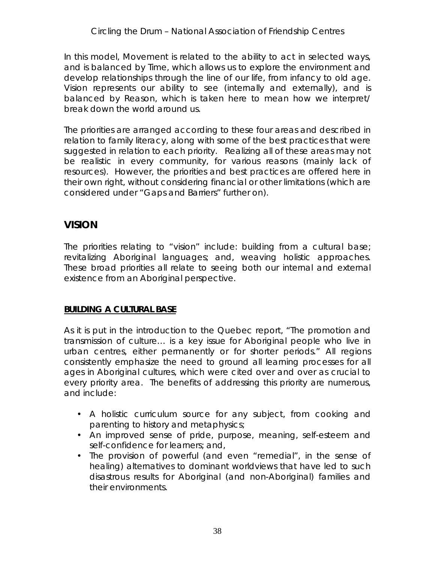In this model, *Movement* is related to the ability to act in selected ways, and is balanced by *Time*, which allows us to explore the environment and develop relationships through the line of our life, from infancy to old age. *Vision* represents our ability to see (internally and externally), and is balanced by *Reason*, which is taken here to mean how we interpret/ break down the world around us.

The priorities are arranged according to these four areas and described in relation to family literacy, along with some of the best practices that were suggested in relation to each priority. Realizing all of these areas may not be realistic in every community, for various reasons (mainly lack of resources). However, the priorities and best practices are offered here in their own right, without considering financial or other limitations (which are considered under "Gaps and Barriers" further on).

## **VISION**

The priorities relating to "vision" include: building from a cultural base; revitalizing Aboriginal languages; and, weaving holistic approaches. These broad priorities all relate to *seeing* both our internal and external existence from an Aboriginal perspective.

## **BUILDING A CULTURAL BASE**

As it is put in the introduction to the Quebec report, "The promotion and transmission of culture… is a key issue for Aboriginal people who live in urban centres, either permanently or for shorter periods." All regions consistently emphasize the need to ground all learning processes for all ages in Aboriginal cultures, which were cited over and over as crucial to every priority area. The benefits of addressing this priority are numerous, and include:

- A holistic curriculum source for any subject, from cooking and parenting to history and metaphysics;
- An improved sense of pride, purpose, meaning, self-esteem and self-confidence for learners; and,
- The provision of powerful (and even "remedial", in the sense of healing) alternatives to dominant worldviews that have led to such disastrous results for Aboriginal (and non-Aboriginal) families and their environments.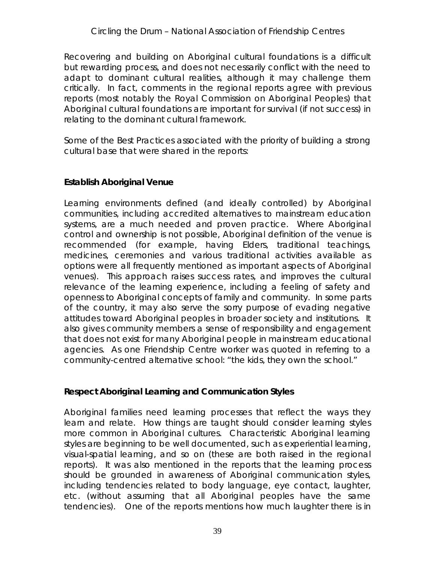Recovering and building on Aboriginal cultural foundations is a difficult but rewarding process, and does not necessarily conflict with the need to adapt to dominant cultural realities, although it may challenge them critically. In fact, comments in the regional reports agree with previous reports (most notably the Royal Commission on Aboriginal Peoples) that Aboriginal cultural foundations are important for survival (if not success) in relating to the dominant cultural framework.

Some of the Best Practices associated with the priority of building a strong cultural base that were shared in the reports:

## **Establish Aboriginal Venue**

Learning environments defined (and ideally controlled) by Aboriginal communities, including accredited alternatives to mainstream education systems, are a much needed and proven practice. Where Aboriginal control and ownership is not possible, Aboriginal definition of the venue is recommended (for example, having Elders, traditional teachings, medicines, ceremonies and various traditional activities available as options were all frequently mentioned as important aspects of Aboriginal venues). This approach raises success rates, and improves the cultural relevance of the learning experience, including a feeling of safety and openness to Aboriginal concepts of family and community. In some parts of the country, it may also serve the sorry purpose of evading negative attitudes toward Aboriginal peoples in broader society and institutions. It also gives community members a sense of responsibility and engagement that does not exist for many Aboriginal people in mainstream educational agencies. As one Friendship Centre worker was quoted in referring to a community-centred alternative school: "the kids, they own the school."

**Respect Aboriginal Learning and Communication Styles**

Aboriginal families need learning processes that reflect the ways they learn and relate. How things are taught should consider learning styles more common in Aboriginal cultures. Characteristic Aboriginal learning styles are beginning to be well documented, such as experiential learning, visual-spatial learning, and so on (these are both raised in the regional reports). It was also mentioned in the reports that the learning process should be grounded in awareness of Aboriginal communication styles, including tendencies related to body language, eye contact, laughter, etc. (without assuming that all Aboriginal peoples have the same tendencies). One of the reports mentions how much laughter there is in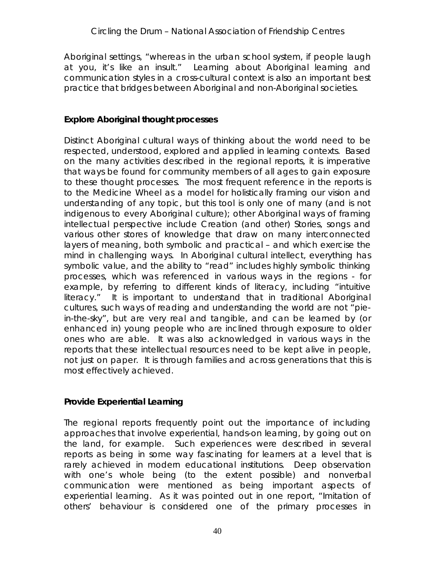Aboriginal settings, "whereas in the urban school system, if people laugh at you, it's like an insult." Learning *about* Aboriginal learning and communication styles in a cross-cultural context is also an important best practice that bridges between Aboriginal and non-Aboriginal societies.

## **Explore Aboriginal thought processes**

Distinct Aboriginal cultural ways of thinking about the world need to be respected, understood, explored and applied in learning contexts. Based on the many activities described in the regional reports, it is imperative that ways be found for community members of all ages to gain exposure to these thought processes. The most frequent reference in the reports is to the Medicine Wheel as a model for holistically framing our vision and understanding of any topic, but this tool is only one of many (and is not indigenous to every Aboriginal culture); other Aboriginal ways of framing intellectual perspective include Creation (and other) Stories, songs and various other stores of knowledge that draw on many interconnected layers of meaning, both symbolic and practical – and which exercise the mind in challenging ways. In Aboriginal cultural intellect, everything has symbolic value, and the ability to "read" includes highly symbolic thinking processes, which was referenced in various ways in the regions - for example, by referring to different kinds of literacy, including "intuitive literacy." It is important to understand that in traditional Aboriginal cultures, such ways of reading and understanding the world are not "piein-the-sky", but are very real and tangible, and can be learned by (or enhanced in) young people who are inclined through exposure to older ones who are able. It was also acknowledged in various ways in the reports that these intellectual resources need to be kept alive in *people*, not just on paper. It is *through families* and *across generations* that this is most effectively achieved.

## **Provide Experiential Learning**

The regional reports frequently point out the importance of including approaches that involve experiential, hands-on learning, by going out on the land, for example. Such experiences were described in several reports as being in some way *fascinating* for learners at a level that is rarely achieved in modern educational institutions. Deep observation with one's whole being (to the extent possible) and nonverbal communication were mentioned as being important aspects of experiential learning. As it was pointed out in one report, "Imitation of others' behaviour is considered one of the primary processes in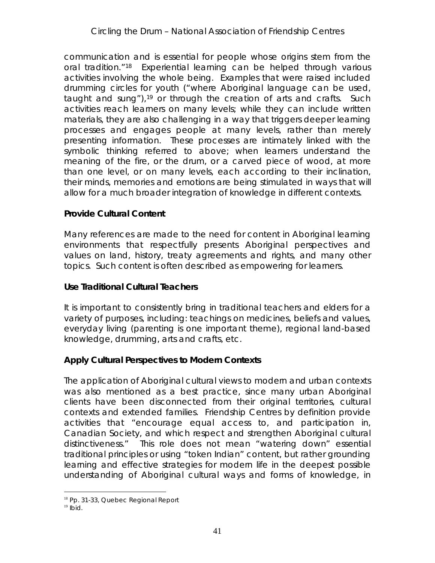communication and is essential for people whose origins stem from the oral tradition."18 Experiential learning can be helped through various activities involving the whole being. Examples that were raised included drumming circles for youth ("where Aboriginal language can be used, taught and sung"),<sup>19</sup> or through the creation of arts and crafts. Such activities reach learners on many levels; while they can include written materials, they are also challenging in a way that triggers deeper learning processes and engages people at many levels, rather than merely presenting information. These processes are intimately linked with the symbolic thinking referred to above; when learners understand the *meaning* of the fire, or the drum, or a carved piece of wood, at more than one level, or on many levels, each according to their inclination, their minds, memories and emotions are being stimulated in ways that will allow for a much broader integration of knowledge in different contexts.

## **Provide Cultural Content**

Many references are made to the need for content in Aboriginal learning environments that respectfully presents Aboriginal perspectives and values on land, history, treaty agreements and rights, and many other topics. Such content is often described as empowering for learners.

## **Use Traditional Cultural Teachers**

It is important to consistently bring in traditional teachers and elders for a variety of purposes, including: teachings on medicines, beliefs and values, everyday living (parenting is one important theme), regional land-based knowledge, drumming, arts and crafts, etc.

## **Apply Cultural Perspectives to Modern Contexts**

The application of Aboriginal cultural views to modern and urban contexts was also mentioned as a best practice, since many urban Aboriginal clients have been disconnected from their original territories, cultural contexts and extended families. Friendship Centres by definition provide activities that "encourage equal access to, and participation in, Canadian Society, and which respect and strengthen Aboriginal cultural distinctiveness." This role does not mean "watering down" essential traditional principles or using "token Indian" content, but rather *grounding* learning and effective strategies for modern life in the deepest possible understanding of Aboriginal cultural ways and forms of knowledge, in

<sup>&</sup>lt;sup>18</sup> Pp. 31-33, Quebec Regional Report

 $19$  Ibid.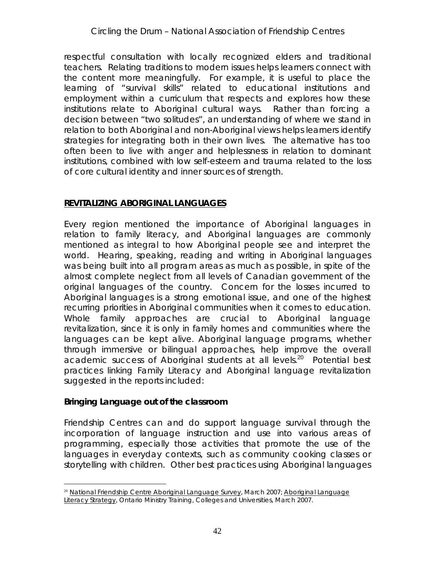respectful consultation with locally recognized elders and traditional teachers. Relating traditions to modern issues helps learners connect with the content more meaningfully. For example, it is useful to place the learning of "survival skills" related to educational institutions and employment within a curriculum that respects and explores how these institutions relate to Aboriginal cultural ways. Rather than forcing a decision between "two solitudes", an understanding of where we stand in relation to both Aboriginal and non-Aboriginal views helps learners identify strategies for integrating both in their own lives. The alternative has too often been to live with anger and helplessness in relation to dominant institutions, combined with low self-esteem and trauma related to the loss of core cultural identity and inner sources of strength.

## **REVITALIZING ABORIGINAL LANGUAGES**

Every region mentioned the importance of Aboriginal languages in relation to family literacy, and Aboriginal languages are commonly mentioned as integral to how Aboriginal people see and interpret the world. Hearing, speaking, reading and writing in Aboriginal languages was being built into all program areas as much as possible, in spite of the almost complete neglect from all levels of Canadian government of the original languages of the country. Concern for the losses incurred to Aboriginal languages is a strong emotional issue, and one of the highest recurring priorities in Aboriginal communities when it comes to education. Whole family approaches are crucial to Aboriginal language revitalization, since it is only in family homes and communities where the languages can be kept alive. Aboriginal language programs, whether through immersive or bilingual approaches, help improve the overall academic success of Aboriginal students at all levels.<sup>20</sup> Potential best practices linking Family Literacy and Aboriginal language revitalization suggested in the reports included:

**Bringing Language out of the classroom**

Friendship Centres can and do support language survival through the incorporation of language instruction and use into various areas of programming, especially those activities that promote the use of the languages in everyday contexts, such as community cooking classes or storytelling with children. Other best practices using Aboriginal languages

<sup>&</sup>lt;sup>20</sup> National Friendship Centre Aboriginal Language Survey, March 2007; Aboriginal Language Literacy Strategy, Ontario Ministry Training, Colleges and Universities, March 2007.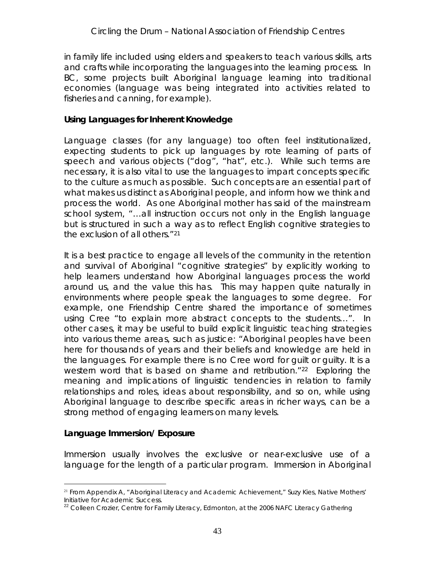in family life included using elders and speakers to teach various skills, arts and crafts while incorporating the languages into the learning process. In BC, some projects built Aboriginal language learning into traditional economies (language was being integrated into activities related to fisheries and canning, for example).

**Using Languages for Inherent Knowledge**

Language classes (for any language) too often feel institutionalized, expecting students to pick up languages by rote learning of parts of speech and various objects ("dog", "hat", etc.). While such terms are necessary, it is also vital to use the languages to impart *concepts specific to the culture* as much as possible. Such concepts are an essential part of what makes us distinct as Aboriginal people, and inform *how* we think and process the world. As one Aboriginal mother has said of the mainstream school system, "…all instruction occurs not only in the English language but is structured in such a way as to reflect English cognitive strategies to the exclusion of all others."21

It is a best practice to engage all levels of the community in the retention and survival of Aboriginal "cognitive strategies" by explicitly working to help learners understand *how* Aboriginal languages process the world around us, and *the value this has*. This may happen quite naturally in environments where people speak the languages to some degree. For example, one Friendship Centre shared the importance of sometimes using Cree "to explain more abstract concepts to the students…". In other cases, it may be useful to build explicit linguistic teaching strategies into various theme areas, such as justice: "Aboriginal peoples have been here for thousands of years and their beliefs and knowledge are held in the languages. For example there is no Cree word for guilt or guilty. It is a western word that is based on shame and retribution."<sup>22</sup> Exploring the meaning and implications of linguistic tendencies in relation to family relationships and roles, ideas about responsibility, and so on, while using Aboriginal language to describe specific areas in richer ways, can be a strong method of engaging learners on many levels.

**Language Immersion/ Exposure**

Immersion usually involves the exclusive or near-exclusive use of a language for the length of a particular program. Immersion in Aboriginal

<sup>&</sup>lt;sup>21</sup> From Appendix A, "Aboriginal Literacy and Academic Achievement," Suzy Kies, Native Mothers' Initiative for Academic Success.

 $22$  Colleen Crozier, Centre for Family Literacy, Edmonton, at the 2006 NAFC Literacy Gathering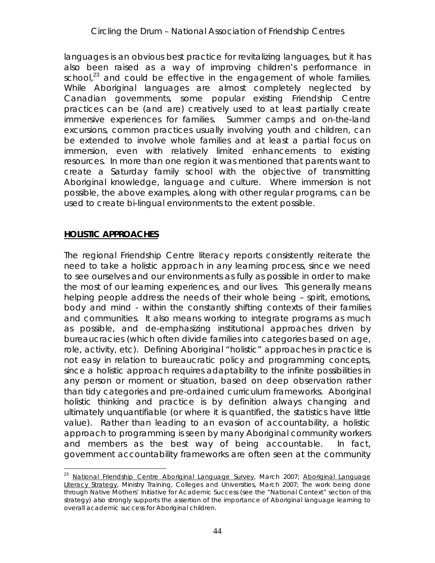languages is an obvious best practice for revitalizing languages, but it has also been raised as a way of improving children's performance in school, $^{23}$  and could be effective in the engagement of whole families. While Aboriginal languages are almost completely neglected by Canadian governments, some popular existing Friendship Centre practices can be (and are) creatively used to at least partially create immersive experiences for families. Summer camps and on-the-land excursions, common practices usually involving youth and children, can be extended to involve whole families and at least a partial focus on immersion, even with relatively limited enhancements to existing resources. In more than one region it was mentioned that parents want to create a Saturday family school with the objective of transmitting Aboriginal knowledge, language and culture. Where immersion is not possible, the above examples, along with other regular programs, can be used to create bi-lingual environments to the extent possible.

## **HOLISTIC APPROACHES**

The regional Friendship Centre literacy reports consistently reiterate the need to take a holistic approach in any learning process, since we need to see ourselves and our environments as fully as possible in order to make the most of our learning experiences, and our lives. This generally means helping people address the needs of their whole being – spirit, emotions, body and mind - within the constantly shifting contexts of their families and communities. It also means working to integrate programs as much as possible, and de-emphasizing institutional approaches driven by bureaucracies (which often *divide* families into categories based on age, role, activity, etc). Defining Aboriginal "holistic" approaches in practice is not easy in relation to bureaucratic policy and programming concepts, since a holistic approach requires adaptability to the infinite possibilities in any person or moment or situation, based on deep observation rather than tidy categories and pre-ordained curriculum frameworks. Aboriginal holistic thinking and practice is by definition always changing and ultimately unquantifiable (or where it is quantified, the statistics have little value). Rather than leading to an evasion of accountability, a holistic approach to programming is seen by many Aboriginal community workers and members as the best way of *being accountable*. In fact, government accountability frameworks are often seen at the community

<sup>&</sup>lt;sup>23</sup> National Friendship Centre Aboriginal Language Survey, March 2007; Aboriginal Language Literacy Strategy, Ministry Training, Colleges and Universities, March 2007; The work being done through Native Mothers' Initiative for Academic Success (see the "National Context" section of this strategy) also strongly supports the assertion of the importance of Aboriginal language learning to overall academic success for Aboriginal children.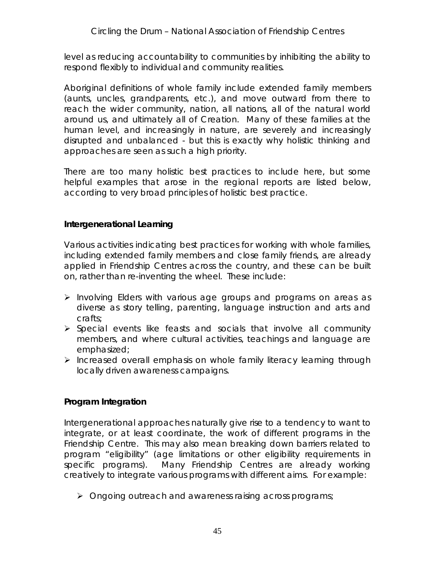level as *reducing accountability* to communities by inhibiting the ability to respond flexibly to individual and community realities.

Aboriginal definitions of whole family include extended family members (aunts, uncles, grandparents, etc.), and move outward from there to reach the wider community, nation, all nations, all of the natural world around us, and ultimately all of Creation. Many of these families at the human level, and increasingly in nature, are severely and increasingly disrupted and *unbalanced* - but this is exactly why holistic thinking and approaches are seen as such a high priority.

There are too many holistic best practices to include here, but some helpful examples that arose in the regional reports are listed below, according to very broad principles of holistic best practice.

## **Intergenerational Learning**

Various activities indicating best practices for working with whole families, including extended family members and close family friends, are already applied in Friendship Centres across the country, and these can be built on, rather than re-inventing the wheel. These include:

- $\triangleright$  Involving Elders with various age groups and programs on areas as diverse as story telling, parenting, language instruction and arts and crafts;
- $\triangleright$  Special events like feasts and socials that involve all community members, and where cultural activities, teachings and language are emphasized;
- $\triangleright$  Increased overall emphasis on whole family literacy learning through locally driven awareness campaigns.

#### **Program Integration**

Intergenerational approaches naturally give rise to a tendency to want to integrate, or at least coordinate, the work of different programs in the Friendship Centre. This may also mean breaking down barriers related to program "eligibility" (age limitations or other eligibility requirements in specific programs). Many Friendship Centres are already working creatively to integrate various programs with different aims. For example:

Ongoing outreach and awareness raising *across programs*;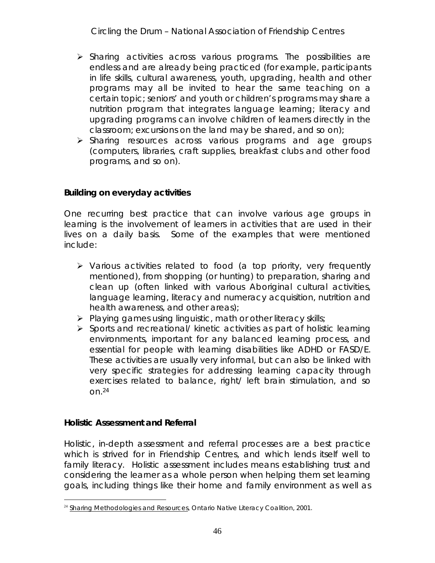- $\triangleright$  Sharing activities across various programs. The possibilities are endless and are already being practiced (for example, participants in life skills, cultural awareness, youth, upgrading, health and other programs may all be invited to hear the same teaching on a certain topic; seniors' and youth or children's programs may share a nutrition program that integrates language learning; literacy and upgrading programs can involve children of learners directly in the classroom; excursions on the land may be shared, and so on);
- > Sharing resources across various programs and age groups (computers, libraries, craft supplies, breakfast clubs and other food programs, and so on).

**Building on everyday activities**

One recurring best practice that can involve various age groups in learning is the involvement of learners in activities that are used in their lives on a daily basis. Some of the examples that were mentioned include:

- $\triangleright$  Various activities related to food (a top priority, very frequently mentioned), from shopping (or hunting) to preparation, sharing and clean up (often linked with various Aboriginal cultural activities, language learning, literacy and numeracy acquisition, nutrition and health awareness, and other areas);
- $\triangleright$  Playing games using linguistic, math or other literacy skills;
- $\triangleright$  Sports and recreational/ kinetic activities as part of holistic learning environments, important for any balanced learning process, and essential for people with learning disabilities like ADHD or FASD/E. These activities are usually very informal, but can also be linked with very specific strategies for addressing learning capacity through exercises related to balance, right/ left brain stimulation, and so  $On.<sup>24</sup>$

**Holistic Assessment and Referral**

Holistic, in-depth assessment and referral processes are a best practice which is strived for in Friendship Centres, and which lends itself well to family literacy. Holistic assessment includes means establishing trust and considering the learner as a whole person when helping them set learning goals, including things like their home and family environment as well as

<sup>&</sup>lt;sup>24</sup> Sharing Methodologies and Resources, Ontario Native Literacy Coalition, 2001.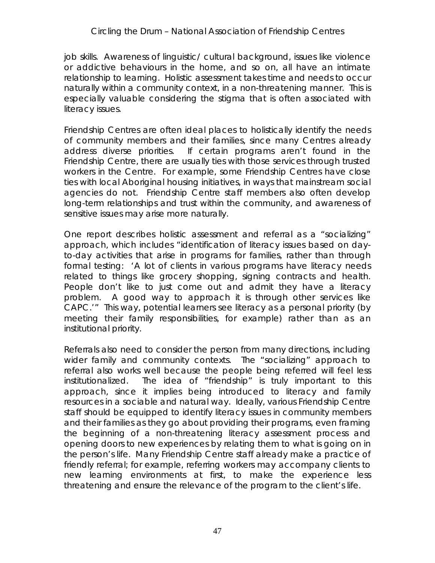## *Circling the Drum* – National Association of Friendship Centres

job skills. Awareness of linguistic/ cultural background, issues like violence or addictive behaviours in the home, and so on, all have an intimate relationship to learning. Holistic assessment takes time and needs to occur naturally within a community context, in a non-threatening manner. This is especially valuable considering the stigma that is often associated with literacy issues.

Friendship Centres are often ideal places to holistically identify the needs of community members and their families, since many Centres already address diverse priorities. If certain programs aren't found in the Friendship Centre, there are usually ties with those services through trusted workers in the Centre. For example, some Friendship Centres have close ties with local Aboriginal housing initiatives, in ways that mainstream social agencies do not. Friendship Centre staff members also often develop long-term relationships and trust within the community, and awareness of sensitive issues may arise more naturally.

One report describes holistic assessment and referral as a "socializing" approach, which includes "identification of literacy issues based on dayto-day activities that arise in programs for families, rather than through formal testing: 'A lot of clients in various programs have literacy needs related to things like grocery shopping, signing contracts and health. People don't like to just come out and admit they have a literacy problem. A good way to approach it is through other services like CAPC.'" This way, potential learners see literacy as a personal priority (by meeting their family responsibilities, for example) rather than as an institutional priority.

Referrals also need to consider the person from many directions, including wider family and community contexts. The "socializing" approach to referral also works well because the people being referred will feel less institutionalized. The idea of "friendship" is truly important to this approach, since it implies being introduced to literacy and family resources in a sociable and natural way. Ideally, various Friendship Centre staff should be equipped to identify literacy issues in community members and their families as they go about providing their programs, even framing the beginning of a non-threatening literacy assessment process and opening doors to new experiences by relating them to what is going on in the person's life. Many Friendship Centre staff already make a practice of friendly referral; for example, referring workers may accompany clients to new learning environments at first, to make the experience less threatening and ensure the relevance of the program to the client's life.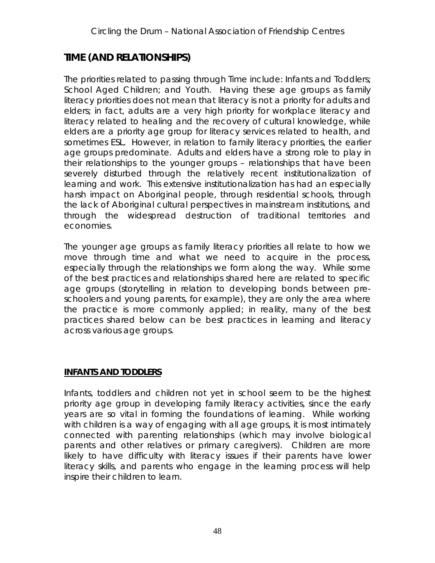# **TIME (AND RELATIONSHIPS)**

The priorities related to passing through Time include: Infants and Toddlers; School Aged Children; and Youth. Having these age groups as family literacy priorities does not mean that *literacy* is not a priority for adults and elders; in fact, adults are a very high priority for workplace literacy and literacy related to healing and the recovery of cultural knowledge, while elders are a priority age group for literacy services related to health, and sometimes ESL. However, in relation to *family literacy priorities,* the earlier age groups predominate. Adults and elders have a strong role to play in their *relationships* to the younger groups – relationships that have been severely disturbed through the relatively recent institutionalization of learning and work. This extensive institutionalization has had an especially harsh impact on Aboriginal people, through residential schools, through the lack of Aboriginal cultural perspectives in mainstream institutions, and through the widespread destruction of traditional territories and economies.

The younger age groups as family literacy priorities all relate to how we move through time and what we need to acquire in the process, especially through the *relationships* we form along the way. While some of the best practices and relationships shared here are related to specific age groups (storytelling in relation to developing bonds between preschoolers and young parents, for example), they are only the area where the practice is more commonly applied; in reality, many of the best practices shared below can be best practices in learning and literacy across various age groups.

## **INFANTS AND TODDLERS**

Infants, toddlers and children not yet in school seem to be the highest priority age group in developing family literacy activities, since the early years are so vital in forming the foundations of learning. While working with children is a way of engaging with all age groups, it is most intimately connected with *parenting relationships* (which may involve biological parents and other relatives or primary caregivers). Children are more likely to have difficulty with literacy issues if their parents have lower literacy skills, and parents who engage in the learning process will help inspire their children to learn.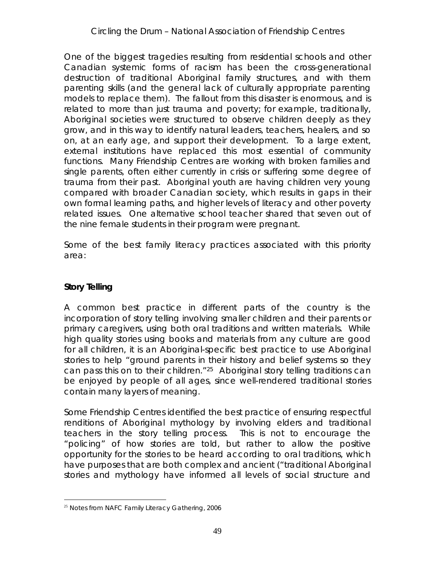One of the biggest tragedies resulting from residential schools and other Canadian systemic forms of racism has been the cross-generational destruction of traditional Aboriginal family structures, and with them parenting skills (and the general lack of culturally appropriate parenting models to replace them). The fallout from this disaster is enormous, and is related to more than just trauma and poverty; for example, traditionally, Aboriginal societies were structured to observe children deeply as they grow, and in this way to identify natural leaders, teachers, healers, and so on, at an early age, and support their development. To a large extent, external institutions have replaced this most essential of community functions. Many Friendship Centres are working with broken families and single parents, often either currently in crisis or suffering some degree of trauma from their past. Aboriginal youth are having children very young compared with broader Canadian society, which results in gaps in their own formal learning paths, and higher levels of literacy and other poverty related issues. One alternative school teacher shared that seven out of the nine female students in their program were pregnant.

Some of the best family literacy practices associated with this priority area:

## **Story Telling**

A common best practice in different parts of the country is the incorporation of story telling involving smaller children and their parents or primary caregivers, using both oral traditions and written materials. While high quality stories using books and materials from any culture are good for all children, it is an Aboriginal-specific best practice to use *Aboriginal* stories to help "ground parents in their history and belief systems so they can pass this on to their children."25 Aboriginal story telling traditions can be enjoyed by people of all ages, since well-rendered traditional stories contain many layers of meaning.

Some Friendship Centres identified the best practice of ensuring respectful renditions of Aboriginal mythology by involving elders and traditional teachers in the story telling process. This is not to encourage the "policing" of how stories are told, but rather to allow the positive *opportunity* for the stories to be heard according to oral traditions, which have purposes that are both complex and ancient ("traditional Aboriginal stories and mythology have informed all levels of social structure and

<sup>&</sup>lt;sup>25</sup> Notes from NAFC Family Literacy Gathering, 2006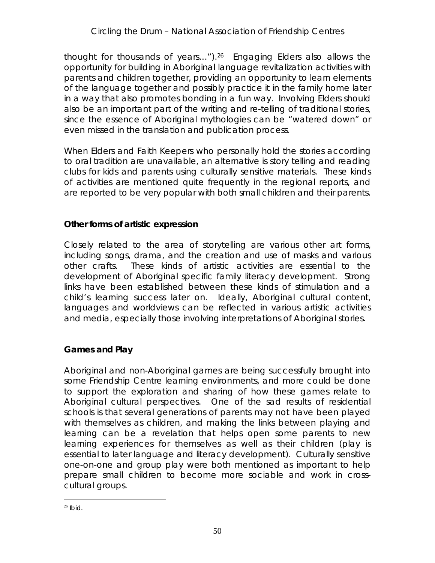thought for thousands of years…").26 Engaging Elders also allows the opportunity for building in Aboriginal language revitalization activities with parents and children together, providing an opportunity to learn elements of the language together and possibly practice it in the family home later in a way that also promotes bonding in a fun way. Involving Elders should also be an important part of the writing and re-telling of traditional stories, since the essence of Aboriginal mythologies can be "watered down" or even missed in the translation and publication process.

When Elders and Faith Keepers who personally hold the stories according to oral tradition are unavailable, an alternative is story telling and reading clubs for kids and parents using culturally sensitive materials. These kinds of activities are mentioned quite frequently in the regional reports, and are reported to be very popular with both small children and their parents.

## **Other forms of artistic expression**

Closely related to the area of storytelling are various other art forms, including songs, drama, and the creation and use of masks and various other crafts. These kinds of artistic activities are essential to the development of Aboriginal specific family literacy development. Strong links have been established between these kinds of stimulation and a child's learning success later on. Ideally, Aboriginal cultural content, languages and worldviews can be reflected in various artistic activities and media, especially those involving interpretations of Aboriginal stories.

## **Games and Play**

Aboriginal and non-Aboriginal games are being successfully brought into some Friendship Centre learning environments, and more could be done to support the exploration and sharing of how these games relate to Aboriginal cultural perspectives. One of the sad results of residential schools is that several generations of parents may not have been played with themselves as children, and making the links between playing and learning can be a revelation that helps open some parents to new learning experiences for themselves as well as their children (play is essential to later language and literacy development). Culturally sensitive one-on-one and group play were both mentioned as important to help prepare small children to become more sociable and work in crosscultural groups.

 $26$  Ibid.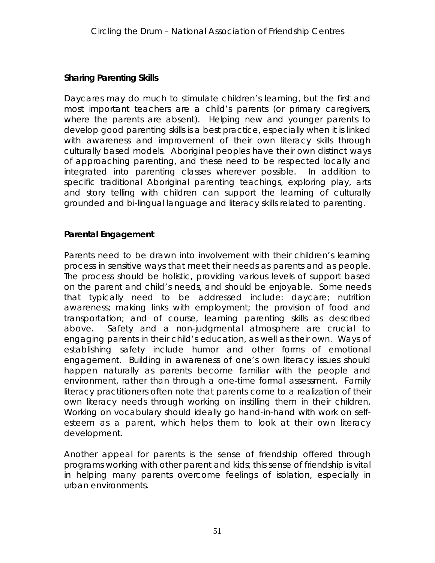## **Sharing Parenting Skills**

Daycares may do much to stimulate children's learning, but the first and most important teachers are a child's parents (or primary caregivers, where the parents are absent). Helping new and younger parents to develop good parenting skills is a best practice, especially when it is linked with awareness and improvement of their own literacy skills through culturally based models. Aboriginal peoples have their own distinct ways of approaching parenting, and these need to be respected locally and integrated into parenting classes wherever possible. In addition to specific traditional Aboriginal parenting teachings, exploring play, arts and story telling with children can support the learning of culturally grounded and bi-lingual language and literacy skills related to parenting.

## **Parental Engagement**

Parents need to be drawn into involvement with their children's learning process in sensitive ways that meet their needs as parents and as people. The process should be holistic, providing various levels of support based on the parent and child's needs, and should be enjoyable. Some needs that typically need to be addressed include: daycare; nutrition awareness; making links with employment; the provision of food and transportation; and of course, learning parenting skills as described above. Safety and a non-judgmental atmosphere are crucial to engaging parents in their child's education, as well as their own. Ways of establishing safety include humor and other forms of emotional engagement. Building in awareness of one's own literacy issues should happen naturally as parents become familiar with the people and environment, rather than through a one-time formal assessment. Family literacy practitioners often note that parents come to a realization of their own literacy needs through working on instilling them in their children. Working on vocabulary should ideally go hand-in-hand with work on selfesteem as a parent, which helps them to look at their own literacy development.

Another appeal for parents is the sense of friendship offered through programs working with other parent and kids; this sense of friendship is vital in helping many parents overcome feelings of isolation, especially in urban environments.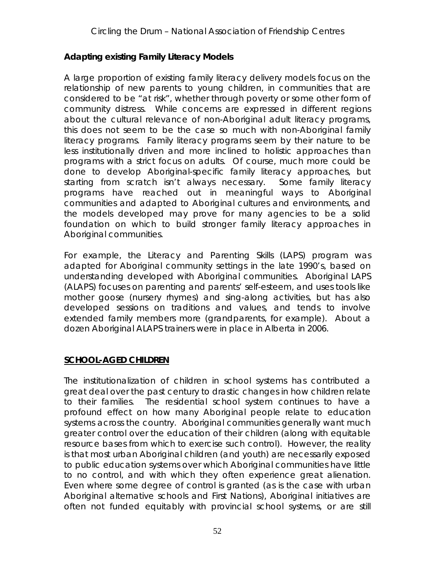## **Adapting existing Family Literacy Models**

A large proportion of existing family literacy delivery models focus on the relationship of new parents to young children, in communities that are considered to be "at risk", whether through poverty or some other form of community distress. While concerns are expressed in different regions about the cultural relevance of non-Aboriginal *adult* literacy programs, this does not seem to be the case so much with non-Aboriginal *family* literacy programs. Family literacy programs seem by their nature to be less institutionally driven and more inclined to holistic approaches than programs with a strict focus on adults. Of course, much more could be done to develop Aboriginal-specific family literacy approaches, but starting from scratch isn't always necessary. Some family literacy programs have reached out in meaningful ways to Aboriginal communities and adapted to Aboriginal cultures and environments, and the models developed may prove for many agencies to be a solid foundation on which to build stronger family literacy approaches in Aboriginal communities.

For example, the Literacy and Parenting Skills (LAPS) program was adapted for Aboriginal community settings in the late 1990's, based on understanding developed with Aboriginal communities. Aboriginal LAPS (ALAPS) focuses on parenting and parents' self-esteem, and uses tools like mother goose (nursery rhymes) and sing-along activities, but has also developed sessions on traditions and values, and tends to involve extended family members more (grandparents, for example). About a dozen Aboriginal ALAPS trainers were in place in Alberta in 2006.

## **SCHOOL-AGED CHILDREN**

The institutionalization of children in school systems has contributed a great deal over the past century to drastic changes in how children relate to their families. The residential school system continues to have a profound effect on how many Aboriginal people relate to education systems across the country. Aboriginal communities generally want much greater control over the education of their children (along with equitable resource bases from which to exercise such control). However, the reality is that most urban Aboriginal children (and youth) are necessarily exposed to public education systems over which Aboriginal communities have little to no control, and with which they often experience great alienation. Even where some degree of control is granted (as is the case with urban Aboriginal alternative schools and First Nations), Aboriginal initiatives are often not funded equitably with provincial school systems, or are still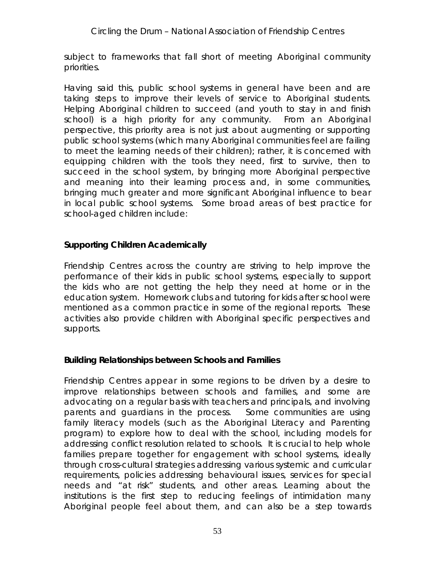subject to frameworks that fall short of meeting Aboriginal community priorities.

Having said this, public school systems in general have been and are taking steps to improve their levels of service to Aboriginal students. Helping Aboriginal children to succeed (and youth to *stay* in and finish school) is a high priority for any community. From an Aboriginal perspective, this priority area is not just about augmenting or supporting public school systems (which many Aboriginal communities feel are failing to meet the learning needs of their children); rather, it is concerned with equipping children with the tools they need, first to *survive*, then to *succeed in* the school system, by bringing more Aboriginal perspective and meaning into their learning process and, in some communities, bringing much greater and more significant Aboriginal influence to bear in local public school systems. Some broad areas of best practice for school-aged children include:

**Supporting Children Academically**

Friendship Centres across the country are striving to help improve the performance of their kids in public school systems, especially to support the kids who are not getting the help they need at home or in the education system. Homework clubs and tutoring for kids after school were mentioned as a common practice in some of the regional reports. These activities also provide children with Aboriginal specific perspectives and supports.

**Building Relationships between Schools and Families**

Friendship Centres appear in some regions to be driven by a desire to improve relationships between schools and families, and some are advocating on a regular basis with teachers and principals, and involving parents and guardians in the process. Some communities are using family literacy models (such as the Aboriginal Literacy and Parenting program) to explore how to deal with the school, including models for addressing conflict resolution related to schools. It is crucial to help whole families prepare together for engagement with school systems, ideally through *cross-cultural* strategies addressing various systemic and curricular requirements, policies addressing behavioural issues, services for special needs and "at risk" students, and other areas. Learning about the institutions is the first step to reducing feelings of intimidation many Aboriginal people feel about them, and can also be a step towards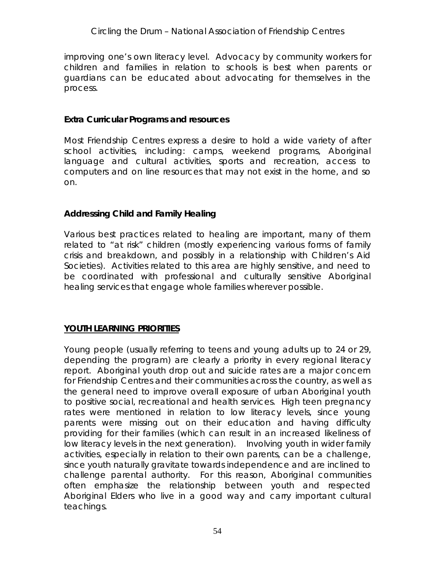improving one's own literacy level. Advocacy by community workers for children and families in relation to schools is best when parents or guardians can be educated about advocating for themselves in the process.

#### **Extra Curricular Programs and resources**

Most Friendship Centres express a desire to hold a wide variety of after school activities, including: camps, weekend programs, Aboriginal language and cultural activities, sports and recreation, access to computers and on line resources that may not exist in the home, and so on.

#### **Addressing Child and Family Healing**

Various best practices related to healing are important, many of them related to "at risk" children (mostly experiencing various forms of family crisis and breakdown, and possibly in a relationship with Children's Aid Societies). Activities related to this area are highly sensitive, and need to be coordinated with professional and culturally sensitive Aboriginal healing services that engage whole families wherever possible.

#### **YOUTH LEARNING PRIORITIES**

Young people (usually referring to teens and young adults up to 24 or 29, depending the program) are clearly a priority in every regional literacy report. Aboriginal youth drop out and suicide rates are a major concern for Friendship Centres and their communities across the country, as well as the general need to improve overall exposure of urban Aboriginal youth to positive social, recreational and health services. High teen pregnancy rates were mentioned in relation to low literacy levels, since young parents were missing out on their education and having difficulty providing for their families (which can result in an increased likeliness of low literacy levels in the next generation). Involving youth in wider family activities, especially in relation to their own parents, can be a challenge, since youth naturally gravitate towards independence and are inclined to *challenge* parental authority. For this reason, Aboriginal communities often emphasize the *relationship between youth and respected Aboriginal Elders* who live in a good way and carry important cultural teachings.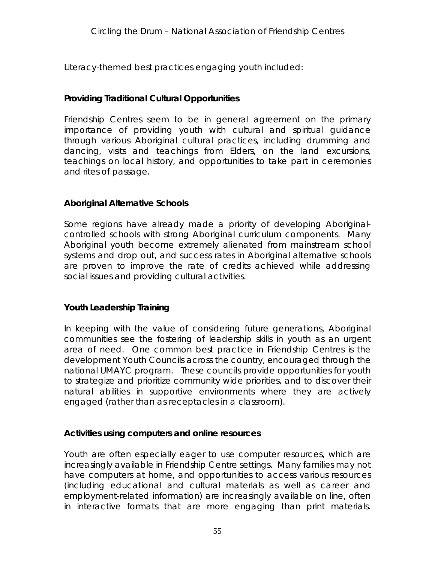Literacy-themed best practices engaging youth included:

## **Providing Traditional Cultural Opportunities**

Friendship Centres seem to be in general agreement on the primary importance of providing youth with cultural and spiritual guidance through various Aboriginal cultural practices, including drumming and dancing, visits and teachings from Elders, on the land excursions, teachings on local history, and opportunities to take part in ceremonies and rites of passage.

## **Aboriginal Alternative Schools**

Some regions have already made a priority of developing Aboriginalcontrolled schools with strong Aboriginal curriculum components. Many Aboriginal youth become extremely alienated from mainstream school systems and drop out, and success rates in Aboriginal alternative schools are proven to improve the rate of credits achieved while addressing social issues and providing cultural activities.

## **Youth Leadership Training**

In keeping with the value of considering future generations, Aboriginal communities see the fostering of leadership skills in youth as an urgent area of need. One common best practice in Friendship Centres is the development Youth Councils across the country, encouraged through the national UMAYC program. These councils provide opportunities for youth to strategize and prioritize community wide priorities, and to discover their natural abilities in supportive environments where they are actively engaged (rather than as receptacles in a classroom).

**Activities using computers and online resources**

Youth are often especially eager to use computer resources, which are increasingly available in Friendship Centre settings. Many families may not have computers at home, and opportunities to access various resources (including educational and cultural materials as well as career and employment-related information) are increasingly available on line, often in interactive formats that are more engaging than print materials.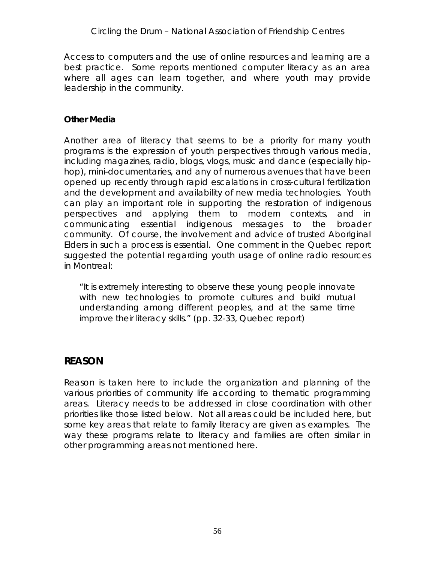Access to computers and the use of online resources and learning are a best practice. Some reports mentioned computer literacy as an area where all ages can learn together, and where youth may provide leadership in the community.

## **Other Media**

Another area of literacy that seems to be a priority for many youth programs is the expression of youth perspectives through various media, including magazines, radio, blogs, vlogs, music and dance (especially hiphop), mini-documentaries, and any of numerous avenues that have been opened up recently through rapid escalations in cross-cultural fertilization and the development and availability of new media technologies. Youth can play an important role in supporting the restoration of indigenous perspectives and applying them to modern contexts, and in communicating essential indigenous messages to the broader community. Of course, the involvement and advice of trusted Aboriginal Elders in such a process is essential. One comment in the Quebec report suggested the potential regarding youth usage of online radio resources in Montreal:

"It is extremely interesting to observe these young people innovate with new technologies to promote cultures and build mutual understanding among different peoples, and at the same time improve their literacy skills." (pp. 32-33, Quebec report)

## **REASON**

Reason is taken here to include the organization and planning of the various priorities of community life according to thematic programming areas. Literacy needs to be addressed in close coordination with other priorities like those listed below. Not all areas could be included here, but some key areas that relate to family literacy are given as examples. The way these programs relate to literacy and families are often similar in other programming areas not mentioned here.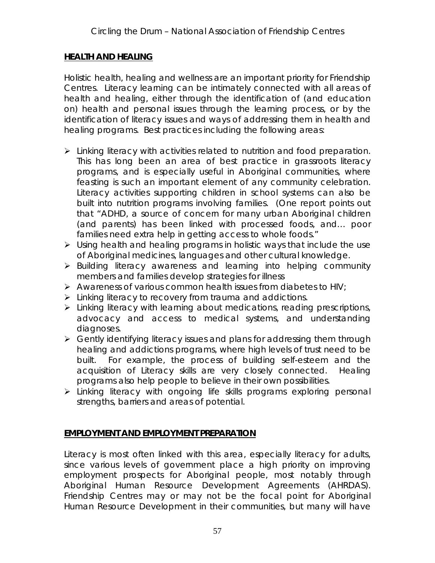#### **HEALTH AND HEALING**

Holistic health, healing and wellness are an important priority for Friendship Centres. Literacy learning can be intimately connected with all areas of health and healing, either through the identification of (and education on) health and personal issues through the learning process, or by the identification of literacy issues and ways of addressing them in health and healing programs. Best practices including the following areas:

- $\triangleright$  Linking literacy with activities related to nutrition and food preparation. This has long been an area of best practice in grassroots literacy programs, and is especially useful in Aboriginal communities, where feasting is such an important element of any community celebration. Literacy activities supporting children in school systems can also be built into nutrition programs involving families. (One report points out that "ADHD, a source of concern for many urban Aboriginal children (and parents) has been linked with processed foods, and… poor families need extra help in getting access to whole foods."
- $\triangleright$  Using health and healing programs in holistic ways that include the use of Aboriginal medicines, languages and other cultural knowledge.
- Building literacy awareness and learning into helping community members and families develop strategies for illness
- $\triangleright$  Awareness of various common health issues from diabetes to HIV;
- I Linking literacy to recovery from trauma and addictions.
- Linking literacy with learning about medications, reading prescriptions, advocacy and access to medical systems, and understanding diagnoses.
- $\triangleright$  Gently identifying literacy issues and plans for addressing them through healing and addictions programs, where high levels of trust need to be built. For example, the process of building self-esteem and the acquisition of Literacy skills are very closely connected. Healing programs also help people to believe in their own possibilities.
- $\triangleright$  Linking literacy with ongoing life skills programs exploring personal strengths, barriers and areas of potential.

## **EMPLOYMENT AND EMPLOYMENT PREPARATION**

Literacy is most often linked with this area, especially literacy for adults, since various levels of government place a high priority on improving employment prospects for Aboriginal people, most notably through Aboriginal Human Resource Development Agreements (AHRDAS). Friendship Centres may or may not be the focal point for Aboriginal Human Resource Development in their communities, but many will have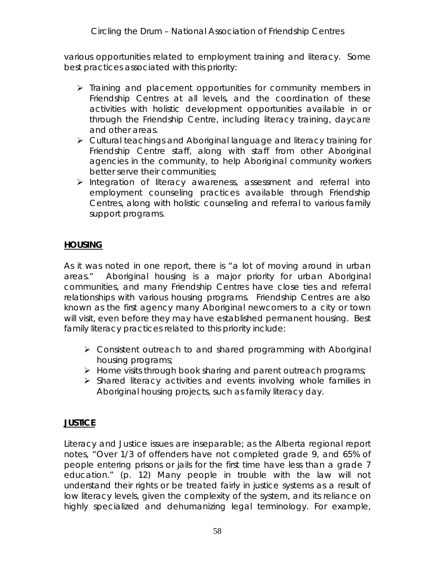various opportunities related to employment training and literacy. Some best practices associated with this priority:

- $\triangleright$  Training and placement opportunities for community members in Friendship Centres at all levels, and the coordination of these activities with holistic development opportunities available in or through the Friendship Centre, including literacy training, daycare and other areas.
- Cultural teachings and Aboriginal language and literacy training for Friendship Centre staff, along with staff from other Aboriginal agencies in the community, to help Aboriginal community workers better serve their communities;
- $\triangleright$  Integration of literacy awareness, assessment and referral into employment counseling practices available through Friendship Centres, along with holistic counseling and referral to various family support programs.

## **HOUSING**

As it was noted in one report, there is "a lot of moving around in urban areas." Aboriginal housing is a major priority for urban Aboriginal communities, and many Friendship Centres have close ties and referral relationships with various housing programs. Friendship Centres are also known as the first agency many Aboriginal newcomers to a city or town will visit, even before they may have established permanent housing. Best family literacy practices related to this priority include:

- Consistent outreach to and shared programming with Aboriginal housing programs;
- $\triangleright$  Home visits through book sharing and parent outreach programs;
- $\triangleright$  Shared literacy activities and events involving whole families in Aboriginal housing projects, such as family literacy day.

## **JUSTICE**

Literacy and Justice issues are inseparable; as the Alberta regional report notes, "Over 1/3 of offenders have not completed grade 9, and 65% of people entering prisons or jails for the first time have less than a grade 7 education." (p. 12) Many people in trouble with the law will not understand their rights or be treated fairly in justice systems as a result of low literacy levels, given the complexity of the system, and its reliance on highly specialized and dehumanizing legal terminology. For example,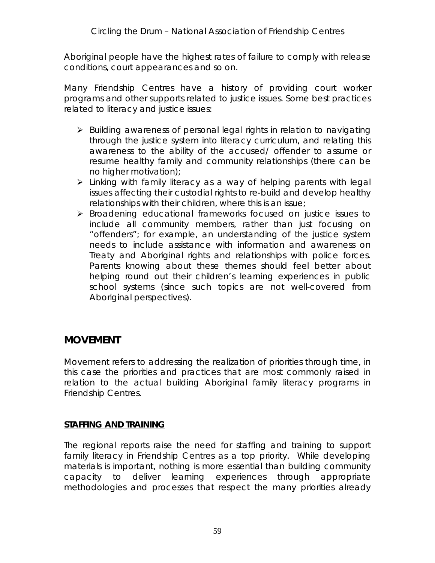Aboriginal people have the highest rates of failure to comply with release conditions, court appearances and so on.

Many Friendship Centres have a history of providing court worker programs and other supports related to justice issues. Some best practices related to literacy and justice issues:

- $\triangleright$  Building awareness of personal legal rights in relation to navigating through the justice system into literacy curriculum, and relating this awareness to the ability of the accused/ offender to assume or resume healthy family and community relationships (there can be no higher motivation);
- Linking with family literacy as a way of helping parents with legal issues affecting their custodial rights to re-build and develop healthy relationships with their children, where this is an issue;
- Broadening educational frameworks focused on justice issues to include all community members, rather than just focusing on "offenders"; for example, an understanding of the justice system needs to include assistance with information and awareness on Treaty and Aboriginal rights and relationships with police forces. Parents knowing about these themes should feel better about helping round out their children's learning experiences in public school systems (since such topics are not well-covered from Aboriginal perspectives).

## **MOVEMENT**

Movement refers to addressing the *realization* of priorities through time, in this case the priorities and practices that are most commonly raised in relation to the actual *building* Aboriginal family literacy programs in Friendship Centres.

#### **STAFFING AND TRAINING**

The regional reports raise the need for staffing and training to support family literacy in Friendship Centres as a top priority. While developing materials is important, nothing is more essential than building community capacity to deliver learning experiences through appropriate *methodologies and processes* that respect the many priorities already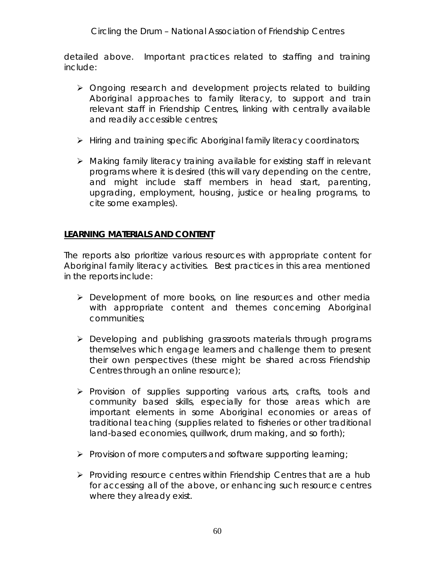detailed above. Important practices related to staffing and training include:

- Ongoing research and development projects related to building Aboriginal approaches to family literacy, to support and train relevant staff in Friendship Centres, linking with centrally available and readily accessible centres;
- > Hiring and training specific Aboriginal family literacy coordinators;
- $\triangleright$  Making family literacy training available for existing staff in relevant programs where it is desired (this will vary depending on the centre, and might include staff members in head start, parenting, upgrading, employment, housing, justice or healing programs, to cite some examples).

## **LEARNING MATERIALS AND CONTENT**

The reports also prioritize various resources with appropriate content for Aboriginal family literacy activities. Best practices in this area mentioned in the reports include:

- Development of more books, on line resources and other media with appropriate content and themes concerning Aboriginal communities;
- Developing and publishing grassroots materials through programs themselves which engage learners and challenge them to present their own perspectives (these might be shared across Friendship Centres through an online resource);
- $\triangleright$  Provision of supplies supporting various arts, crafts, tools and community based skills, especially for those areas which are important elements in some Aboriginal economies or areas of traditional teaching (supplies related to fisheries or other traditional land-based economies, quillwork, drum making, and so forth);
- $\triangleright$  Provision of more computers and software supporting learning;
- $\triangleright$  Providing resource centres within Friendship Centres that are a hub for accessing all of the above, or enhancing such resource centres where they already exist.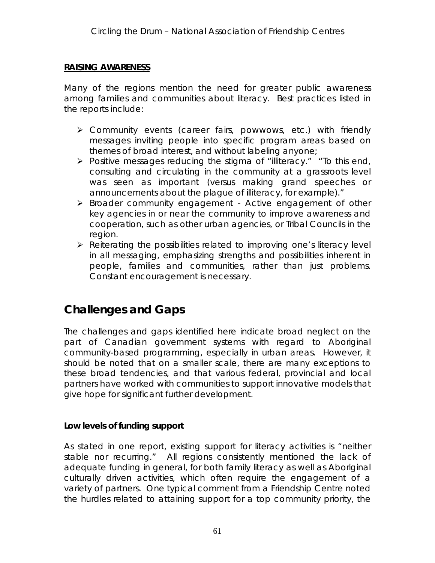#### **RAISING AWARENESS**

Many of the regions mention the need for greater public awareness among families and communities about literacy. Best practices listed in the reports include:

- Community events (career fairs, powwows, etc.) with friendly messages inviting people into specific program areas based on themes of broad interest, and without labeling anyone;
- > Positive messages reducing the stigma of "illiteracy." "To this end, consulting and circulating in the community at a grassroots level was seen as important (versus making grand speeches or announcements about the plague of illiteracy, for example)."
- Broader community engagement Active engagement of other key agencies in or near the community to improve awareness and cooperation, such as other urban agencies, or Tribal Councils in the region.
- $\triangleright$  Reiterating the possibilities related to improving one's literacy level in all messaging, emphasizing strengths and possibilities inherent in people, families and communities, rather than just problems. Constant encouragement is necessary.

# **Challenges and Gaps**

The challenges and gaps identified here indicate broad neglect on the part of Canadian government systems with regard to Aboriginal community-based programming, especially in urban areas. However, it should be noted that on a smaller scale, there are many exceptions to these broad tendencies, and that various federal, provincial and local partners have worked with communities to support innovative models that give hope for significant further development.

**Low levels of funding support**

As stated in one report, existing support for literacy activities is "neither stable nor recurring." All regions consistently mentioned the lack of adequate funding in general, for both family literacy as well as Aboriginal culturally driven activities, which often require the engagement of a variety of partners. One typical comment from a Friendship Centre noted the hurdles related to attaining support for a top community priority, the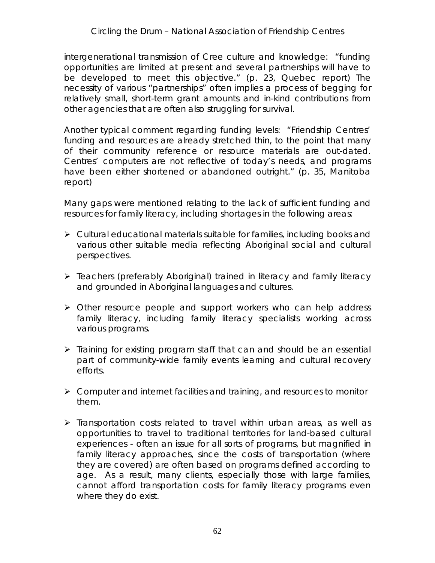intergenerational transmission of Cree culture and knowledge: "funding opportunities are limited at present and several partnerships will have to be developed to meet this objective." (p. 23, Quebec report) The necessity of various "partnerships" often implies a process of begging for relatively small, short-term grant amounts and in-kind contributions from other agencies that are often also struggling for survival.

Another typical comment regarding funding levels: "Friendship Centres' funding and resources are already stretched thin, to the point that many of their community reference or resource materials are out-dated. Centres' computers are not reflective of today's needs, and programs have been either shortened or abandoned outright." (p. 35, Manitoba report)

Many gaps were mentioned relating to the lack of sufficient funding and resources for family literacy, including shortages in the following areas:

- $\triangleright$  Cultural educational materials suitable for families, including books and various other suitable media reflecting Aboriginal social and cultural perspectives.
- Teachers (preferably Aboriginal) trained in literacy and family literacy and grounded in Aboriginal languages and cultures.
- > Other resource people and support workers who can help address family literacy, including family literacy specialists working across various programs.
- $\triangleright$  Training for existing program staff that can and should be an essential part of community-wide family events learning and cultural recovery efforts.
- $\triangleright$  Computer and internet facilities and training, and resources to monitor them.
- $\triangleright$  Transportation costs related to travel within urban areas, as well as opportunities to travel to traditional territories for land-based cultural experiences - often an issue for all sorts of programs, but magnified in family literacy approaches, since the costs of transportation (where they are covered) are often based on programs defined according to age. As a result, many clients, especially those with large families, cannot afford transportation costs for family literacy programs even where they do exist.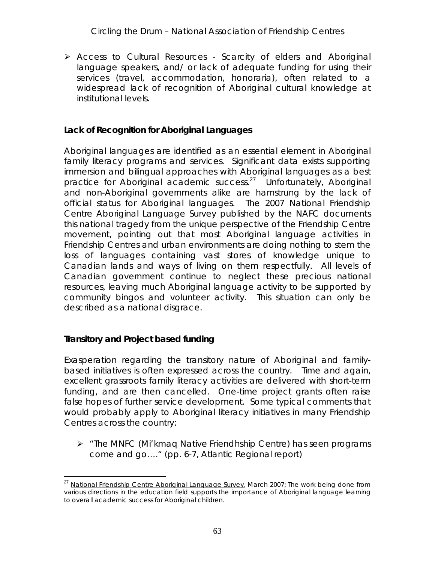Access to Cultural Resources - Scarcity of elders and Aboriginal language speakers, and/ or lack of adequate funding for using their services (travel, accommodation, honoraria), often related to a widespread lack of recognition of Aboriginal cultural knowledge at institutional levels.

**Lack of Recognition for Aboriginal Languages**

Aboriginal languages are identified as an essential element in Aboriginal family literacy programs and services. Significant data exists supporting immersion and bilingual approaches with Aboriginal languages as a best practice for Aboriginal academic success.<sup>27</sup> Unfortunately, Aboriginal and non-Aboriginal governments alike are hamstrung by the lack of official status for Aboriginal languages. The 2007 National Friendship Centre Aboriginal Language Survey published by the NAFC documents this national tragedy from the unique perspective of the Friendship Centre movement, pointing out that most Aboriginal language activities in Friendship Centres and urban environments are doing nothing to stem the loss of languages containing vast stores of knowledge unique to Canadian lands and ways of living on them respectfully. All levels of Canadian government continue to neglect these precious national resources, leaving much Aboriginal language activity to be supported by community bingos and volunteer activity. This situation can only be described as a national disgrace.

**Transitory and Project based funding**

Exasperation regarding the transitory nature of Aboriginal and familybased initiatives is often expressed across the country. Time and again, excellent grassroots family literacy activities are delivered with short-term funding, and are then cancelled. One-time project grants often raise false hopes of further service development. Some typical comments that would probably apply to Aboriginal literacy initiatives in many Friendship Centres across the country:

 $\triangleright$  "The MNFC (Mi'kmag Native Friendhship Centre) has seen programs come and go…." (pp. 6-7, Atlantic Regional report)

<sup>&</sup>lt;sup>27</sup> National Friendship Centre Aboriginal Language Survey, March 2007; The work being done from various directions in the education field supports the importance of Aboriginal language learning to overall academic success for Aboriginal children.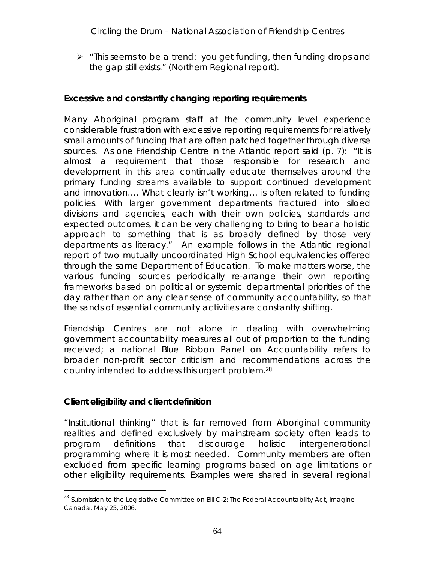$\triangleright$  "This seems to be a trend: you get funding, then funding drops and the gap still exists." (Northern Regional report).

**Excessive and constantly changing reporting requirements**

Many Aboriginal program staff at the community level experience considerable frustration with excessive reporting requirements for relatively small amounts of funding that are often patched together through diverse sources. As one Friendship Centre in the Atlantic report said (p. 7): "It is almost a requirement that those responsible for research and development in this area continually educate themselves around the primary funding streams available to support continued development and innovation…. What clearly isn't working… is often related to funding policies. With larger government departments fractured into siloed divisions and agencies, each with their own policies, standards and expected outcomes, it can be very challenging to bring to bear a holistic approach to something that is as broadly defined by those very departments as literacy." An example follows in the Atlantic regional report of two mutually uncoordinated High School equivalencies offered through the same Department of Education. To make matters worse, the various funding sources periodically re-arrange their own reporting frameworks based on political or systemic departmental priorities of the day rather than on any clear sense of community accountability, so that the sands of essential community activities are constantly shifting.

Friendship Centres are not alone in dealing with overwhelming government accountability measures all out of proportion to the funding received; a national Blue Ribbon Panel on Accountability refers to broader non-profit sector criticism and recommendations across the country intended to address this urgent problem.28

**Client eligibility and client definition**

"Institutional thinking" that is far removed from Aboriginal community realities and defined exclusively by mainstream society often leads to program definitions that discourage holistic intergenerational programming where it is most needed. Community members are often excluded from specific learning programs based on age limitations or other eligibility requirements. Examples were shared in several regional

 $^{28}$  Submission to the Legislative Committee on Bill C-2: The Federal Accountability Act, Imagine Canada, May 25, 2006.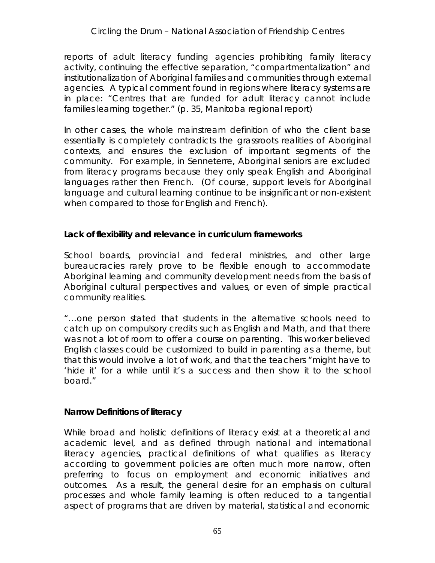reports of adult literacy funding agencies prohibiting family literacy activity, continuing the effective separation, "compartmentalization" and institutionalization of Aboriginal families and communities through external agencies. A typical comment found in regions where literacy systems are in place: "Centres that are funded for adult literacy cannot include families learning together." (p. 35, Manitoba regional report)

In other cases, the whole mainstream definition of *who the client base essentially is* completely contradicts the grassroots realities of Aboriginal contexts, and ensures the exclusion of important segments of the community. For example, in Senneterre, Aboriginal seniors are excluded from literacy programs because they only speak English and Aboriginal languages rather then French. (Of course, support levels for Aboriginal language and cultural learning continue to be insignificant or non-existent when compared to those for English and French).

**Lack of flexibility and relevance in curriculum frameworks**

School boards, provincial and federal ministries, and other large bureaucracies rarely prove to be flexible enough to accommodate Aboriginal learning and community development needs from the basis of Aboriginal cultural perspectives and values, or even of simple practical community realities.

"…one person stated that students in the alternative schools need to catch up on compulsory credits such as English and Math, and that there was not a lot of room to offer a course on parenting. This worker believed English classes could be customized to build in parenting as a theme, but that this would involve a lot of work, and that the teachers "might have to 'hide it' for a while until it's a success and then show it to the school board."

**Narrow Definitions of literacy**

While broad and holistic definitions of literacy exist at a theoretical and academic level, and as defined through national and international literacy agencies, practical definitions of what qualifies as literacy according to government policies are often much more narrow, often preferring to focus on employment and economic initiatives and outcomes. As a result, the general desire for an emphasis on cultural processes and whole family learning is often reduced to a tangential aspect of programs that are driven by material, statistical and economic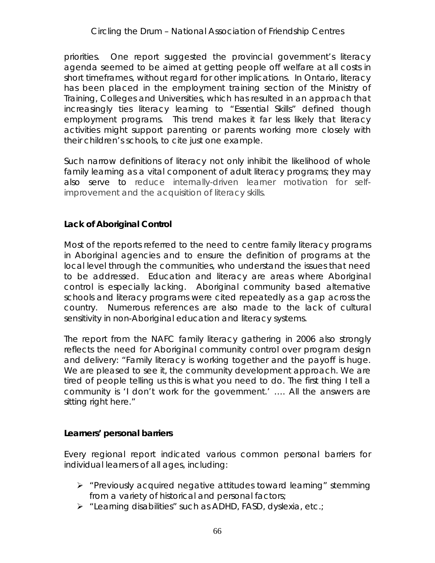priorities. One report suggested the provincial government's literacy agenda seemed to be aimed at getting people off welfare at all costs in short timeframes, without regard for other implications. In Ontario, literacy has been placed in the employment training section of the Ministry of Training, Colleges and Universities, which has resulted in an approach that increasingly ties literacy learning to "Essential Skills" defined though employment programs. This trend makes it far less likely that literacy activities might support parenting or parents working more closely with their children's schools, to cite just one example.

Such narrow definitions of literacy not only inhibit the likelihood of whole family learning as a vital component of adult literacy programs; they may also serve to reduce internally-driven learner motivation for selfimprovement and the acquisition of literacy skills.

## **Lack of Aboriginal Control**

Most of the reports referred to the need to centre family literacy programs in Aboriginal agencies and to ensure the definition of programs at the local level through the communities, who understand the issues that need to be addressed. Education and literacy are areas where Aboriginal control is especially lacking. Aboriginal community based alternative schools and literacy programs were cited repeatedly as a gap across the country. Numerous references are also made to the lack of cultural sensitivity in non-Aboriginal education and literacy systems.

The report from the NAFC family literacy gathering in 2006 also strongly reflects the need for Aboriginal community control over program design and delivery: "Family literacy is working together and the payoff is huge. We are pleased to see it, the community development approach. We are tired of people telling us this is what you need to do. The first thing I tell a community is 'I don't work for the government.' …. All the answers are sitting right here."

**Learners' personal barriers**

Every regional report indicated various common personal barriers for individual learners of all ages, including:

- $\triangleright$  "Previously acquired negative attitudes toward learning" stemming from a variety of historical and personal factors;
- > "Learning disabilities" such as ADHD, FASD, dyslexia, etc.;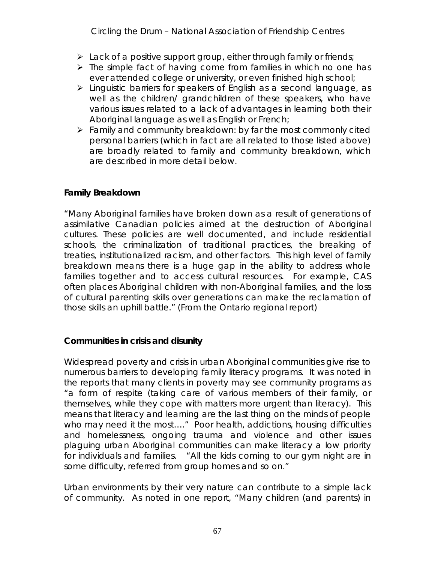*Circling the Drum* – National Association of Friendship Centres

- $\triangleright$  Lack of a positive support group, either through family or friends;
- $\triangleright$  The simple fact of having come from families in which no one has ever attended college or university, or even finished high school;
- > Linguistic barriers for speakers of English as a second language, as well as the children/ grandchildren of these speakers, who have various issues related to a lack of advantages in learning both their Aboriginal language as well as English or French;
- $\triangleright$  Family and community breakdown: by far the most commonly cited personal barriers (which in fact are all related to those listed above) are broadly related to family and community breakdown, which are described in more detail below.

## **Family Breakdown**

"Many Aboriginal families have broken down as a result of generations of assimilative Canadian policies aimed at the destruction of Aboriginal cultures. These policies are well documented, and include residential schools, the criminalization of traditional practices, the breaking of treaties, institutionalized racism, and other factors. This high level of family breakdown means there is a huge gap in the ability to address whole families together and to access cultural resources. For example, CAS often places Aboriginal children with non-Aboriginal families, and the loss of cultural parenting skills over generations can make the reclamation of those skills an uphill battle." (From the Ontario regional report)

**Communities in crisis and disunity**

Widespread poverty and crisis in urban Aboriginal communities give rise to numerous barriers to developing family literacy programs. It was noted in the reports that many clients in poverty may see community programs as "a form of respite (taking care of various members of their family, or themselves, while they cope with matters more urgent than literacy). This means that literacy and learning are the last thing on the minds of people who may need it the most…." Poor health, addictions, housing difficulties and homelessness, ongoing trauma and violence and other issues plaguing urban Aboriginal communities can make literacy a low priority for individuals and families. "All the kids coming to our gym night are in some difficulty, referred from group homes and so on."

Urban environments by their very nature can contribute to a simple *lack of community*. As noted in one report, "Many children (and parents) in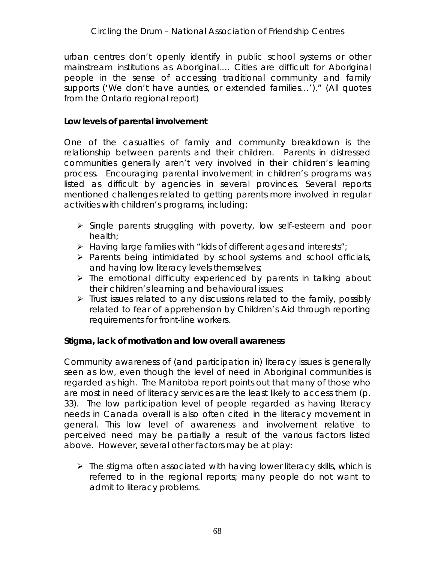urban centres don't openly identify in public school systems or other mainstream institutions as Aboriginal…. Cities are difficult for Aboriginal people in the sense of accessing traditional community and family supports ('We don't have aunties, or extended families…')." (All quotes from the Ontario regional report)

**Low levels of parental involvement**

One of the casualties of family and community breakdown is the relationship between parents and their children. Parents in distressed communities generally aren't very involved in their children's learning process. Encouraging parental involvement in children's programs was listed as difficult by agencies in several provinces. Several reports mentioned challenges related to getting parents more involved in regular activities with children's programs, including:

- $\triangleright$  Single parents struggling with poverty, low self-esteem and poor health;
- $\triangleright$  Having large families with "kids of different ages and interests";
- $\triangleright$  Parents being intimidated by school systems and school officials, and having low literacy levels themselves;
- $\triangleright$  The emotional difficulty experienced by parents in talking about their children's learning and behavioural issues;
- $\triangleright$  Trust issues related to any discussions related to the family, possibly related to fear of apprehension by Children's Aid through reporting requirements for front-line workers.

**Stigma, lack of motivation and low overall awareness**

Community awareness of (and participation in) literacy issues is generally seen as low, even though the level of need in Aboriginal communities is regarded as high. The Manitoba report points out that many of those who are most in need of literacy services are the least likely to access them (p. 33). The low participation level of people regarded as having literacy needs in Canada overall is also often cited in the literacy movement in general. This low level of awareness and involvement relative to perceived need may be partially a result of the various factors listed above. However, several other factors may be at play:

 $\triangleright$  The stigma often associated with having lower literacy skills, which is referred to in the regional reports; many people do not want to admit to literacy problems.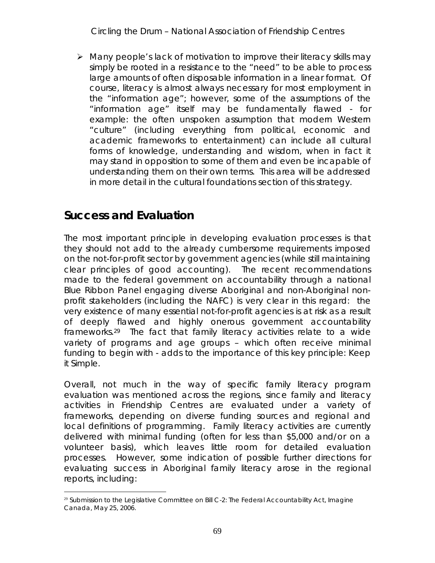$\triangleright$  Many people's lack of motivation to improve their literacy skills may simply be rooted in a resistance to the "need" to be able to process large amounts of often disposable information in a linear format. Of course, literacy is almost always necessary for most employment in the "information age"; however, some of the assumptions of the "information age" itself may be fundamentally flawed - for example: the often unspoken assumption that modern Western "culture" (including everything from political, economic and academic frameworks to entertainment) can include all cultural forms of knowledge, understanding and wisdom, when in fact it may stand in opposition to some of them and even be incapable of understanding them on their own terms. This area will be addressed in more detail in the cultural foundations section of this strategy.

# **Success and Evaluation**

The most important principle in developing evaluation processes is that they should *not add* to the already cumbersome requirements imposed on the not-for-profit sector by government agencies (while still maintaining clear principles of good accounting). The recent recommendations made to the federal government on accountability through a national Blue Ribbon Panel engaging diverse Aboriginal and non-Aboriginal nonprofit stakeholders (including the NAFC) is very clear in this regard: the very existence of many essential not-for-profit agencies is at risk as a result of deeply flawed and highly onerous government accountability frameworks.29 The fact that family literacy activities relate to a wide variety of programs and age groups – which often receive minimal funding to begin with - adds to the importance of this key principle: *Keep it Simple.*

Overall, not much in the way of specific family literacy program evaluation was mentioned across the regions, since family and literacy activities in Friendship Centres are evaluated under a variety of frameworks, depending on diverse funding sources and regional and local definitions of programming. Family literacy activities are currently delivered with minimal funding (often for less than \$5,000 and/or on a volunteer basis), which leaves little room for detailed evaluation processes. However, some indication of possible further directions for evaluating success in Aboriginal family literacy arose in the regional reports, including:

<sup>&</sup>lt;sup>29</sup> Submission to the Legislative Committee on Bill C-2: The Federal Accountability Act, Imagine Canada, May 25, 2006.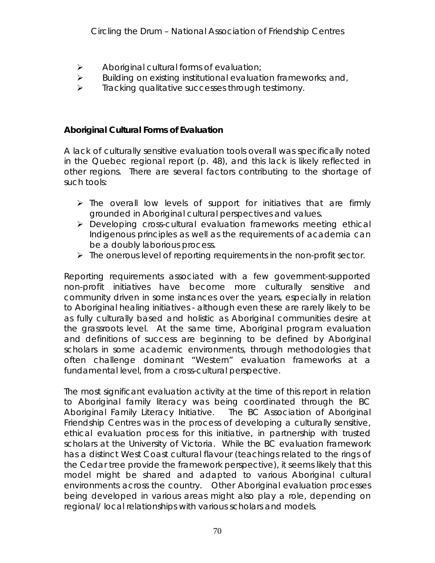- $\triangleright$  Aboriginal cultural forms of evaluation;
- $\triangleright$  Building on existing institutional evaluation frameworks; and,
- $\triangleright$  Tracking qualitative successes through testimony.

**Aboriginal Cultural Forms of Evaluation** 

A lack of culturally sensitive evaluation tools overall was specifically noted in the Quebec regional report (p. 48), and this lack is likely reflected in other regions. There are several factors contributing to the shortage of such tools:

- $\triangleright$  The overall low levels of support for initiatives that are firmly grounded in Aboriginal cultural perspectives and values.
- Developing cross-cultural evaluation frameworks meeting ethical Indigenous principles as well as the requirements of academia can be a doubly laborious process.
- $\triangleright$  The onerous level of reporting requirements in the non-profit sector.

Reporting requirements associated with a few government-supported non-profit initiatives have become more culturally sensitive and community driven in some instances over the years, especially in relation to Aboriginal healing initiatives - although even these are rarely likely to be as fully culturally based and holistic as Aboriginal communities desire at the grassroots level. At the same time, Aboriginal program evaluation and definitions of success are beginning to be defined by Aboriginal scholars in some academic environments, through methodologies that often challenge dominant "Western" evaluation frameworks at a fundamental level, from a cross-cultural perspective.

The most significant evaluation activity at the time of this report in relation to Aboriginal family literacy was being coordinated through the BC Aboriginal Family Literacy Initiative. The BC Association of Aboriginal Friendship Centres was in the process of developing a culturally sensitive, ethical evaluation process for this initiative, in partnership with trusted scholars at the University of Victoria. While the BC evaluation framework has a distinct West Coast cultural flavour (teachings related to the rings of the Cedar tree provide the framework perspective), it seems likely that this model might be shared and adapted to various Aboriginal cultural environments across the country. Other Aboriginal evaluation processes being developed in various areas might also play a role, depending on regional/ local relationships with various scholars and models.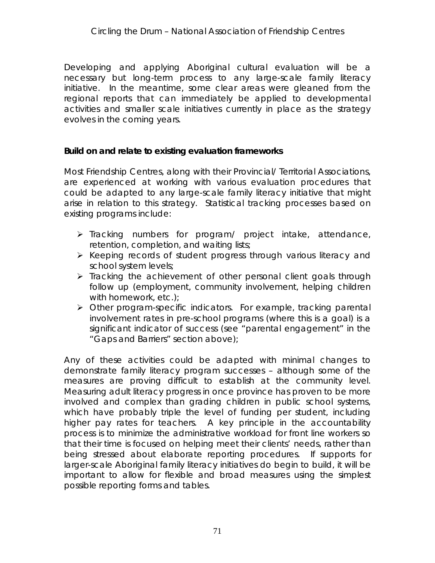Developing and applying Aboriginal cultural evaluation will be a necessary but long-term process to any large-scale family literacy initiative. In the meantime, some clear areas were gleaned from the regional reports that can immediately be applied to developmental activities and smaller scale initiatives currently in place as the strategy evolves in the coming years.

**Build on and relate to existing evaluation frameworks**

Most Friendship Centres, along with their Provincial/ Territorial Associations, are experienced at working with various evaluation procedures that could be adapted to any large-scale family literacy initiative that might arise in relation to this strategy. Statistical tracking processes based on existing programs include:

- $\triangleright$  Tracking numbers for program/ project intake, attendance, retention, completion, and waiting lists;
- $\triangleright$  Keeping records of student progress through various literacy and school system levels;
- $\triangleright$  Tracking the achievement of other personal client goals through follow up (employment, community involvement, helping children with homework, etc.);
- Other program-specific indicators. For example, tracking parental involvement rates in pre-school programs (where this is a goal) is a significant indicator of success (see "parental engagement" in the "Gaps and Barriers" section above);

Any of these activities could be adapted with minimal changes to demonstrate family literacy program successes – although some of the measures are proving difficult to establish at the community level. Measuring adult literacy progress in once province has proven to be more involved and complex than grading children in public school systems, which have probably triple the level of funding per student, including higher pay rates for teachers. A key principle in the accountability process is to minimize the administrative workload for front line workers so that their time is focused on helping meet their clients' needs, rather than being stressed about elaborate reporting procedures. If supports for larger-scale Aboriginal family literacy initiatives do begin to build, it will be important to allow for flexible and broad measures using the simplest possible reporting forms and tables.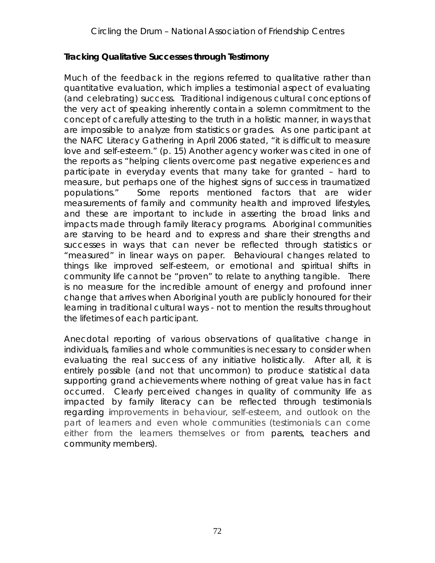#### **Tracking Qualitative Successes through Testimony**

Much of the feedback in the regions referred to qualitative rather than quantitative evaluation, which implies a *testimonial* aspect of evaluating (and celebrating) success. Traditional indigenous cultural conceptions of the very act of speaking inherently contain a solemn commitment to the concept of carefully attesting to the truth in a holistic manner, in ways that are impossible to analyze from statistics or grades. As one participant at the NAFC Literacy Gathering in April 2006 stated, "it is difficult to measure love and self-esteem." (p. 15) Another agency worker was cited in one of the reports as "helping clients overcome past negative experiences and participate in everyday events that many take for granted – hard to measure, but perhaps one of the highest signs of success in traumatized populations." Some reports mentioned factors that are wider measurements of family and community health and improved lifestyles, and these are important to include in asserting the broad links and impacts made through family literacy programs. Aboriginal communities are starving to be *heard* and to express and share their strengths and successes in ways that can never be reflected through statistics or "measured" in linear ways on paper. Behavioural changes related to things like improved self-esteem, or emotional and spiritual shifts in community life cannot be "proven" to relate to anything tangible. There is no measure for the incredible amount of energy and profound inner change that arrives when Aboriginal youth are publicly honoured for their learning in traditional cultural ways - not to mention the results throughout the lifetimes of each participant.

Anecdotal reporting of various observations of qualitative change in individuals, families and whole communities is necessary to consider when evaluating the real success of any initiative holistically. After all, it is entirely possible (and not that uncommon) to produce statistical data supporting grand achievements where nothing of great value has in fact occurred. Clearly perceived changes in *quality* of community life as impacted by family literacy can be reflected through testimonials regarding improvements in behaviour, self-esteem, and outlook on the part of learners and even whole communities (testimonials can come either from the learners themselves or from parents, teachers and community members).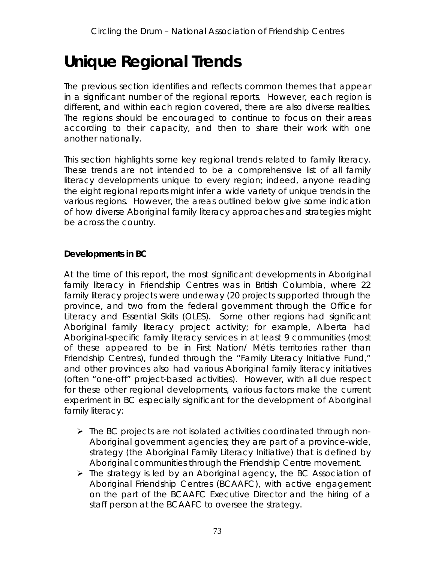# **Unique Regional Trends**

The previous section identifies and reflects common themes that appear in a significant number of the regional reports. However, each region is different, and within each region covered, there are also diverse realities. The regions should be encouraged to continue to focus on their areas according to their capacity, and then to share their work with one another nationally.

This section highlights some key regional trends related to family literacy. These trends are not intended to be a comprehensive list of all family literacy developments unique to every region; indeed, anyone reading the eight regional reports might infer a wide variety of unique trends in the various regions. However, the areas outlined below give some indication of how diverse Aboriginal family literacy approaches and strategies might be across the country.

**Developments in BC** 

At the time of this report, the most significant developments in Aboriginal family literacy in Friendship Centres was in British Columbia, where 22 family literacy projects were underway (20 projects supported through the province, and two from the federal government through the Office for Literacy and Essential Skills (OLES). Some other regions had significant Aboriginal family literacy project activity; for example, Alberta had Aboriginal-specific family literacy services in at least 9 communities (most of these appeared to be in First Nation/ Métis territories rather than Friendship Centres), funded through the "Family Literacy Initiative Fund," and other provinces also had various Aboriginal family literacy initiatives (often "one-off" project-based activities). However, with all due respect for these other regional developments, various factors make the current experiment in BC especially significant for the development of Aboriginal family literacy:

- $\triangleright$  The BC projects are not isolated activities coordinated through non-Aboriginal government agencies; they are part of a province-wide, strategy (the Aboriginal Family Literacy Initiative) that is defined by Aboriginal communities through the Friendship Centre movement.
- $\triangleright$  The strategy is led by an Aboriginal agency, the BC Association of Aboriginal Friendship Centres (BCAAFC), with active engagement on the part of the BCAAFC Executive Director and the hiring of a staff person at the BCAAFC to oversee the strategy.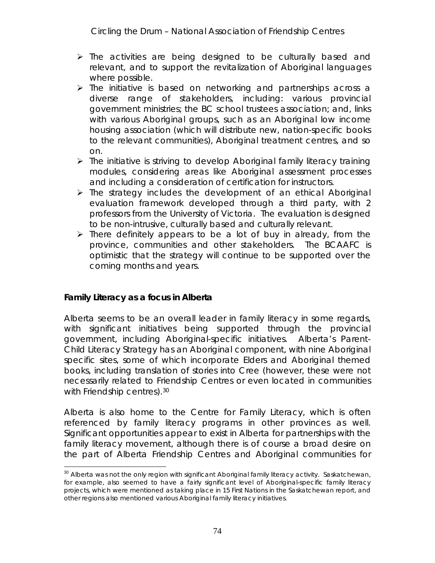- $\triangleright$  The activities are being designed to be culturally based and relevant, and to support the revitalization of Aboriginal languages where possible.
- $\triangleright$  The initiative is based on networking and partnerships across a diverse range of stakeholders, including: various provincial government ministries; the BC school trustees association; and, links with various Aboriginal groups, such as an Aboriginal low income housing association (which will distribute new, nation-specific books to the relevant communities), Aboriginal treatment centres, and so on.
- > The initiative is striving to develop Aboriginal family literacy training modules, considering areas like Aboriginal assessment processes and including a consideration of certification for instructors.
- $\triangleright$  The strategy includes the development of an ethical Aboriginal evaluation framework developed through a third party, with 2 professors from the University of Victoria. The evaluation is designed to be non-intrusive, culturally based and culturally relevant.
- $\triangleright$  There definitely appears to be a lot of buy in already, from the province, communities and other stakeholders. The BCAAFC is optimistic that the strategy will continue to be supported over the coming months and years.

**Family Literacy as a focus in Alberta**

Alberta seems to be an overall leader in family literacy in some regards, with significant initiatives being supported through the provincial government, including Aboriginal-specific initiatives. Alberta's Parent-Child Literacy Strategy has an Aboriginal component, with nine Aboriginal specific sites, some of which incorporate Elders and Aboriginal themed books, including translation of stories into Cree (however, these were not necessarily related to Friendship Centres or even located in communities with Friendship centres).<sup>30</sup>

Alberta is also home to the Centre for Family Literacy, which is often referenced by family literacy programs in other provinces as well. Significant opportunities appear to exist in Alberta for partnerships with the family literacy movement, although there is of course a broad desire on the part of Alberta Friendship Centres and Aboriginal communities for

<sup>&</sup>lt;sup>30</sup> Alberta was not the only region with significant Aboriginal family literacy activity. Saskatchewan, for example, also seemed to have a fairly significant level of Aboriginal-specific family literacy projects, which were mentioned as taking place in 15 First Nations in the Saskatchewan report, and other regions also mentioned various Aboriginal family literacy initiatives.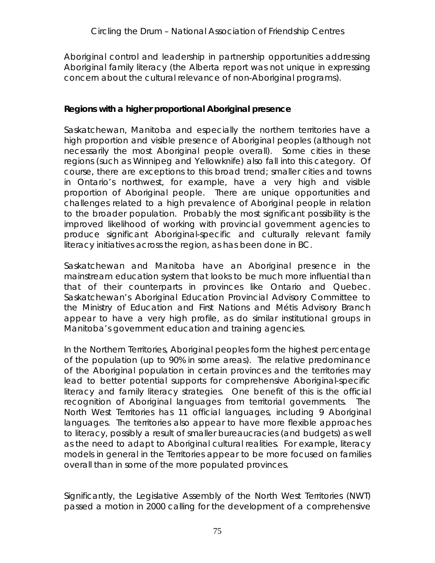Aboriginal control and leadership in partnership opportunities addressing Aboriginal family literacy (the Alberta report was not unique in expressing concern about the cultural relevance of non-Aboriginal programs).

**Regions with a higher proportional Aboriginal presence**

Saskatchewan, Manitoba and especially the northern territories have a high proportion and visible presence of Aboriginal peoples (although not necessarily the most Aboriginal people overall). Some cities in these regions (such as Winnipeg and Yellowknife) also fall into this category. Of course, there are exceptions to this broad trend; smaller cities and towns in Ontario's northwest, for example, have a very high and visible proportion of Aboriginal people. There are unique opportunities and challenges related to a high prevalence of Aboriginal people in relation to the broader population. Probably the most significant possibility is the improved likelihood of working with provincial government agencies to produce significant Aboriginal-specific and culturally relevant family literacy initiatives across the region, as has been done in BC.

Saskatchewan and Manitoba have an Aboriginal presence in the mainstream education system that looks to be much more influential than that of their counterparts in provinces like Ontario and Quebec. Saskatchewan's Aboriginal Education Provincial Advisory Committee to the Ministry of Education and First Nations and Métis Advisory Branch appear to have a very high profile, as do similar institutional groups in Manitoba's government education and training agencies.

In the Northern Territories, Aboriginal peoples form the highest percentage of the population (up to 90% in some areas). The relative predominance of the Aboriginal population in certain provinces and the territories may lead to better potential supports for comprehensive Aboriginal-specific literacy and family literacy strategies. One benefit of this is the official recognition of Aboriginal languages from territorial governments. The North West Territories has 11 official languages, including 9 Aboriginal languages. The territories also appear to have more flexible approaches to literacy, possibly a result of smaller bureaucracies (and budgets) as well as the need to adapt to Aboriginal cultural realities. For example, literacy models in general in the Territories appear to be more focused on families overall than in some of the more populated provinces.

Significantly, the Legislative Assembly of the North West Territories (NWT) passed a motion in 2000 calling for the development of a comprehensive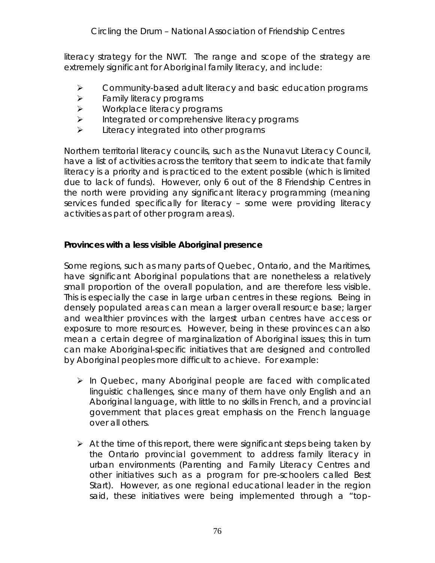literacy strategy for the NWT. The range and scope of the strategy are extremely significant for Aboriginal family literacy, and include:

- $\triangleright$  Community-based adult literacy and basic education programs
- $\triangleright$  Family literacy programs
- $\triangleright$  Workplace literacy programs
- $\triangleright$  Integrated or comprehensive literacy programs
- $\blacktriangleright$  Literacy integrated into other programs

Northern territorial literacy councils, such as the Nunavut Literacy Council, have a list of activities across the territory that seem to indicate that family literacy is a priority and is practiced to the extent possible (which is limited due to lack of funds). However, only 6 out of the 8 Friendship Centres in the north were providing any significant literacy programming (meaning services funded specifically for literacy – some were providing literacy activities as part of other program areas).

**Provinces with a less visible Aboriginal presence**

Some regions, such as many parts of Quebec, Ontario, and the Maritimes, have significant Aboriginal populations that are nonetheless a relatively small proportion of the overall population, and are therefore less visible. This is especially the case in large urban centres in these regions. Being in densely populated areas can mean a larger overall resource base; larger and wealthier provinces with the largest urban centres have access or exposure to more resources. However, being in these provinces can also mean a certain degree of marginalization of Aboriginal issues; this in turn can make Aboriginal-specific initiatives that are designed and controlled by Aboriginal peoples more difficult to achieve. For example:

- $\triangleright$  In Quebec, many Aboriginal people are faced with complicated linguistic challenges, since many of them have only English and an Aboriginal language, with little to no skills in French, and a provincial government that places great emphasis on the French language over all others.
- $\triangleright$  At the time of this report, there were significant steps being taken by the Ontario provincial government to address family literacy in urban environments (Parenting and Family Literacy Centres and other initiatives such as a program for pre-schoolers called Best Start). However, as one regional educational leader in the region said, these initiatives were being implemented through a "top-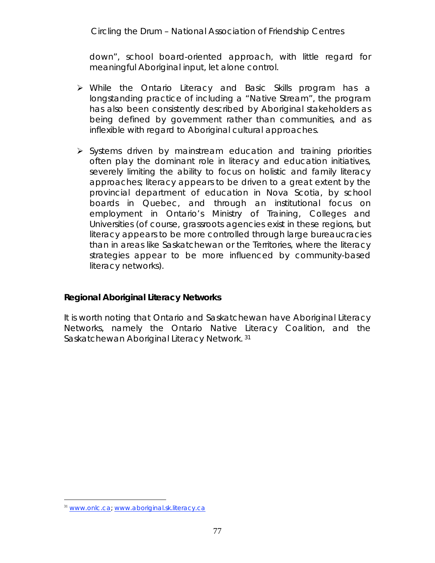down", school board-oriented approach, with little regard for meaningful Aboriginal input, let alone control.

- While the Ontario Literacy and Basic Skills program has a longstanding practice of including a "Native Stream", the program has also been consistently described by Aboriginal stakeholders as being defined by government rather than communities, and as inflexible with regard to Aboriginal cultural approaches.
- $\triangleright$  Systems driven by mainstream education and training priorities often play the dominant role in literacy and education initiatives, severely limiting the ability to focus on holistic and family literacy approaches; literacy appears to be driven to a great extent by the provincial department of education in Nova Scotia, by school boards in Quebec, and through an institutional focus on employment in Ontario's Ministry of Training, Colleges and Universities (of course, grassroots agencies exist in these regions, but literacy appears to be more controlled through large bureaucracies than in areas like Saskatchewan or the Territories, where the literacy strategies appear to be more influenced by community-based literacy networks).

**Regional Aboriginal Literacy Networks**

It is worth noting that Ontario and Saskatchewan have Aboriginal Literacy Networks, namely the Ontario Native Literacy Coalition, and the Saskatchewan Aboriginal Literacy Network.<sup>31</sup>

 <sup>31</sup> www.onlc.ca; www.aboriginal.sk.literacy.ca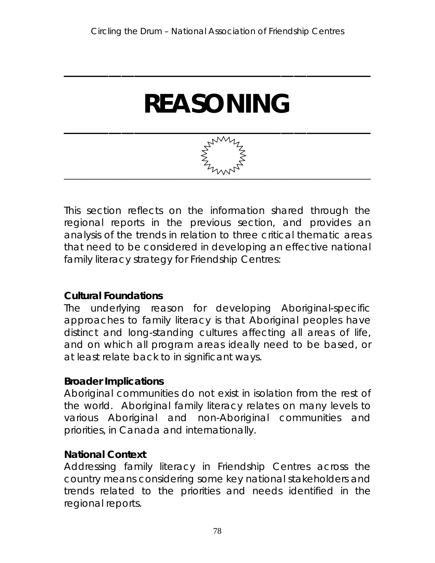# **REASONING**

**\_\_\_\_\_\_\_\_\_\_\_\_\_\_\_\_\_\_\_\_\_\_\_\_\_\_\_\_\_\_\_\_\_\_\_\_\_\_\_\_\_\_\_\_\_\_\_\_**



This section reflects on the information shared through the regional reports in the previous section, and provides an analysis of the trends in relation to three critical thematic areas that need to be considered in developing an effective national family literacy strategy for Friendship Centres:

### **Cultural Foundations**

The underlying reason for developing Aboriginal-specific approaches to family literacy is that Aboriginal peoples have distinct and long-standing cultures affecting all areas of life, and on which all program areas ideally need to be based, or at least relate back to in significant ways.

### **Broader Implications**

Aboriginal communities do not exist in isolation from the rest of the world. Aboriginal family literacy relates on many levels to various Aboriginal and non-Aboriginal communities and priorities, in Canada and internationally.

### **National Context**

Addressing family literacy in Friendship Centres across the country means considering some key national stakeholders and trends related to the priorities and needs identified in the regional reports.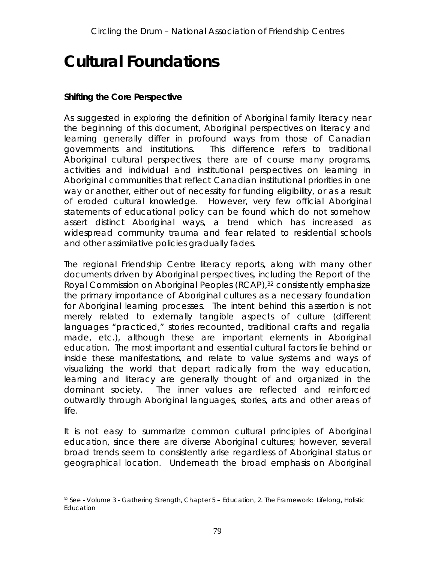## **Cultural Foundations**

#### **Shifting the Core Perspective**

As suggested in exploring the definition of Aboriginal family literacy near the beginning of this document, Aboriginal perspectives on literacy and learning generally differ in profound ways from those of Canadian governments and institutions. This difference refers to traditional Aboriginal *cultural* perspectives; there are of course many programs, activities and individual and institutional perspectives on learning in Aboriginal communities that reflect Canadian institutional priorities in one way or another, either out of necessity for funding eligibility, or as a result of eroded cultural knowledge. However, very few official Aboriginal statements of educational *policy* can be found which do not somehow assert distinct Aboriginal ways, a trend which has increased as widespread community trauma and fear related to residential schools and other assimilative policies gradually fades.

The regional Friendship Centre literacy reports, along with many other documents driven by Aboriginal perspectives, including the Report of the Royal Commission on Aboriginal Peoples (RCAP),<sup>32</sup> consistently emphasize the primary importance of Aboriginal cultures as a necessary foundation for Aboriginal learning processes. The intent behind this assertion is not merely related to externally tangible aspects of culture (different languages "practiced," stories recounted, traditional crafts and regalia made, etc.), although these are important elements in Aboriginal education. The most important and essential cultural factors lie *behind* or *inside* these manifestations, and relate to value systems and ways of visualizing the world that depart radically from the way education, learning and literacy are generally thought of and organized in the dominant society. The inner values are reflected and reinforced outwardly through Aboriginal languages, stories, arts and other areas of life.

It is not easy to summarize common cultural principles of Aboriginal education, since there are diverse Aboriginal cultures; however, several broad trends seem to consistently arise regardless of Aboriginal status or geographical location. Underneath the broad emphasis on Aboriginal

<sup>&</sup>lt;sup>32</sup> See - Volume 3 - Gathering Strength, Chapter 5 - Education, 2. The Framework: Lifelong, Holistic Education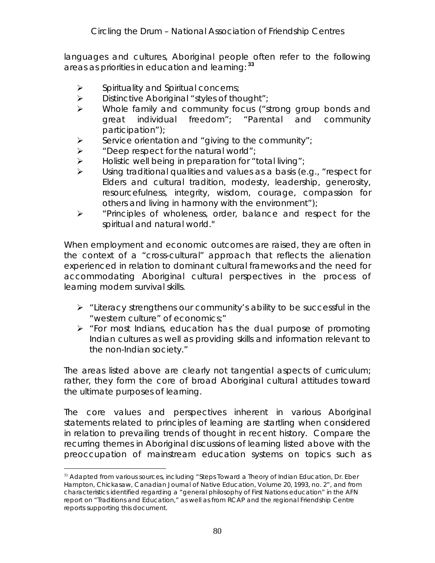languages and cultures, Aboriginal people often refer to the following areas as priorities in education and learning: **<sup>33</sup>**

- $\triangleright$  Spirituality and Spiritual concerns;
- $\triangleright$  Distinctive Aboriginal "styles of thought";
- Whole family and community focus ("strong group bonds and great individual freedom"; "Parental and community participation");
- $\triangleright$  Service orientation and "giving to the community";
- $\triangleright$  "Deep respect for the natural world";
- $\triangleright$  Holistic well being in preparation for "total living";
- Using traditional qualities and values as a basis (e.g., "respect for Elders and cultural tradition, modesty, leadership, generosity, resourcefulness, integrity, wisdom, courage, compassion for others and living in harmony with the environment");
- $\triangleright$  "Principles of wholeness, order, balance and respect for the spiritual and natural world."

When employment and economic outcomes are raised, they are often in the context of a "cross-cultural" approach that reflects the alienation experienced in relation to dominant cultural frameworks and the need for accommodating Aboriginal cultural perspectives in the process of learning modern survival skills.

- $\triangleright$  "Literacy strengthens our community's ability to be successful in the "western culture" of economics;"
- $\triangleright$  "For most Indians, education has the dual purpose of promoting Indian cultures as well as providing skills and information relevant to the non-Indian society."

The areas listed above are clearly not tangential aspects of curriculum; rather, they form the core of broad Aboriginal cultural attitudes toward the ultimate purposes of learning.

The core values and perspectives inherent in various Aboriginal statements related to principles of learning are startling when considered in relation to prevailing trends of thought in recent history. Compare the recurring themes in Aboriginal discussions of learning listed above with the preoccupation of mainstream education systems on topics such as

 $33$  Adapted from various sources, including "Steps Toward a Theory of Indian Education, Dr. Eber Hampton, Chickasaw, Canadian Journal of Native Education, Volume 20, 1993, no. 2", and from characteristics identified regarding a "general philosophy of First Nations education" in the AFN report on "Traditions and Education," as well as from RCAP and the regional Friendship Centre reports supporting this document.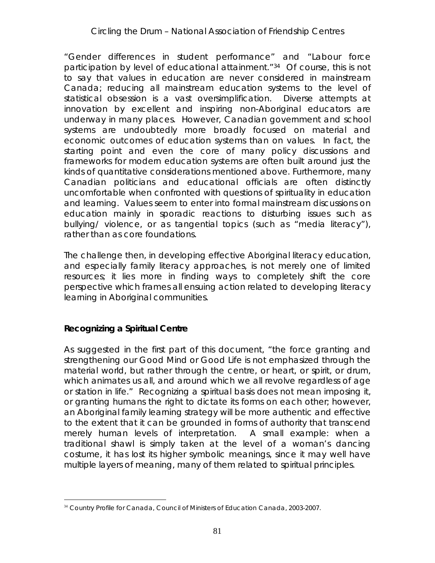"Gender differences in student performance" and "Labour force participation by level of educational attainment."34 Of course, this is not to say that values in education are never considered in mainstream Canada; reducing all mainstream education systems to the level of statistical obsession is a vast oversimplification. Diverse attempts at innovation by excellent and inspiring non-Aboriginal educators are underway in many places. However, Canadian government and school *systems* are undoubtedly more broadly focused on material and economic outcomes of education systems than on values. In fact, the *starting point* and even the *core* of many policy discussions and frameworks for modern education systems are often built around just the kinds of *quantitative* considerations mentioned above. Furthermore, many Canadian politicians and educational officials are often distinctly uncomfortable when confronted with questions of spirituality in education and learning. Values seem to enter into formal mainstream discussions on education mainly in sporadic *reactions* to disturbing issues such as bullying/ violence, or as tangential topics (such as "media literacy"), rather than as core foundations.

The challenge then, in developing effective Aboriginal literacy education, and especially family literacy approaches, is not merely one of limited resources; it lies more in finding ways to *completely shift the core perspective* which frames all ensuing action related to developing literacy learning in Aboriginal communities.

**Recognizing a Spiritual Centre**

As suggested in the first part of this document, "the force granting and strengthening our Good Mind or Good Life is not emphasized through the material world, but rather through the centre, or heart, or spirit, or *drum*, which animates us all, and around which we all revolve regardless of age or station in life." Recognizing a spiritual basis does not mean imposing it, or granting humans the right to dictate its forms on each other; however, an Aboriginal family learning strategy will be more *authentic* and *effective* to the extent that it can be grounded in forms of authority that transcend merely human levels of interpretation. A small example: when a traditional shawl is simply taken at the level of a woman's dancing costume, it has lost its higher symbolic meanings, since it may well have multiple layers of meaning, many of them related to spiritual principles.

 <sup>34</sup> Country Profile for Canada, Council of Ministers of Education Canada, 2003-2007.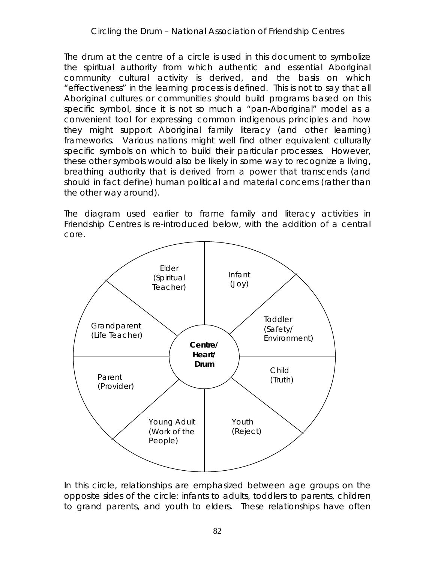The drum at the centre of a circle is used in this document to symbolize the spiritual authority from which authentic and essential Aboriginal community cultural activity is derived, and the basis on which "effectiveness" in the learning process is defined. This is not to say that all Aboriginal cultures or communities should build programs based on this specific symbol, since it is not so much a "pan-Aboriginal" *model* as a convenient tool for expressing common indigenous principles and how they might support Aboriginal family literacy (and other learning) frameworks. Various nations might well find other equivalent culturally specific symbols on which to build their particular processes. However, these other symbols would also be likely in some way to recognize a living, breathing authority that is derived from a power that transcends (and should in fact define) human political and material concerns (rather than the other way around).

The diagram used earlier to frame family and literacy activities in Friendship Centres is re-introduced below, with the addition of a central core.



In this circle, *relationships* are emphasized between age groups on the opposite sides of the circle: infants to adults, toddlers to parents, children to grand parents, and youth to elders. These relationships have often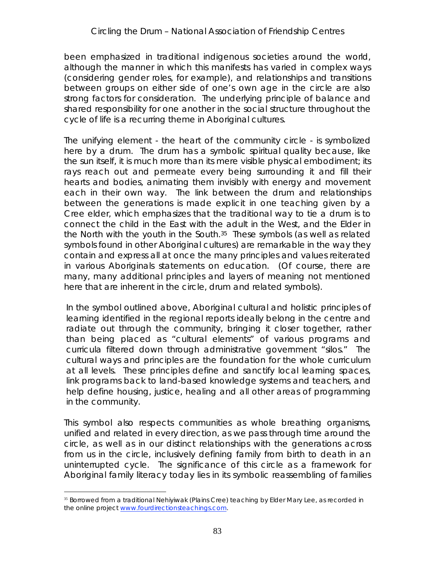been emphasized in traditional indigenous societies around the world, although the manner in which this manifests has varied in complex ways (considering gender roles, for example), and relationships and transitions between groups on either side of one's own age in the circle are also strong factors for consideration. The underlying principle of balance and shared responsibility for one another in the social structure throughout the cycle of life is a recurring theme in Aboriginal cultures.

The unifying element - the *heart* of the community circle - is symbolized here by a drum. The drum has a symbolic spiritual quality because, like the sun itself, it is much more than its mere visible physical embodiment; its rays reach out and permeate every being surrounding it and fill their hearts and bodies, animating them invisibly with energy and movement each in their own way. The link between the drum and relationships between the generations is made explicit in one teaching given by a Cree elder, which emphasizes that the traditional way to tie a drum is to connect the child in the East with the adult in the West, and the Elder in the North with the youth in the South.<sup>35</sup> These symbols (as well as related symbols found in other Aboriginal cultures) are remarkable in the way they contain and express *all at once* the many principles and values reiterated in various Aboriginals statements on education. (Of course, there are many, many additional principles and layers of meaning not mentioned here that are inherent in the circle, drum and related symbols).

In the symbol outlined above, Aboriginal cultural and holistic principles of learning identified in the regional reports ideally belong in the centre and radiate out through the community, bringing it closer together, rather than being placed as "cultural elements" of various programs and curricula filtered down through administrative government "silos." The cultural ways and principles *are* the foundation for the whole curriculum at all levels. These principles define and sanctify local learning spaces, link programs back to land-based knowledge systems and teachers, and help define housing, justice, healing and all other areas of programming in the community.

This symbol also respects communities as whole breathing organisms, unified and related in every direction, as we pass through time around the circle, as well as in our distinct relationships with the generations across from us in the circle, inclusively defining family from birth to death in an uninterrupted cycle. The significance of this circle as a framework for Aboriginal family literacy today lies in its symbolic reassembling of families

<sup>&</sup>lt;sup>35</sup> Borrowed from a traditional Nehiyiwak (Plains Cree) teaching by Elder Mary Lee, as recorded in the online project www.fourdirectionsteachings.com.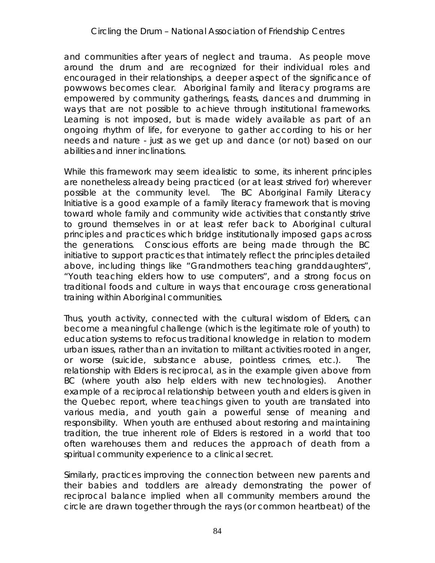and communities after years of neglect and trauma. As people move around the drum and are recognized for their individual roles and encouraged in their relationships, a deeper aspect of the significance of powwows becomes clear. Aboriginal family and literacy programs are empowered by community gatherings, feasts, dances and drumming in ways that are not possible to achieve through institutional frameworks. Learning is not imposed, but is made widely available as part of an ongoing rhythm of life, for everyone to gather according to his or her needs and nature - just as we get up and dance (or not) based on our abilities and inner inclinations.

While this framework may seem idealistic to some, its inherent principles are nonetheless already being practiced (or at least strived for) wherever possible at the community level. The BC Aboriginal Family Literacy Initiative is a good example of a family literacy framework that is moving toward whole family and community wide activities that constantly strive to ground themselves in or at least refer back to Aboriginal cultural principles and practices which bridge institutionally imposed gaps across the generations. Conscious efforts are being made through the BC initiative to support practices that intimately reflect the principles detailed above, including things like "Grandmothers teaching granddaughters", "Youth teaching elders how to use computers", and a strong focus on traditional foods and culture in ways that encourage cross generational training within Aboriginal communities.

Thus, youth activity, connected with the cultural wisdom of Elders, can become a meaningful *challenge* (which is the legitimate role of youth) to education systems to refocus traditional knowledge in relation to modern urban issues, rather than an invitation to militant activities rooted in anger, or worse (suicide, substance abuse, pointless crimes, etc.). The relationship with Elders is reciprocal, as in the example given above from BC (where youth also help elders with new technologies). Another example of a reciprocal relationship between youth and elders is given in the Quebec report, where teachings given to youth are translated into various media, and youth gain a powerful sense of meaning and responsibility. When youth are enthused about restoring and maintaining tradition, the true inherent role of Elders is restored in a world that too often warehouses them and reduces the approach of death from a spiritual community experience to a clinical secret.

Similarly, practices improving the connection between new parents and their babies and toddlers are already demonstrating the power of reciprocal balance implied when all community members around the circle are drawn together through the rays (or common heartbeat) of the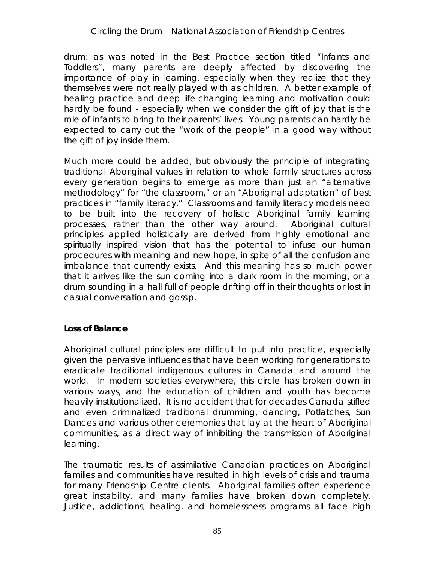drum: as was noted in the Best Practice section titled "Infants and Toddlers", many parents are deeply affected by discovering the importance of play in learning, especially when they realize that they themselves were not really played with as children. A better example of healing practice and deep life-changing learning and motivation could hardly be found - especially when we consider the gift of *joy* that is the role of infants to bring to their parents' lives. Young parents can hardly be expected to carry out the "work of the people" in a good way without the gift of joy inside them.

Much more could be added, but obviously the principle of integrating traditional Aboriginal values in relation to whole family structures across every generation begins to emerge as more than just an "alternative methodology" for "the classroom," or an "Aboriginal adaptation" of best practices in "family literacy." Classrooms and family literacy models need to be built into the recovery of holistic Aboriginal family learning processes, rather than the other way around. Aboriginal cultural principles applied holistically are derived from highly emotional and spiritually inspired *vision* that has the potential to infuse our human procedures with *meaning* and new hope, in spite of all the confusion and imbalance that currently exists. And this meaning has so much power that it arrives like the sun coming into a dark room in the morning, or a drum sounding in a hall full of people drifting off in their thoughts or lost in casual conversation and gossip.

#### **Loss of Balance**

Aboriginal cultural principles are difficult to put into practice, especially given the pervasive influences that have been working for generations to eradicate traditional indigenous cultures in Canada and around the world. In modern societies everywhere, this circle has broken down in various ways, and the education of children and youth has become heavily institutionalized. It is no accident that for decades Canada stifled and even criminalized traditional drumming, dancing, Potlatches, Sun Dances and various other ceremonies that lay at the heart of Aboriginal communities, as a direct way of inhibiting the transmission of Aboriginal learning.

The traumatic results of assimilative Canadian practices on Aboriginal families and communities have resulted in high levels of crisis and trauma for many Friendship Centre clients. Aboriginal families often experience great instability, and many families have broken down completely. Justice, addictions, healing, and homelessness programs all face high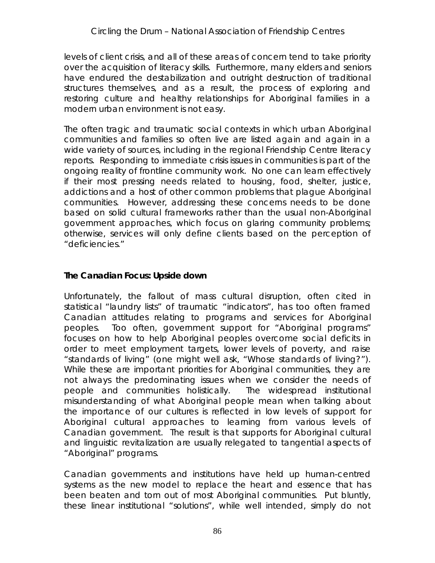levels of client crisis, and all of these areas of concern tend to take priority over the acquisition of literacy skills. Furthermore, many elders and seniors have endured the destabilization and outright destruction of traditional structures themselves, and as a result, the process of exploring and restoring culture and healthy relationships for Aboriginal families in a modern urban environment is not easy.

The often tragic and traumatic social contexts in which urban Aboriginal communities and families so often live are listed again and again in a wide variety of sources, including in the regional Friendship Centre literacy reports. Responding to immediate crisis issues in communities is part of the ongoing reality of frontline community work. No one can learn effectively if their most pressing needs related to housing, food, shelter, justice, addictions and a host of other common problems that plague Aboriginal communities. However, addressing these concerns needs to be done based on solid cultural frameworks rather than the usual non-Aboriginal government approaches, which focus on glaring community problems; otherwise, services will only define clients based on the perception of "deficiencies."

**The Canadian Focus: Upside down**

Unfortunately, the fallout of mass cultural disruption, often cited in statistical "laundry lists" of traumatic "indicators", has too often framed Canadian attitudes relating to programs and services for Aboriginal peoples. Too often, government support for "Aboriginal programs" focuses on how to help Aboriginal peoples overcome *social deficits* in order to meet employment targets, lower levels of poverty, and raise "standards of living" (one might well ask, "Whose standards of living?"). While these are important priorities for Aboriginal communities, they are not always the predominating issues when we consider the needs of people and communities *holistically.* The widespread institutional misunderstanding of what Aboriginal people mean when talking about the importance of our cultures is reflected in low levels of support for Aboriginal cultural approaches to learning from various levels of Canadian government. The result is that supports for Aboriginal cultural and linguistic revitalization are usually relegated to tangential aspects of "Aboriginal" programs.

Canadian governments and institutions have held up *human-centred* systems as the new model to replace the heart and essence that has been beaten and torn out of most Aboriginal communities. Put bluntly, these linear institutional "solutions", while well intended, simply do not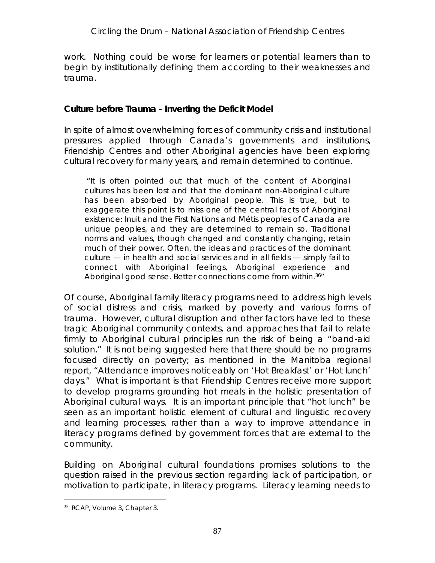work. Nothing could be worse for learners or potential learners than to begin by institutionally defining them according to their weaknesses and trauma.

**Culture before Trauma - Inverting the Deficit Model**

In spite of almost overwhelming forces of community crisis and institutional pressures applied through Canada's governments and institutions, Friendship Centres and other Aboriginal agencies have been exploring cultural recovery for many years, and remain determined to continue.

 *"It is often pointed out that much of the content of Aboriginal cultures has been lost and that the dominant non-Aboriginal culture has been absorbed by Aboriginal people. This is true, but to exaggerate this point is to miss one of the central facts of Aboriginal existence: Inuit and the First Nations and Métis peoples of Canada are unique peoples, and they are determined to remain so. Traditional norms and values, though changed and constantly changing, retain much of their power. Often, the ideas and practices of the dominant culture — in health and social services and in all fields — simply fail to connect with Aboriginal feelings, Aboriginal experience and Aboriginal good sense. Better connections come from within.36"*

Of course, Aboriginal family literacy programs need to address high levels of social distress and crisis, marked by poverty and various forms of trauma. However, cultural disruption and other factors have led to these tragic Aboriginal community contexts, and approaches that fail to relate firmly to Aboriginal cultural principles run the risk of being a "band-aid solution." It is not being suggested here that there should be no programs focused directly on poverty; as mentioned in the Manitoba regional report, "Attendance improves noticeably on 'Hot Breakfast' or 'Hot lunch' days." What is important is that Friendship Centres receive more support to develop programs grounding hot meals in the holistic presentation of Aboriginal cultural ways. It is an important principle that "hot lunch" be seen as an important holistic element of cultural and linguistic recovery and learning processes, rather than a way to improve attendance in literacy programs defined by government forces that are external to the community.

Building on Aboriginal cultural foundations promises solutions to the question raised in the previous section regarding lack of participation, or motivation to participate, in literacy programs. Literacy learning needs to

 <sup>36</sup> RCAP, Volume 3, Chapter 3.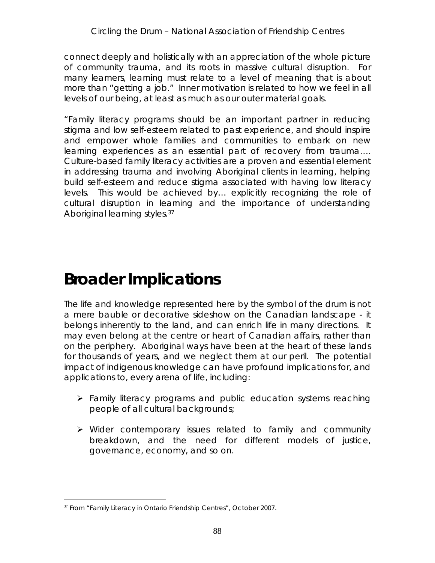connect deeply and holistically with an appreciation of the whole picture of community trauma, and its roots in massive cultural disruption. For many learners, learning must relate to a level of *meaning* that is about more than "getting a job." Inner motivation is related to how we feel in all levels of our being, at least as much as our outer material goals.

"Family literacy programs should be an important partner in reducing stigma and low self-esteem related to past experience, and should inspire and empower whole families and communities to embark on new learning experiences as an essential part of recovery from trauma…. Culture-based family literacy activities are a proven and essential element in addressing trauma and involving Aboriginal clients in learning, helping build self-esteem and reduce stigma associated with having low literacy levels. This would be achieved by… explicitly recognizing the role of cultural disruption in learning and the importance of understanding Aboriginal learning styles.37

### **Broader Implications**

The life and knowledge represented here by the symbol of the drum is not a mere bauble or decorative sideshow on the Canadian landscape - it belongs inherently to the land, and can enrich life in many directions. It may even belong *at the centre or heart of Canadian affairs*, rather than on the periphery. Aboriginal ways have been at the heart of these lands for thousands of years, and we neglect them at our peril. The potential impact of indigenous knowledge can have profound implications for, and applications to, every arena of life, including:

- Family literacy programs and public education systems reaching people of all cultural backgrounds;
- Wider contemporary issues related to family and community breakdown, and the need for different models of justice, governance, economy, and so on.

<sup>&</sup>lt;sup>37</sup> From "Family Literacy in Ontario Friendship Centres", October 2007.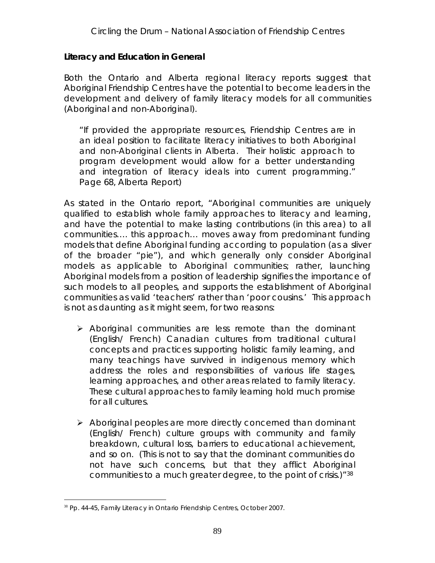**Literacy and Education in General**

Both the Ontario and Alberta regional literacy reports suggest that Aboriginal Friendship Centres have the potential to become leaders in the development and delivery of family literacy models for all communities (Aboriginal and non-Aboriginal).

"If provided the appropriate resources, Friendship Centres are in an ideal position to facilitate literacy initiatives to both Aboriginal and non-Aboriginal clients in Alberta. Their holistic approach to program development would allow for a better understanding and integration of literacy ideals into current programming." Page 68, Alberta Report)

As stated in the Ontario report, "Aboriginal communities are uniquely qualified to establish whole family approaches to literacy and learning, and have the potential to make lasting contributions (in this area) to all communities…. this approach… moves away from predominant funding models that define Aboriginal funding according to population (as a sliver of the broader "pie"), and which generally only consider Aboriginal models as applicable to Aboriginal communities; rather, launching Aboriginal models from a position of leadership signifies the importance of such models to all peoples, and supports the establishment of Aboriginal communities as valid 'teachers' rather than 'poor cousins.' This approach is not as daunting as it might seem, for two reasons:

- $\triangleright$  Aboriginal communities are less remote than the dominant (English/ French) Canadian cultures from traditional cultural concepts and practices supporting holistic family learning, and many teachings have survived in indigenous memory which address the roles and responsibilities of various life stages, learning approaches, and other areas related to family literacy. These cultural approaches to family learning hold much promise for all cultures.
- $\triangleright$  Aboriginal peoples are more directly concerned than dominant (English/ French) culture groups with community and family breakdown, cultural loss, barriers to educational achievement, and so on. (This is not to say that the dominant communities do not have such concerns, but that they afflict Aboriginal communities to a much greater degree, to the point of crisis.)"38

<sup>&</sup>lt;sup>38</sup> Pp. 44-45, Family Literacy in Ontario Friendship Centres, October 2007.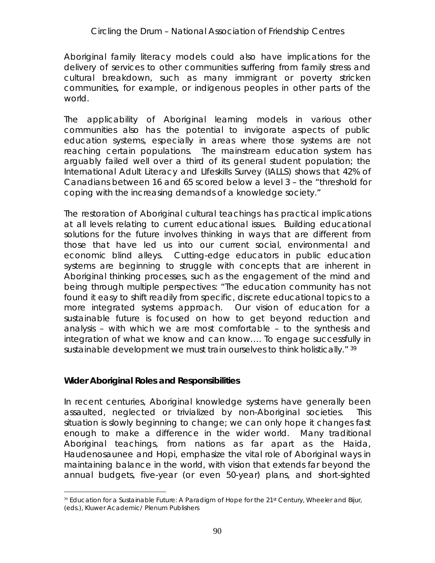#### *Circling the Drum* – National Association of Friendship Centres

Aboriginal family literacy models could also have implications for the delivery of services to other communities suffering from family stress and cultural breakdown, such as many immigrant or poverty stricken communities, for example, or indigenous peoples in other parts of the world.

The applicability of Aboriginal learning models in various other communities also has the potential to invigorate aspects of public education systems, especially in areas where those systems are not reaching certain populations. The mainstream education system has arguably failed well over a third of its general student population; the International Adult Literacy and LIfeskills Survey (IALLS) shows that 42% of Canadians between 16 and 65 scored below a level 3 – the "threshold for coping with the increasing demands of a knowledge society."

The restoration of Aboriginal cultural teachings has practical implications at all levels relating to current educational issues. Building educational solutions for the future involves thinking in ways that are different from those that have led us into our current social, environmental and economic blind alleys. Cutting-edge educators in public education systems are beginning to struggle with concepts that are inherent in Aboriginal thinking processes, such as the engagement of the mind and being through *multiple perspectives*: "The education community has not found it easy to shift readily from specific, discrete educational topics to a more integrated systems approach. Our vision of education for a sustainable future is focused on how to get beyond reduction and analysis – with which we are most comfortable – to the synthesis and integration of what we know and can know…. To engage successfully in sustainable development we must train ourselves to think holistically." 39

**Wider Aboriginal Roles and Responsibilities**

In recent centuries, Aboriginal knowledge systems have generally been assaulted, neglected or trivialized by non-Aboriginal societies. This situation is slowly beginning to change; we can only hope it changes fast enough to make a difference in the wider world. Many traditional Aboriginal teachings, from nations as far apart as the Haida, Haudenosaunee and Hopi, emphasize the vital role of Aboriginal ways in maintaining balance in the world, with vision that extends far beyond the annual budgets, five-year (or even 50-year) plans, and short-sighted

<sup>&</sup>lt;sup>39</sup> Education for a Sustainable Future: A Paradigm of Hope for the 21<sup>st</sup> Century, Wheeler and Bijur, (eds.), Kluwer Academic/ Plenum Publishers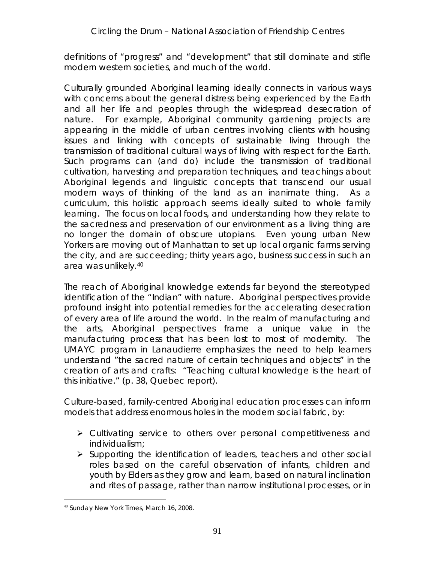definitions of "progress" and "development" that still dominate and stifle modern western societies, and much of the world.

Culturally grounded Aboriginal learning ideally connects in various ways with concerns about the general distress being experienced by the Earth and all her life and peoples through the widespread desecration of nature. For example, Aboriginal community gardening projects are appearing in the middle of urban centres involving clients with housing issues and linking with concepts of sustainable living through the transmission of traditional cultural ways of living with respect for the Earth. Such programs can (and do) include the transmission of traditional cultivation, harvesting and preparation techniques, and teachings about Aboriginal legends and linguistic concepts that transcend our usual modern ways of thinking of the land as an inanimate thing. As a curriculum, this holistic approach seems ideally suited to whole family learning. The focus on local foods, and understanding how they relate to the sacredness and preservation of our environment as a living thing are no longer the domain of obscure utopians. Even young urban New Yorkers are moving out of Manhattan to set up local organic farms serving the city, *and are succeeding*; thirty years ago, business success in such an area was unlikely.40

The reach of Aboriginal knowledge extends far beyond the stereotyped identification of the "Indian" with nature. Aboriginal perspectives provide profound insight into potential remedies for the accelerating desecration of every area of life around the world. In the realm of manufacturing and the arts, Aboriginal perspectives frame a unique *value in the manufacturing process* that has been lost to most of modernity. The UMAYC program in Lanaudierre emphasizes the need to help learners understand "the sacred nature of certain techniques and objects" in the creation of arts and crafts: "Teaching cultural knowledge is the heart of this initiative." (p. 38, Quebec report).

Culture-based, family-centred Aboriginal education processes can inform models that address enormous holes in the modern social fabric, by:

- Cultivating service to others over personal competitiveness and individualism;
- $\triangleright$  Supporting the identification of leaders, teachers and other social roles based on the careful observation of infants, children and youth by Elders as they grow and learn, based on natural inclination and rites of passage, rather than narrow institutional processes, or in

<sup>&</sup>lt;sup>40</sup> Sunday New York Times, March 16, 2008.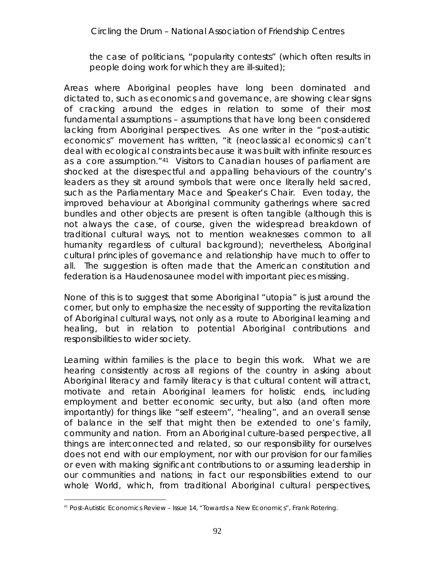the case of politicians, "popularity contests" (which often results in people doing work for which they are ill-suited);

Areas where Aboriginal peoples have long been dominated and dictated to, such as economics and governance, are showing clear signs of cracking around the edges in relation to some of their most fundamental assumptions – assumptions that have long been considered lacking from Aboriginal perspectives. As one writer in the "post-autistic economics" movement has written, "it (neoclassical economics) can't deal with ecological constraints because it was built with infinite resources as a core assumption."41 Visitors to Canadian houses of parliament are shocked at the disrespectful and appalling behaviours of the country's leaders as they sit around symbols that were once literally held sacred, such as the Parliamentary Mace and Speaker's Chair. Even today, the improved behaviour at Aboriginal community gatherings where sacred bundles and other objects are present is often tangible (although this is not always the case, of course, given the widespread breakdown of traditional cultural ways, not to mention weaknesses common to all humanity regardless of cultural background); nevertheless, Aboriginal cultural *principles* of governance and relationship have much to offer to all. The suggestion is often made that the American constitution and federation is a Haudenosaunee model with important pieces missing.

None of this is to suggest that some Aboriginal "utopia" is just around the corner, but only to emphasize the necessity of supporting the revitalization of Aboriginal cultural ways, not only as a route to Aboriginal learning and healing, but in relation to potential Aboriginal *contributions* and *responsibilities* to wider society.

Learning within families is the place to begin this work. What we are hearing consistently across all regions of the country in asking about Aboriginal literacy and family literacy is that cultural content will *attract, motivate and retain* Aboriginal learners for holistic ends, including employment and better economic security, but also (and often more importantly) for things like "self esteem", "healing", and an overall sense of balance in the self that might then be extended to one's family, community and nation. From an Aboriginal culture-based perspective, all things are interconnected and related, so our responsibility for ourselves does not end with our employment, nor with our provision for our families or even with making significant contributions to or assuming leadership in our communities and nations; in fact our responsibilities extend to our whole World, which, from traditional Aboriginal cultural perspectives,

<sup>&</sup>lt;sup>41</sup> Post-Autistic Economics Review – Issue 14, "Towards a New Economics", Frank Rotering.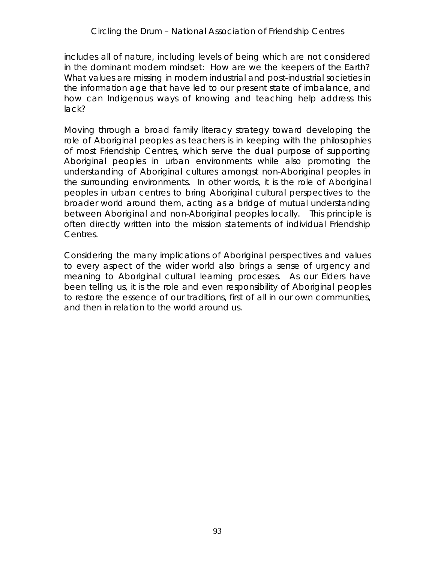includes all of nature, including levels of being which are not considered in the dominant modern mindset: How are we the keepers of the Earth? What values are missing in modern industrial and post-industrial societies in the information age that have led to our present state of imbalance, and how can Indigenous ways of knowing and teaching help address this lack?

Moving through a broad family literacy strategy toward developing the role of Aboriginal peoples as teachers is in keeping with the philosophies of most Friendship Centres, which serve the dual purpose of supporting Aboriginal peoples in urban environments *while also promoting the understanding of Aboriginal cultures amongst non-Aboriginal peoples in the surrounding environments.* In other words, it is the role of Aboriginal peoples in urban centres to bring Aboriginal cultural perspectives to the broader world around them, acting as a bridge of mutual understanding between Aboriginal and non-Aboriginal peoples locally. This principle is often directly written into the mission statements of individual Friendship Centres.

Considering the many implications of Aboriginal perspectives and values to every aspect of the wider world also brings a sense of urgency and meaning to Aboriginal cultural learning processes. As our Elders have been telling us, it is the role and even responsibility of Aboriginal peoples to restore the essence of our traditions, first of all in our own communities, and then in relation to the world around us.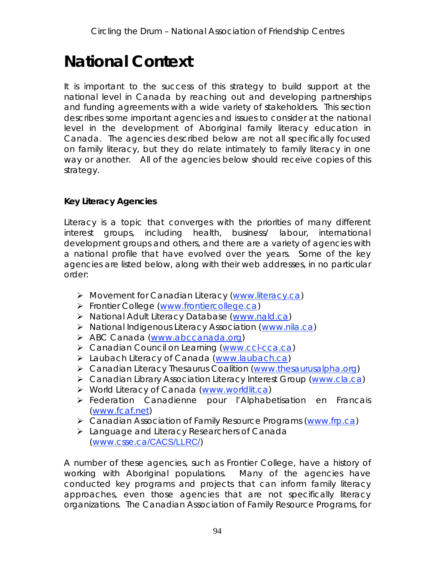# **National Context**

It is important to the success of this strategy to build support at the national level in Canada by reaching out and developing partnerships and funding agreements with a wide variety of stakeholders. This section describes some important agencies and issues to consider at the national level in the development of Aboriginal family literacy education in Canada. The agencies described below are not all specifically focused on family literacy, but they do relate intimately to family literacy in one way or another. All of the agencies below should receive copies of this strategy.

**Key Literacy Agencies**

Literacy is a topic that converges with the priorities of many different interest groups, including health, business/ labour, international development groups and others, and there are a variety of agencies with a national profile that have evolved over the years. Some of the key agencies are listed below, along with their web addresses, in no particular order:

- Movement for Canadian Literacy (www.literacy.ca)
- Frontier College (www.frontiercollege.ca)
- > National Adult Literacy Database (www.nald.ca)
- ▶ National Indigenous Literacy Association (www.nila.ca)
- > ABC Canada (www.abccanada.org)
- ▶ Canadian Council on Learning (www.ccl-cca.ca)
- > Laubach Literacy of Canada (www.laubach.ca)
- Canadian Literacy Thesaurus Coalition (www.thesaurusalpha.org)
- Canadian Library Association Literacy Interest Group (www.cla.ca)
- ▶ World Literacy of Canada (www.worldlit.ca)
- Federation Canadienne pour l'Alphabetisation en Francais (www.fcaf.net)
- > Canadian Association of Family Resource Programs (www.frp.ca)
- > Language and Literacy Researchers of Canada (www.csse.ca/CACS/LLRC/)

A number of these agencies, such as Frontier College, have a history of working with Aboriginal populations. Many of the agencies have conducted key programs and projects that can inform family literacy approaches, even those agencies that are not specifically literacy organizations. The Canadian Association of Family Resource Programs, for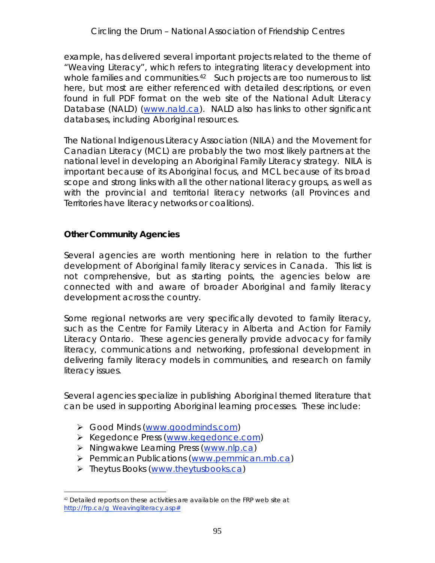example, has delivered several important projects related to the theme of "Weaving Literacy", which refers to integrating literacy development into whole families and communities.<sup>42</sup> Such projects are too numerous to list here, but most are either referenced with detailed descriptions, or even found in full PDF format on the web site of the National Adult Literacy Database (NALD) (www.nald.ca). NALD also has links to other significant databases, including Aboriginal resources.

The National Indigenous Literacy Association (NILA) and the Movement for Canadian Literacy (MCL) are probably the two most likely partners at the national level in developing an Aboriginal Family Literacy strategy. NILA is important because of its Aboriginal focus, and MCL because of its broad scope and strong links with all the other national literacy groups, as well as with the provincial and territorial literacy networks (all Provinces and Territories have literacy networks or coalitions).

**Other Community Agencies**

Several agencies are worth mentioning here in relation to the further development of Aboriginal family literacy services in Canada. This list is not comprehensive, but as starting points, the agencies below are connected with and aware of broader Aboriginal and family literacy development across the country.

Some regional networks are very specifically devoted to family literacy, such as the Centre for Family Literacy in Alberta and Action for Family Literacy Ontario. These agencies generally provide advocacy for family literacy, communications and networking, professional development in delivering family literacy models in communities, and research on family literacy issues.

Several agencies specialize in publishing Aboriginal themed literature that can be used in supporting Aboriginal learning processes. These include:

- Good Minds (www.goodminds.com)
- ▶ Kegedonce Press (www.kegedonce.com)
- $\triangleright$  Ningwakwe Learning Press (www.nlp.ca)
- Pemmican Publications (www.pemmican.mb.ca)
- > Theytus Books (www.theytusbooks.ca)

 $42$  Detailed reports on these activities are available on the FRP web site at http://frp.ca/g\_Weavingliteracy.asp#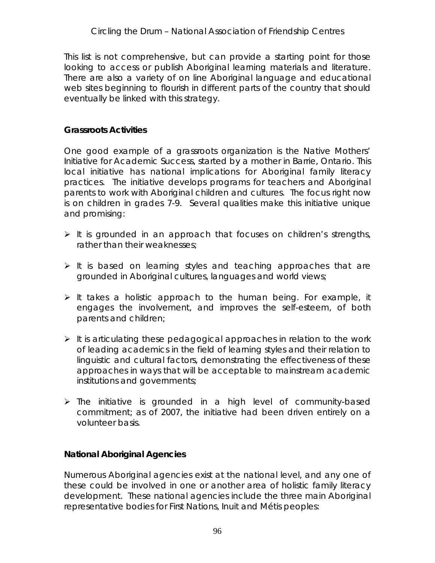This list is not comprehensive, but can provide a starting point for those looking to access or publish Aboriginal learning materials and literature. There are also a variety of on line Aboriginal language and educational web sites beginning to flourish in different parts of the country that should eventually be linked with this strategy.

#### **Grassroots Activities**

One good example of a grassroots organization is the *Native Mothers' Initiative for Academic Success, started by* a mother in Barrie, Ontario. This local initiative has national implications for Aboriginal family literacy practices. The initiative develops programs for teachers and Aboriginal parents to work with Aboriginal children and cultures. The focus right now is on children in grades 7-9. Several qualities make this initiative unique and promising:

- $\triangleright$  It is grounded in an approach that focuses on children's strengths, rather than their weaknesses;
- $\triangleright$  It is based on learning styles and teaching approaches that are grounded in Aboriginal cultures, languages and world views;
- $\triangleright$  It takes a holistic approach to the human being. For example, it engages the involvement, and improves the self-esteem, of both parents and children;
- $\triangleright$  It is articulating these pedagogical approaches in relation to the work of leading academics in the field of learning styles and their relation to linguistic and cultural factors, demonstrating the effectiveness of these approaches in ways that will be acceptable to mainstream academic institutions and governments;
- $\triangleright$  The initiative is grounded in a high level of community-based commitment; as of 2007, the initiative had been driven entirely on a volunteer basis.

**National Aboriginal Agencies**

Numerous Aboriginal agencies exist at the national level, and any one of these could be involved in one or another area of holistic family literacy development. These national agencies include the three main Aboriginal representative bodies for First Nations, Inuit and Métis peoples: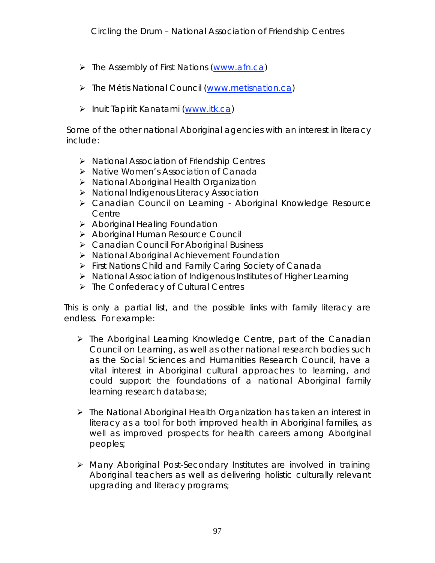- $\triangleright$  The Assembly of First Nations (www.afn.ca)
- > The Métis National Council (www.metisnation.ca)
- > Inuit Tapiriit Kanatami (www.itk.ca)

Some of the other national Aboriginal agencies with an interest in literacy include:

- ▶ National Association of Friendship Centres
- $\triangleright$  Native Women's Association of Canada
- National Aboriginal Health Organization
- National Indigenous Literacy Association
- Canadian Council on Learning Aboriginal Knowledge Resource Centre
- $\triangleright$  Aboriginal Healing Foundation
- > Aboriginal Human Resource Council
- Canadian Council For Aboriginal Business
- > National Aboriginal Achievement Foundation
- First Nations Child and Family Caring Society of Canada
- National Association of Indigenous Institutes of Higher Learning
- $\triangleright$  The Confederacy of Cultural Centres

This is only a partial list, and the possible links with family literacy are endless. For example:

- $\triangleright$  The Aboriginal Learning Knowledge Centre, part of the Canadian Council on Learning, as well as other national research bodies such as the Social Sciences and Humanities Research Council, have a vital interest in Aboriginal cultural approaches to learning, and could support the foundations of a national Aboriginal family learning research database;
- $\triangleright$  The National Aboriginal Health Organization has taken an interest in literacy as a tool for both improved health in Aboriginal families, as well as improved prospects for health careers among Aboriginal peoples;
- Many Aboriginal Post-Secondary Institutes are involved in training Aboriginal teachers as well as delivering holistic culturally relevant upgrading and literacy programs;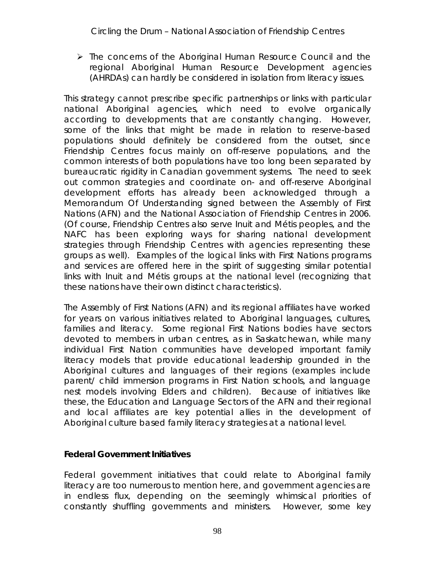$\triangleright$  The concerns of the Aboriginal Human Resource Council and the regional Aboriginal Human Resource Development agencies (AHRDAs) can hardly be considered in isolation from literacy issues.

This strategy cannot prescribe specific partnerships or links with particular national Aboriginal agencies, which need to evolve organically according to developments that are constantly changing. However, some of the links that might be made in relation to reserve-based populations should definitely be considered from the outset, since Friendship Centres focus mainly on off-reserve populations, and the common interests of both populations have too long been separated by bureaucratic rigidity in Canadian government systems. The need to seek out common strategies and coordinate on- and off-reserve Aboriginal development efforts has already been acknowledged through a Memorandum Of Understanding signed between the Assembly of First Nations (AFN) and the National Association of Friendship Centres in 2006. (Of course, Friendship Centres also serve Inuit and Métis peoples, and the NAFC has been exploring ways for sharing national development strategies through Friendship Centres with agencies representing these groups as well). Examples of the logical links with First Nations programs and services are offered here in the spirit of suggesting similar potential links with Inuit and Métis groups at the national level (recognizing that these nations have their own distinct characteristics).

The Assembly of First Nations (AFN) and its regional affiliates have worked for years on various initiatives related to Aboriginal languages, cultures, families and literacy. Some regional First Nations bodies have sectors devoted to members in urban centres, as in Saskatchewan, while many individual First Nation communities have developed important family literacy models that provide educational leadership grounded in the Aboriginal cultures and languages of their regions (examples include parent/ child immersion programs in First Nation schools, and language nest models involving Elders and children). Because of initiatives like these, the Education and Language Sectors of the AFN and their regional and local affiliates are key potential allies in the development of Aboriginal culture based family literacy strategies at a national level.

**Federal Government Initiatives**

Federal government initiatives that could relate to Aboriginal family literacy are too numerous to mention here, and government agencies are in endless flux, depending on the seemingly whimsical priorities of constantly shuffling governments and ministers. However, some key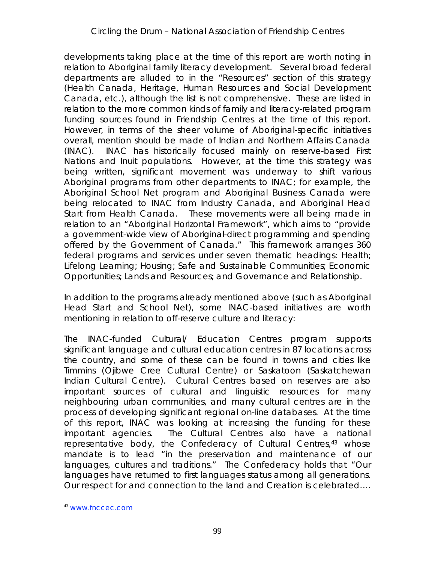developments taking place at the time of this report are worth noting in relation to Aboriginal family literacy development. Several broad federal departments are alluded to in the "Resources" section of this strategy (Health Canada, Heritage, Human Resources and Social Development Canada, etc.), although the list is not comprehensive. These are listed in relation to the more common kinds of family and literacy-related program funding sources found in Friendship Centres at the time of this report. However, in terms of the sheer volume of Aboriginal-specific initiatives overall, mention should be made of Indian and Northern Affairs Canada (INAC). INAC has historically focused mainly on reserve-based First Nations and Inuit populations. However, at the time this strategy was being written, significant movement was underway to shift various Aboriginal programs from other departments to INAC; for example, the Aboriginal School Net program and Aboriginal Business Canada were being relocated to INAC from Industry Canada, and Aboriginal Head Start from Health Canada. These movements were all being made in relation to an "Aboriginal Horizontal Framework", which aims to "provide a government-wide view of Aboriginal-direct programming and spending offered by the Government of Canada." This framework arranges 360 federal programs and services under seven thematic headings: Health; Lifelong Learning; Housing; Safe and Sustainable Communities; Economic Opportunities; Lands and Resources; and Governance and Relationship.

In addition to the programs already mentioned above (such as Aboriginal Head Start and School Net), some INAC-based initiatives are worth mentioning in relation to off-reserve culture and literacy:

The INAC-funded Cultural/ Education Centres program supports significant language and cultural education centres in 87 locations across the country, and some of these can be found in towns and cities like Timmins (Ojibwe Cree Cultural Centre) or Saskatoon (Saskatchewan Indian Cultural Centre). Cultural Centres based on reserves are also important sources of cultural and linguistic resources for many neighbouring urban communities, and many cultural centres are in the process of developing significant regional on-line databases. At the time of this report, INAC was looking at increasing the funding for these important agencies. The Cultural Centres also have a national representative body, the Confederacy of Cultural Centres,<sup>43</sup> whose mandate is to lead "in the preservation and maintenance of our languages, cultures and traditions." The Confederacy holds that "Our languages have returned to first languages status among all generations. Our respect for and connection to the land and Creation is celebrated….

 <sup>43</sup> www.fnccec.com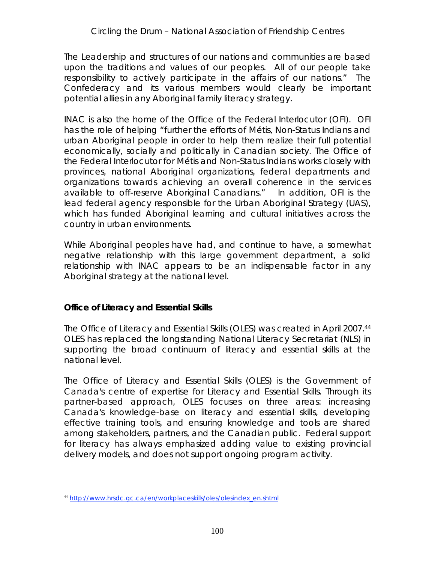The Leadership and structures of our nations and communities are based upon the traditions and values of our peoples. All of our people take responsibility to actively participate in the affairs of our nations." The Confederacy and its various members would clearly be important potential allies in any Aboriginal family literacy strategy.

INAC is also the home of the Office of the Federal Interlocutor (OFI). OFI has the role of helping "further the efforts of Métis, Non-Status Indians and urban Aboriginal people in order to help them realize their full potential economically, socially and politically in Canadian society. The Office of the Federal Interlocutor for Métis and Non-Status Indians works closely with provinces, national Aboriginal organizations, federal departments and organizations towards achieving an overall coherence in the services available to off-reserve Aboriginal Canadians." In addition, OFI is the lead federal agency responsible for the Urban Aboriginal Strategy (UAS), which has funded Aboriginal learning and cultural initiatives across the country in urban environments.

While Aboriginal peoples have had, and continue to have, a somewhat negative relationship with this large government department, a solid relationship with INAC appears to be an indispensable factor in any Aboriginal strategy at the national level.

**Office of Literacy and Essential Skills**

The Office of Literacy and Essential Skills (OLES) was created in April 2007.44 OLES has replaced the longstanding National Literacy Secretariat (NLS) in supporting the broad continuum of literacy and essential skills at the national level.

The Office of Literacy and Essential Skills (OLES) is the Government of Canada's centre of expertise for Literacy and Essential Skills. Through its partner-based approach, OLES focuses on three areas: increasing Canada's knowledge-base on literacy and essential skills, developing effective training tools, and ensuring knowledge and tools are shared among stakeholders, partners, and the Canadian public. Federal support for literacy has always emphasized adding value to existing provincial delivery models, and does not support ongoing program activity.

 <sup>44</sup> http://www.hrsdc.gc.ca/en/workplaceskills/oles/olesindex\_en.shtml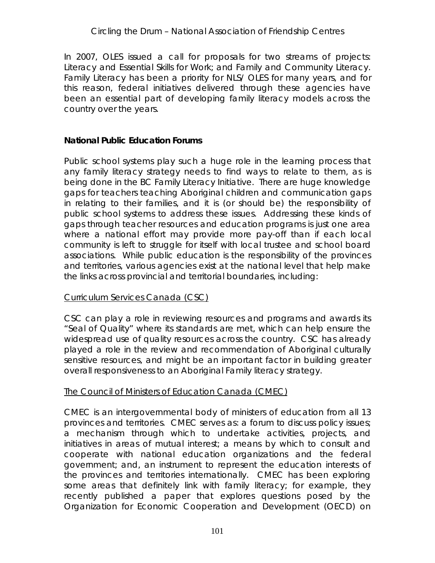#### *Circling the Drum* – National Association of Friendship Centres

In 2007, OLES issued a call for proposals for two streams of projects: Literacy and Essential Skills for Work; and Family and Community Literacy. Family Literacy has been a priority for NLS/ OLES for many years, and for this reason, federal initiatives delivered through these agencies have been an essential part of developing family literacy models across the country over the years.

#### **National Public Education Forums**

Public school systems play such a huge role in the learning process that any family literacy strategy needs to find ways to relate to them, as is being done in the BC Family Literacy Initiative. There are huge knowledge gaps for teachers teaching Aboriginal children and communication gaps in relating to their families, and it is (or should be) the responsibility of public school systems to address these issues. Addressing these kinds of gaps through teacher resources and education programs is just one area where a national effort may provide more pay-off than if each local community is left to struggle for itself with local trustee and school board associations. While public education is the responsibility of the provinces and territories, various agencies exist at the national level that help make the links across provincial and territorial boundaries, including:

#### Curriculum Services Canada (CSC)

CSC can play a role in reviewing resources and programs and awards its "Seal of Quality" where its standards are met, which can help ensure the widespread use of quality resources across the country. CSC has already played a role in the review and recommendation of Aboriginal culturally sensitive resources, and might be an important factor in building greater overall responsiveness to an Aboriginal Family literacy strategy.

#### The Council of Ministers of Education Canada (CMEC)

CMEC is an intergovernmental body of ministers of education from all 13 provinces and territories. CMEC serves as: a forum to discuss policy issues; a mechanism through which to undertake activities, projects, and initiatives in areas of mutual interest; a means by which to consult and cooperate with national education organizations and the federal government; and, an instrument to represent the education interests of the provinces and territories internationally. CMEC has been exploring some areas that definitely link with family literacy; for example, they recently published a paper that explores questions posed by the Organization for Economic Cooperation and Development (OECD) on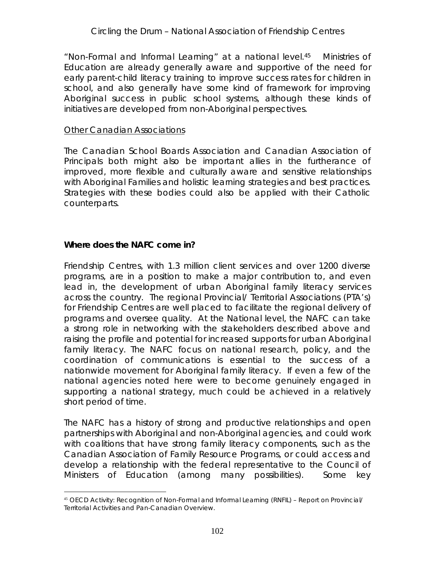"Non-Formal and Informal Learning" at a national level.45 Ministries of Education are already generally aware and supportive of the need for early parent-child literacy training to improve success rates for children in school, and also generally have some kind of framework for improving Aboriginal success in public school systems, although these kinds of initiatives are developed from non-Aboriginal perspectives.

#### Other Canadian Associations

The Canadian School Boards Association and Canadian Association of Principals both might also be important allies in the furtherance of improved, more flexible and culturally aware and sensitive relationships with Aboriginal Families and holistic learning strategies and best practices. Strategies with these bodies could also be applied with their Catholic counterparts.

**Where does the NAFC come in?**

Friendship Centres, with 1.3 million client services and over 1200 diverse programs, are in a position to make a major contribution to, and even lead in, the development of urban Aboriginal family literacy services across the country. The regional Provincial/ Territorial Associations (PTA's) for Friendship Centres are well placed to facilitate the regional delivery of programs and oversee quality. At the National level, the NAFC can take a strong role in networking with the stakeholders described above and raising the profile and potential for increased supports for urban Aboriginal family literacy. The NAFC focus on national research, policy, and the coordination of communications is essential to the success of a nationwide movement for Aboriginal family literacy. If even a few of the national agencies noted here were to become genuinely engaged in supporting a national strategy, much could be achieved in a relatively short period of time.

The NAFC has a history of strong and productive relationships and open partnerships with Aboriginal and non-Aboriginal agencies, and could work with coalitions that have strong family literacy components, such as the Canadian Association of Family Resource Programs, or could access and develop a relationship with the federal representative to the Council of Ministers of Education (among many possibilities). Some key

<sup>45</sup> OECD Activity: Recognition of Non-Formal and Informal Learning (RNFIL) - Report on Provincial/ Territorial Activities and Pan-Canadian Overview.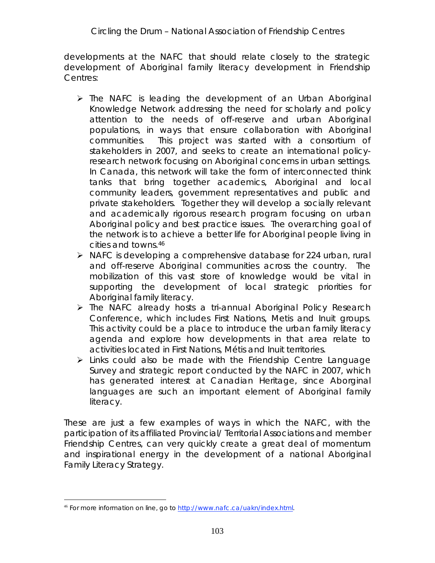developments at the NAFC that should relate closely to the strategic development of Aboriginal family literacy development in Friendship Centres:

- $\triangleright$  The NAFC is leading the development of an Urban Aboriginal Knowledge Network addressing the need for scholarly and policy attention to the needs of off-reserve and urban Aboriginal populations, in ways that ensure collaboration with Aboriginal communities. This project was started with a consortium of stakeholders in 2007, and seeks to create an international policyresearch network focusing on Aboriginal concerns in urban settings. In Canada, this network will take the form of interconnected think tanks that bring together academics, Aboriginal and local community leaders, government representatives and public and private stakeholders. Together they will develop a socially relevant and academically rigorous research program focusing on urban Aboriginal policy and best practice issues. The overarching goal of the network is to achieve a better life for Aboriginal people living in cities and towns.46
- $\triangleright$  NAFC is developing a comprehensive database for 224 urban, rural and off-reserve Aboriginal communities across the country. The mobilization of this vast store of knowledge would be vital in supporting the development of local strategic priorities for Aboriginal family literacy.
- > The NAFC already hosts a tri-annual Aboriginal Policy Research Conference, which includes First Nations, Metis and Inuit groups. This activity could be a place to introduce the urban family literacy agenda and explore how developments in that area relate to activities located in First Nations, Métis and Inuit territories.
- $\triangleright$  Links could also be made with the Friendship Centre Language Survey and strategic report conducted by the NAFC in 2007, which has generated interest at Canadian Heritage, since Aborginal languages are such an important element of Aboriginal family literacy.

These are just a few examples of ways in which the NAFC, with the participation of its affiliated Provincial/ Territorial Associations and member Friendship Centres, can very quickly create a great deal of momentum and inspirational energy in the development of a national Aboriginal Family Literacy Strategy.

<sup>46</sup> For more information on line, go to http://www.nafc.ca/uakn/index.html.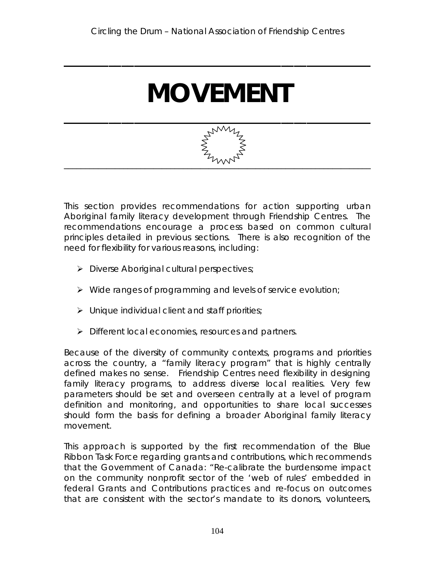**\_\_\_\_\_\_\_\_\_\_\_\_\_\_\_\_\_\_\_\_\_\_\_\_\_\_\_\_\_\_\_\_\_\_\_\_\_\_\_\_\_\_\_\_\_\_\_\_**

# **MOVEMENT**



This section provides recommendations for action supporting urban Aboriginal family literacy development through Friendship Centres. The recommendations encourage a process based on common cultural principles detailed in previous sections. There is also recognition of the need for flexibility for various reasons, including:

- $\triangleright$  Diverse Aboriginal cultural perspectives;
- $\triangleright$  Wide ranges of programming and levels of service evolution;
- $\triangleright$  Unique individual client and staff priorities;
- > Different local economies, resources and partners.

Because of the diversity of community contexts, programs and priorities across the country, a "family literacy program" that is highly centrally defined makes no sense. Friendship Centres need flexibility in designing family literacy programs, to address diverse local realities. Very few parameters should be set and overseen centrally at a level of program definition and monitoring, and opportunities to share local successes should form the basis for defining a broader Aboriginal family literacy movement.

This approach is supported by the first recommendation of the Blue Ribbon Task Force regarding grants and contributions, which recommends that the Government of Canada: "Re-calibrate the burdensome impact on the community nonprofit sector of the 'web of rules' embedded in federal Grants and Contributions practices and re-focus on outcomes that are consistent with the sector's mandate to its donors, volunteers,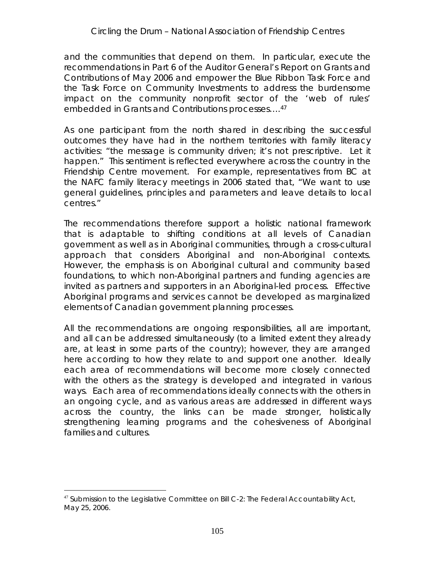and the communities that depend on them. In particular, execute the recommendations in Part 6 of the Auditor General's Report on Grants and Contributions of May 2006 and empower the Blue Ribbon Task Force and the Task Force on Community Investments to address the burdensome impact on the community nonprofit sector of the 'web of rules' embedded in Grants and Contributions processes….47

As one participant from the north shared in describing the successful outcomes they have had in the northern territories with family literacy activities: "the message is community driven; it's not prescriptive. Let it happen." This sentiment is reflected everywhere across the country in the Friendship Centre movement. For example, representatives from BC at the NAFC family literacy meetings in 2006 stated that, "We want to use general guidelines, principles and parameters and leave details to local centres."

The recommendations therefore support a holistic national framework that is adaptable to shifting conditions at all levels of Canadian government as well as in Aboriginal communities, through a cross-cultural approach that considers Aboriginal and non-Aboriginal contexts. However, the emphasis is on Aboriginal cultural and community based foundations, to which non-Aboriginal partners and funding agencies are invited as partners and supporters in an Aboriginal-led process. Effective Aboriginal programs and services cannot be developed as marginalized elements of Canadian government planning processes.

All the recommendations are ongoing responsibilities, all are important, and all can be addressed simultaneously (to a limited extent they already are, at least in some parts of the country); however, they are arranged here according to how they relate to and support one another. Ideally each area of recommendations will become more closely connected with the others as the strategy is developed and integrated in various ways. Each area of recommendations ideally connects with the others in an ongoing cycle, and as various areas are addressed in different ways across the country, the links can be made stronger, holistically strengthening learning programs and the cohesiveness of Aboriginal families and cultures.

<sup>&</sup>lt;sup>47</sup> Submission to the Legislative Committee on Bill C-2: The Federal Accountability Act, May 25, 2006.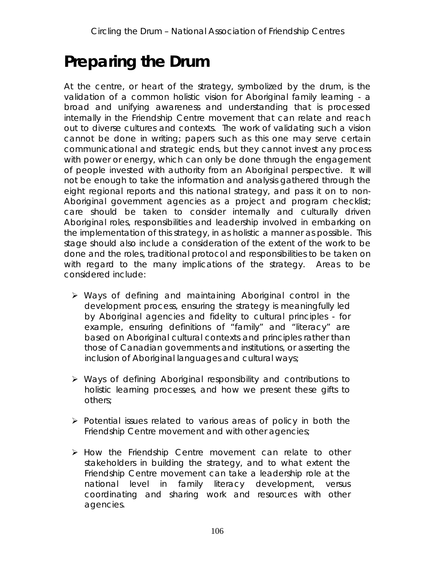## **Preparing the Drum**

At the centre, or heart of the strategy, symbolized by the drum, is the *validation* of a common holistic vision for Aboriginal family learning - a broad and unifying awareness and understanding that is processed *internally* in the Friendship Centre movement that can relate and reach out to diverse cultures and contexts. The work of validating such a vision cannot be done in writing; papers such as this one may serve certain communicational and strategic ends, but they cannot invest any process with power or energy, which can only be done through the engagement of people invested with *authority from an Aboriginal perspective*. It will not be enough to take the information and analysis gathered through the eight regional reports and this national strategy, and pass it on to non-Aboriginal government agencies as a project and program checklist; care should be taken to consider internally and culturally driven Aboriginal roles, responsibilities and leadership involved in embarking on the implementation of this strategy, in as holistic a manner as possible. This stage should also include a consideration of the extent of the work to be done and the roles, traditional protocol and responsibilities to be taken on with regard to the many implications of the strategy. Areas to be considered include:

- Ways of defining and maintaining Aboriginal control in the development process, ensuring the strategy is meaningfully led by Aboriginal agencies and fidelity to cultural principles - for example, ensuring definitions of "family" and "literacy" are based on Aboriginal cultural contexts and principles rather than those of Canadian governments and institutions, or asserting the inclusion of Aboriginal languages and cultural ways;
- Ways of defining Aboriginal responsibility and *contributions* to holistic learning processes, and how we present these gifts to others;
- $\triangleright$  Potential issues related to various areas of policy in both the Friendship Centre movement and with other agencies;
- $\triangleright$  How the Friendship Centre movement can relate to other stakeholders in building the strategy, and to what extent the Friendship Centre movement can take a leadership role at the national level in family literacy development, versus coordinating and sharing work and resources with other agencies.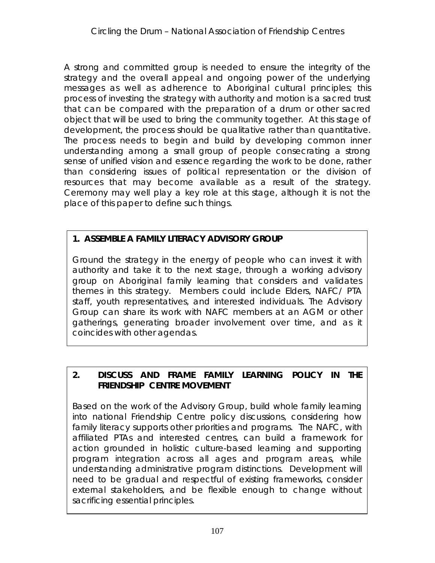A strong and committed group is needed to ensure the integrity of the strategy and the overall appeal and ongoing power of the underlying messages as well as adherence to Aboriginal cultural principles; this process of investing the strategy with authority and motion is a sacred trust that can be compared with the preparation of a drum or other sacred object that will be used to bring the community together. At this stage of development, the process should be qualitative rather than quantitative. The process needs to begin and build by developing common inner understanding among a small group of people consecrating a strong sense of unified vision and essence regarding the work to be done, rather than considering issues of political representation or the division of resources that may become available as a result of the strategy. Ceremony may well play a key role at this stage, although it is not the place of this paper to define such things.

**1. ASSEMBLE A FAMILY LITERACY ADVISORY GROUP**

Ground the strategy in the energy of people who can invest it with authority and take it to the next stage, through a working advisory group on Aboriginal family learning that considers and validates themes in this strategy. Members could include Elders, NAFC/ PTA staff, youth representatives, and interested individuals. The Advisory Group can share its work with NAFC members at an AGM or other gatherings, generating broader involvement over time, and as it coincides with other agendas.

**2. DISCUSS AND FRAME FAMILY LEARNING POLICY IN THE FRIENDSHIP CENTRE MOVEMENT**

Based on the work of the Advisory Group, build whole family learning into national Friendship Centre policy discussions, considering how family literacy supports other priorities and programs.The NAFC, with affiliated PTAs and interested centres, can build a framework for action grounded in holistic culture-based learning and supporting program integration across all ages and program areas, while understanding administrative program distinctions. Development will need to be gradual and respectful of existing frameworks, consider external stakeholders, and be flexible enough to change without sacrificing essential principles.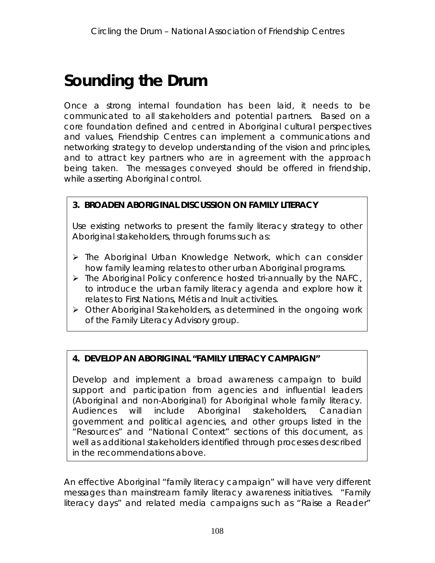## **Sounding the Drum**

Once a strong internal foundation has been laid, it needs to be communicated to all stakeholders and potential partners. Based on a core foundation defined and centred in Aboriginal cultural perspectives and values, Friendship Centres can implement a communications and networking strategy to develop understanding of the vision and principles, and to attract key partners who are in agreement with the approach being taken. The messages conveyed should be offered in friendship, while asserting Aboriginal control.

**3. BROADEN ABORIGINAL DISCUSSION ON FAMILY LITERACY**

Use existing networks to present the family literacy strategy to other Aboriginal stakeholders, through forums such as:

- $\triangleright$  The Aboriginal Urban Knowledge Network, which can consider how family learning relates to other urban Aboriginal programs.
- $\triangleright$  The Aboriginal Policy conference hosted tri-annually by the NAFC, to introduce the urban family literacy agenda and explore how it relates to First Nations, Métis and Inuit activities.
- Other Aboriginal Stakeholders, as determined in the ongoing work of the Family Literacy Advisory group.

**4. DEVELOP AN ABORIGINAL "FAMILY LITERACY CAMPAIGN"**

Develop and implement a broad awareness campaign to build support and participation from agencies and influential leaders (Aboriginal and non-Aboriginal) for Aboriginal whole family literacy. Audiences will include Aboriginal stakeholders, Canadian government and political agencies, and other groups listed in the "Resources" and "National Context" sections of this document, as well as additional stakeholders identified through processes described in the recommendations above.

An effective Aboriginal "family literacy campaign" will have very different messages than mainstream family literacy awareness initiatives. "Family literacy days" and related media campaigns such as "Raise a Reader"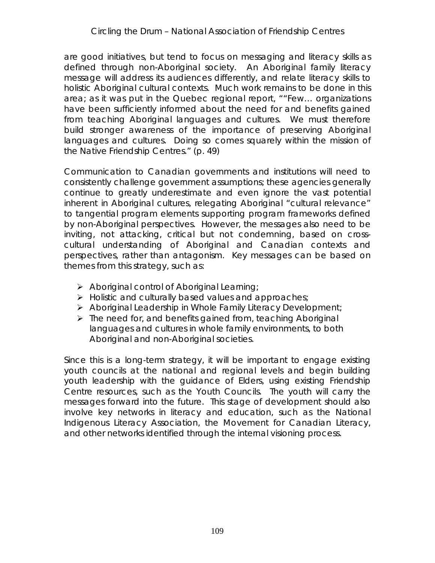are good initiatives, but tend to focus on messaging and literacy skills as defined through non-Aboriginal society. An Aboriginal family literacy message will address its audiences differently, and relate literacy skills to holistic Aboriginal cultural contexts. Much work remains to be done in this area; as it was put in the Quebec regional report, ""Few… organizations have been sufficiently informed about the need for and benefits gained from teaching Aboriginal languages and cultures. We must therefore build stronger awareness of the importance of preserving Aboriginal languages and cultures. Doing so comes squarely within the mission of the Native Friendship Centres." (p. 49)

Communication to Canadian governments and institutions will need to consistently challenge government assumptions; these agencies generally continue to greatly underestimate and even ignore the vast potential inherent in Aboriginal cultures, relegating Aboriginal "cultural relevance" to tangential program elements supporting program frameworks defined by non-Aboriginal perspectives. However, the messages also need to be inviting, not attacking, critical but not condemning, based on crosscultural understanding of Aboriginal and Canadian contexts and perspectives, rather than antagonism. Key messages can be based on themes from this strategy, such as:

- $\triangleright$  Aboriginal control of Aboriginal Learning;
- $\triangleright$  Holistic and culturally based values and approaches;
- $\triangleright$  Aboriginal Leadership in Whole Family Literacy Development;
- $\triangleright$  The need for, and benefits gained from, teaching Aboriginal languages and cultures in whole family environments, to both Aboriginal and non-Aboriginal societies.

Since this is a long-term strategy, it will be important to engage existing youth councils at the national and regional levels and begin building youth leadership with the guidance of Elders, using existing Friendship Centre resources, such as the Youth Councils. The youth will carry the messages forward into the future. This stage of development should also involve key networks in literacy and education, such as the National Indigenous Literacy Association, the Movement for Canadian Literacy, and other networks identified through the internal visioning process.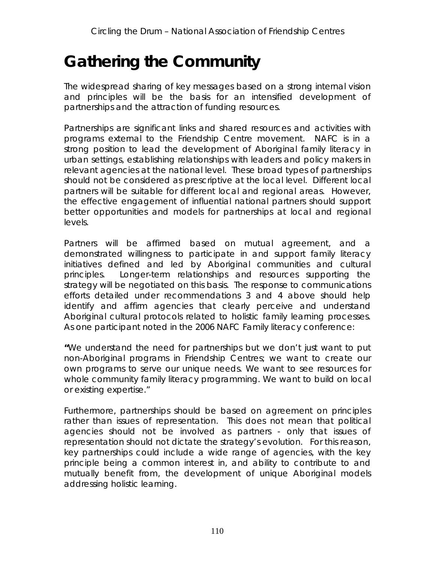## **Gathering the Community**

The widespread sharing of key messages based on a strong internal vision and principles will be the basis for an intensified development of partnerships and the attraction of funding resources.

Partnerships are significant links and shared resources and activities with programs external to the Friendship Centre movement. NAFC is in a strong position to lead the development of Aboriginal family literacy in urban settings, establishing relationships with leaders and policy makers in relevant agencies at the national level. These broad types of partnerships should not be considered as prescriptive at the local level. Different local partners will be suitable for different local and regional areas. However, the effective engagement of influential national partners should support better opportunities and models for partnerships at local and regional levels.

Partners will be affirmed based on mutual agreement, and a demonstrated willingness to participate in and support family literacy initiatives defined and led by Aboriginal communities and cultural principles. Longer-term relationships and resources supporting the strategy will be negotiated on this basis. The response to communications efforts detailed under recommendations 3 and 4 above should help identify and affirm agencies that clearly perceive and understand Aboriginal cultural protocols related to holistic family learning processes. As one participant noted in the 2006 NAFC Family literacy conference:

**"**We understand the need for partnerships but we don't just want to put non-Aboriginal programs in Friendship Centres; we want to create our own programs to serve our unique needs. We want to see resources for whole community family literacy programming. We want to build on local or existing expertise."

Furthermore, partnerships should be based on agreement on principles rather than issues of representation. This does not mean that political agencies should not be involved as partners - only that issues of representation should not dictate the strategy's evolution. For this reason, key partnerships could include a wide range of agencies, with the key principle being a common interest in, and ability to contribute to and mutually benefit from, the development of unique Aboriginal models addressing holistic learning.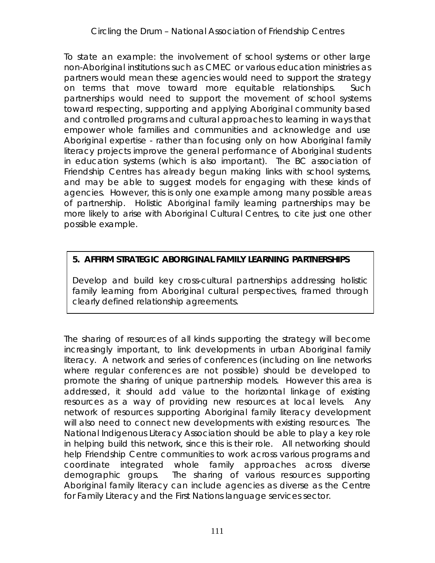To state an example: the involvement of school systems or other large non-Aboriginal institutions such as CMEC or various education ministries as partners would mean these agencies would need to support the strategy on terms that move toward more equitable relationships. Such partnerships would need to support the movement of school systems toward respecting, supporting and applying Aboriginal community based and controlled programs and cultural approaches to learning in ways that empower whole families and communities and acknowledge and use Aboriginal expertise - rather than focusing only on how Aboriginal family literacy projects improve the general performance of Aboriginal students in education systems (which is also important). The BC association of Friendship Centres has already begun making links with school systems, and may be able to suggest models for engaging with these kinds of agencies. However, this is only one example among many possible areas of partnership. Holistic Aboriginal family learning partnerships may be more likely to arise with Aboriginal Cultural Centres, to cite just one other possible example.

#### **5. AFFIRM STRATEGIC ABORIGINAL FAMILY LEARNING PARTNERSHIPS**

Develop and build key cross-cultural partnerships addressing holistic family learning from Aboriginal cultural perspectives, framed through clearly defined relationship agreements.

The sharing of resources of all kinds supporting the strategy will become increasingly important, to link developments in urban Aboriginal family literacy. A network and series of conferences (including on line networks where regular conferences are not possible) should be developed to promote the sharing of unique partnership models. However this area is addressed, it should add value to the horizontal linkage of existing resources as a way of providing new resources at local levels. Any network of resources supporting Aboriginal family literacy development will also need to connect new developments with existing resources. The National Indigenous Literacy Association should be able to play a key role in helping build this network, since this is their role. All networking should help Friendship Centre communities to work across various programs and coordinate integrated whole family approaches across diverse demographic groups. The sharing of various resources supporting Aboriginal family literacy can include agencies as diverse as the Centre for Family Literacy and the First Nations language services sector.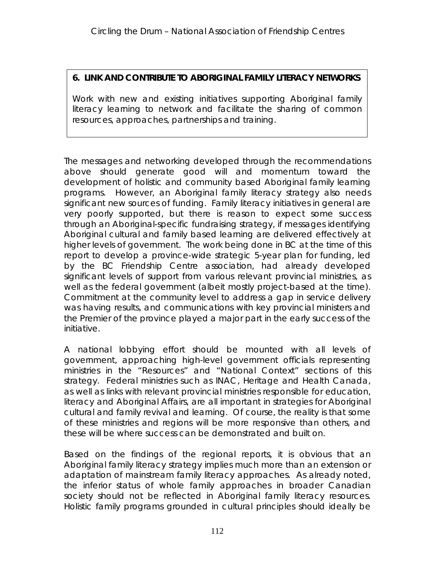**6. LINK AND CONTRIBUTE TO ABORIGINAL FAMILY LITERACY NETWORKS**

Work with new and existing initiatives supporting Aboriginal family literacy learning to network and facilitate the sharing of common resources, approaches, partnerships and training.

The messages and networking developed through the recommendations above should generate good will and momentum toward the development of holistic and community based Aboriginal family learning programs. However, an Aboriginal family literacy strategy also needs significant new sources of funding. Family literacy initiatives in general are very poorly supported, but there is reason to expect some success through an Aboriginal-specific fundraising strategy, if messages identifying Aboriginal cultural and family based learning are delivered effectively at higher levels of government. The work being done in BC at the time of this report to develop a province-wide strategic 5-year plan for funding, led by the BC Friendship Centre association, had already developed significant levels of support from various relevant provincial ministries, as well as the federal government (albeit mostly project-based at the time). Commitment at the community level to address a gap in service delivery was having results, and communications with key provincial ministers and the Premier of the province played a major part in the early success of the initiative.

A national lobbying effort should be mounted with all levels of government, approaching high-level government officials representing ministries in the "Resources" and "National Context" sections of this strategy. Federal ministries such as INAC, Heritage and Health Canada, as well as links with relevant provincial ministries responsible for education, literacy and Aboriginal Affairs, are all important in strategies for Aboriginal cultural and family revival and learning. Of course, the reality is that some of these ministries and regions will be more responsive than others, and these will be where success can be demonstrated and built on.

Based on the findings of the regional reports, it is obvious that an Aboriginal family literacy strategy implies much more than an extension or adaptation of mainstream family literacy approaches. As already noted, the inferior status of whole family approaches in broader Canadian society should not be reflected in Aboriginal family literacy resources. Holistic family programs grounded in cultural principles should ideally be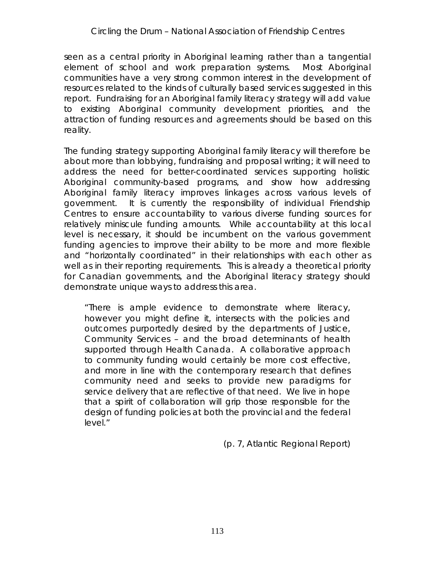seen as a central priority in Aboriginal learning rather than a tangential element of school and work preparation systems. Most Aboriginal communities have a very strong common interest in the development of resources related to the kinds of culturally based services suggested in this report. Fundraising for an *Aboriginal* family literacy strategy will add value to existing Aboriginal community development priorities, and the attraction of funding resources and agreements should be based on this reality.

The funding strategy supporting Aboriginal family literacy will therefore be about more than lobbying, fundraising and proposal writing; it will need to address the need for better-coordinated services supporting holistic Aboriginal community-based programs, and show how addressing Aboriginal family literacy improves linkages across various levels of government. It is currently the responsibility of individual Friendship Centres to ensure accountability to various diverse funding sources for relatively miniscule funding amounts. While accountability at this local level is necessary, it should be incumbent on the various government funding agencies to improve their ability to be more and more flexible and "horizontally coordinated" in their relationships with each other as well as in their reporting requirements. This is already a theoretical priority for Canadian governments, and the Aboriginal literacy strategy should demonstrate unique ways to address this area.

*"There is ample evidence to demonstrate where literacy, however you might define it, intersects with the policies and outcomes purportedly desired by the departments of Justice, Community Services – and the broad determinants of health supported through Health Canada. A collaborative approach to community funding would certainly be more cost effective, and more in line with the contemporary research that defines community need and seeks to provide new paradigms for service delivery that are reflective of that need. We live in hope that a spirit of collaboration will grip those responsible for the design of funding policies at both the provincial and the federal level."*

(p. 7, Atlantic Regional Report)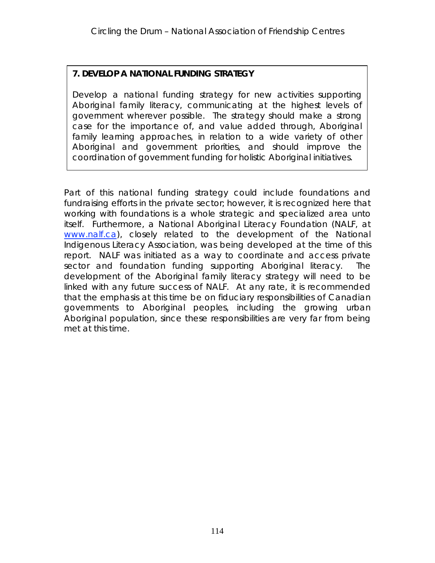#### **7. DEVELOP A NATIONAL FUNDING STRATEGY**

Develop a national funding strategy for new activities supporting Aboriginal family literacy, communicating at the highest levels of government wherever possible. The strategy should make a strong case for the importance of, and value added through, Aboriginal family learning approaches, in relation to a wide variety of other Aboriginal and government priorities, and should improve the coordination of government funding for holistic Aboriginal initiatives.

Part of this national funding strategy could include foundations and fundraising efforts in the private sector; however, it is recognized here that working with foundations is a whole strategic and specialized area unto itself. Furthermore, a National Aboriginal Literacy Foundation (NALF, at www.nalf.ca), closely related to the development of the National Indigenous Literacy Association, was being developed at the time of this report. NALF was initiated as a way to coordinate and access private sector and foundation funding supporting Aboriginal literacy. The development of the Aboriginal family literacy strategy will need to be linked with any future success of NALF. At any rate, it is recommended that the emphasis at this time be on fiduciary responsibilities of Canadian governments to Aboriginal peoples, including the growing urban Aboriginal population, since these responsibilities are very far from being met at this time.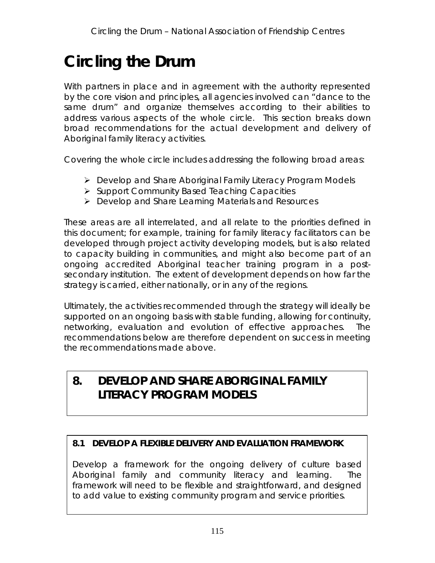# **Circling the Drum**

With partners in place and in agreement with the authority represented by the core vision and principles, all agencies involved can "dance to the same drum" and organize themselves according to their abilities to address various aspects of the whole circle. This section breaks down broad recommendations for the actual development and delivery of Aboriginal family literacy activities.

Covering the whole circle includes addressing the following broad areas:

- Develop and Share Aboriginal Family Literacy Program Models
- $\triangleright$  Support Community Based Teaching Capacities
- Develop and Share Learning Materials and Resources

These areas are all interrelated, and all relate to the priorities defined in this document; for example, training for family literacy facilitators can be developed through project activity developing models, but is also related to capacity building in communities, and might also become part of an ongoing accredited Aboriginal teacher training program in a postsecondary institution. The extent of development depends on how far the strategy is carried, either nationally, or in any of the regions.

Ultimately, the activities recommended through the strategy will ideally be supported on an ongoing basis with stable funding, allowing for continuity, networking, evaluation and evolution of effective approaches. The recommendations below are therefore dependent on success in meeting the recommendations made above.

### **8. DEVELOP AND SHARE ABORIGINAL FAMILY LITERACY PROGRAM MODELS**

#### **8.1 DEVELOP A FLEXIBLE DELIVERY AND EVALUATION FRAMEWORK**

Develop a framework for the *ongoing delivery* of culture based Aboriginal family and community literacy and learning. The framework will need to be flexible and straightforward, and designed to add value to existing community program and service priorities.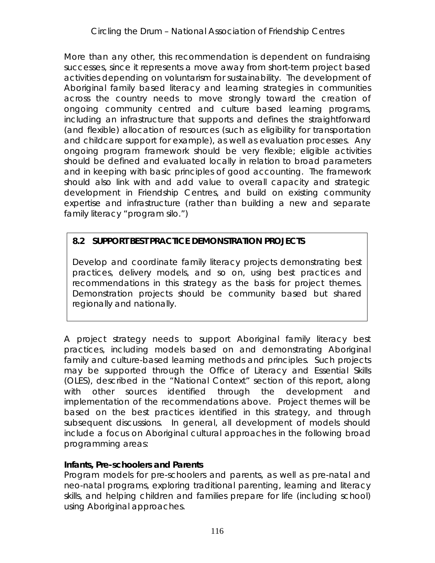More than any other, this recommendation is dependent on fundraising successes, since it represents a move away from short-term project based activities depending on voluntarism for sustainability. The development of Aboriginal family based literacy and learning strategies in communities across the country needs to move strongly toward the creation of ongoing community centred and culture based learning programs, including an infrastructure that supports and defines the straightforward (and flexible) allocation of resources (such as eligibility for transportation and childcare support for example), as well as evaluation processes. Any ongoing program framework should be very flexible; eligible activities should be defined and evaluated locally in relation to broad parameters and in keeping with *basic* principles of good accounting. The framework should also link with and add value to overall capacity and strategic development in Friendship Centres, and build on existing community expertise and infrastructure (rather than building a new and separate family literacy "program silo.")

#### **8.2 SUPPORT BEST PRACTICE DEMONSTRATION PROJECTS**

Develop and coordinate family literacy projects demonstrating best practices, delivery models, and so on, using best practices and recommendations in this strategy as the basis for project themes. Demonstration projects should be community based but shared regionally and nationally.

A project strategy needs to support Aboriginal family literacy best practices, including models based on and demonstrating Aboriginal family and culture-based learning methods and principles. Such projects may be supported through the Office of Literacy and Essential Skills (OLES), described in the "National Context" section of this report, along with other sources identified through the development and implementation of the recommendations above. Project themes will be based on the best practices identified in this strategy, and through subsequent discussions. In general, all development of models should include a focus on Aboriginal cultural approaches in the following broad programming areas:

#### **Infants, Pre-schoolers and Parents**

Program models for pre-schoolers and parents, as well as pre-natal and neo-natal programs, exploring traditional parenting, learning and literacy skills, and helping children and families prepare for life (including school) using Aboriginal approaches.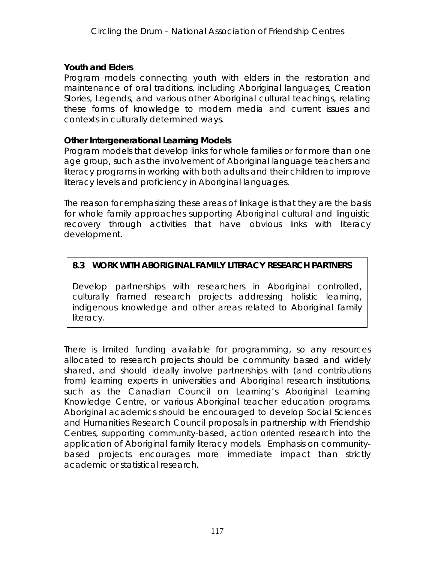**Youth and Elders**

Program models connecting youth with elders in the restoration and maintenance of oral traditions, including Aboriginal languages, Creation Stories, Legends, and various other Aboriginal cultural teachings, relating these forms of knowledge to modern media and current issues and contexts in culturally determined ways.

#### **Other Intergenerational Learning Models**

Program models that develop links for whole families or for more than one age group, such as the involvement of Aboriginal language teachers and literacy programs in working with both adults and their children to improve literacy levels and proficiency in Aboriginal languages.

The reason for emphasizing these areas of linkage is that they are the basis for whole family approaches supporting Aboriginal cultural and linguistic recovery through activities that have obvious links with literacy development.

#### **8.3 WORK WITH ABORIGINAL FAMILY LITERACY RESEARCH PARTNERS**

Develop partnerships with researchers in Aboriginal controlled, culturally framed research projects addressing holistic learning, indigenous knowledge and other areas related to Aboriginal family literacy.

There is limited funding available for programming, so any resources allocated to research projects should be community based and widely shared, and should ideally involve partnerships with (and contributions from) learning experts in universities and Aboriginal research institutions, such as the Canadian Council on Learning's Aboriginal Learning Knowledge Centre, or various Aboriginal teacher education programs. Aboriginal academics should be encouraged to develop Social Sciences and Humanities Research Council proposals in partnership with Friendship Centres, supporting community-based, action oriented research into the application of Aboriginal family literacy models. Emphasis on communitybased projects encourages more immediate impact than strictly academic or statistical research.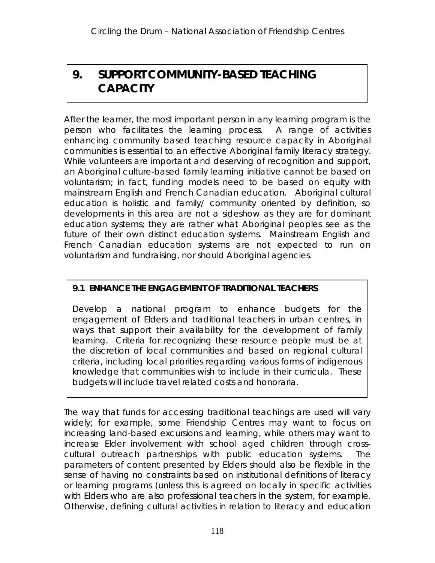## **9. SUPPORT COMMUNITY-BASED TEACHING CAPACITY**

After the learner, the most important person in any learning program is the person who facilitates the learning process. A range of activities enhancing community based teaching resource capacity in Aboriginal communities is essential to an effective Aboriginal family literacy strategy. While volunteers are important and deserving of recognition and support, an Aboriginal culture-based family learning initiative cannot be based on voluntarism; in fact, funding models need to be based on equity with mainstream English and French Canadian education. Aboriginal cultural education is holistic and family/ community oriented by definition, so developments in this area are not a sideshow as they are for dominant education systems; they are rather what Aboriginal peoples see as the future of their own distinct education systems. Mainstream English and French Canadian education systems are not expected to run on voluntarism and fundraising, nor should Aboriginal agencies.

#### **9.1 ENHANCE THE ENGAGEMENT OF TRADITIONAL TEACHERS**

Develop a national program to enhance budgets for the engagement of Elders and traditional teachers in urban centres, in ways that support their availability for the development of family learning. Criteria for recognizing these resource people must be at the discretion of local communities and based on regional cultural criteria, including local priorities regarding various forms of indigenous knowledge that communities wish to include in their curricula. These budgets will include travel related costs and honoraria.

The way that funds for accessing traditional teachings are used will vary widely; for example, some Friendship Centres may want to focus on increasing land-based excursions and learning, while others may want to increase Elder involvement with school aged children through crosscultural outreach partnerships with public education systems. The parameters of content presented by Elders should also be flexible in the sense of having no constraints based on institutional definitions of literacy or learning programs (unless this is agreed on locally in specific activities with Elders who are also professional teachers in the system, for example. Otherwise, defining cultural activities in relation to literacy and education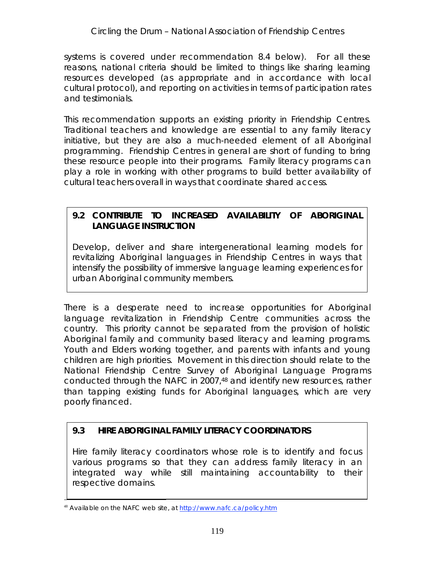*systems* is covered under recommendation 8.4 below). For all these reasons, national criteria should be limited to things like sharing learning resources developed (as appropriate and in accordance with local cultural protocol), and reporting on activities in terms of participation rates and testimonials.

This recommendation supports an existing priority in Friendship Centres. Traditional teachers and knowledge are essential to any family literacy initiative, but they are also a much-needed element of all Aboriginal programming. Friendship Centres in general are short of funding to bring these resource people into their programs. Family literacy programs can play a role in working with other programs to build better availability of cultural teachers overall in ways that coordinate shared access.

#### **9.2 CONTRIBUTE TO INCREASED AVAILABILITY OF ABORIGINAL LANGUAGE INSTRUCTION**

Develop, deliver and share intergenerational learning models for revitalizing Aboriginal languages in Friendship Centres in ways that intensify the possibility of immersive language learning experiences for urban Aboriginal community members.

There is a desperate need to increase opportunities for Aboriginal language revitalization in Friendship Centre communities across the country. This priority cannot be separated from the provision of holistic Aboriginal family and community based literacy and learning programs. Youth and Elders working together, and parents with infants and young children are high priorities. Movement in this direction should relate to the National Friendship Centre Survey of Aboriginal Language Programs conducted through the NAFC in 2007,48 and identify *new resources*, rather than tapping existing funds for Aboriginal languages, which are very poorly financed.

#### **9.3 HIRE ABORIGINAL FAMILY LITERACY COORDINATORS**

Hire family literacy coordinators whose role is to identify and focus various programs so that they can address family literacy in an integrated way while still maintaining accountability to their respective domains.

<sup>48</sup> Available on the NAFC web site, at http://www.nafc.ca/policy.htm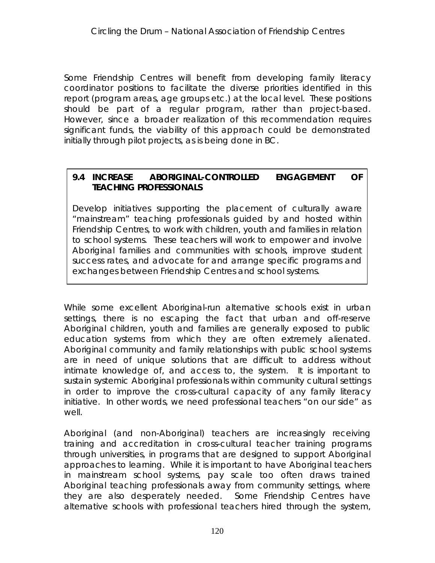Some Friendship Centres will benefit from developing family literacy coordinator positions to facilitate the diverse priorities identified in this report (program areas, age groups etc.) at the local level. These positions should be part of a regular program, rather than project-based. However, since a broader realization of this recommendation requires significant funds, the viability of this approach could be demonstrated initially through pilot projects, as is being done in BC.

#### **9.4 INCREASE ABORIGINAL-CONTROLLED ENGAGEMENT OF TEACHING PROFESSIONALS**

Develop initiatives supporting the placement of culturally aware "mainstream" teaching professionals guided by and hosted within Friendship Centres, to work with children, youth and families in relation to school systems. These teachers will work to empower and involve Aboriginal families and communities with schools, improve student success rates, and advocate for and arrange specific programs and exchanges between Friendship Centres and school systems.

While some excellent Aboriginal-run alternative schools exist in urban settings, there is no escaping the fact that urban and off-reserve Aboriginal children, youth and families are generally exposed to public education systems from which they are often extremely alienated. Aboriginal community and family relationships with public school systems are in need of unique solutions that are difficult to address without intimate knowledge of, and access to, the system. It is important to sustain systemic Aboriginal professionals within community cultural settings in order to improve the cross-cultural capacity of any family literacy initiative. In other words, we need professional teachers "on our side" as well.

Aboriginal (and non-Aboriginal) teachers are increasingly receiving training and accreditation in cross-cultural teacher training programs through universities, in programs that are designed to support Aboriginal approaches to learning. While it is important to have Aboriginal teachers in mainstream school systems, pay scale too often draws trained Aboriginal teaching professionals away from community settings, where they are also desperately needed. Some Friendship Centres have alternative schools with professional teachers hired through the system,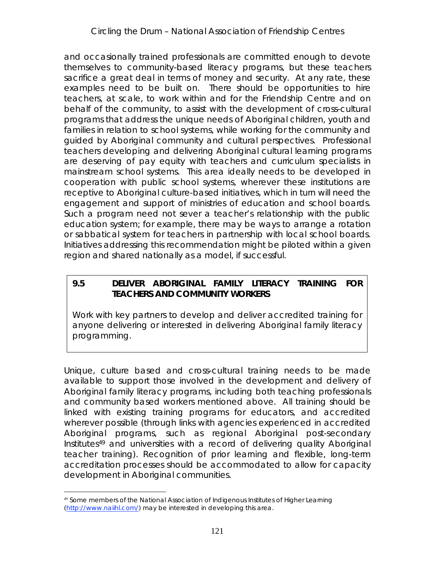and occasionally trained professionals are committed enough to devote themselves to community-based literacy programs, but these teachers sacrifice a great deal in terms of money and security. At any rate, these examples need to be built on. There should be opportunities to hire teachers, at scale, to work within and for the Friendship Centre and on behalf of the community, to assist with the development of cross-cultural programs that address the unique needs of Aboriginal children, youth and families in relation to school systems, *while working for the community and guided by Aboriginal community and cultural perspectives*. Professional teachers developing and delivering Aboriginal cultural learning programs are deserving of pay equity with teachers and curriculum specialists in mainstream school systems. This area ideally needs to be developed in cooperation with public school systems, wherever these institutions are receptive to Aboriginal culture-based initiatives, which in turn will need the engagement and support of ministries of education and school boards. Such a program need not sever a teacher's relationship with the public education system; for example, there may be ways to arrange a rotation or sabbatical system for teachers in partnership with local school boards. Initiatives addressing this recommendation might be piloted within a given region and shared nationally as a model, if successful.

#### **9.5 DELIVER ABORIGINAL FAMILY LITERACY TRAINING FOR TEACHERS AND COMMUNITY WORKERS**

Work with key partners to develop and deliver accredited training for anyone delivering or interested in delivering Aboriginal family literacy programming.

Unique, culture based and cross-cultural training needs to be made available to support those involved in the development and delivery of Aboriginal family literacy programs, including both teaching professionals and community based workers mentioned above. All training should be linked with existing training programs for educators, and accredited wherever possible (through links with agencies experienced in accredited Aboriginal programs, such as regional Aboriginal post-secondary Institutes49 and universities with a record of delivering quality Aboriginal teacher training). Recognition of prior learning and flexible, long-term accreditation processes should be accommodated to allow for capacity development in Aboriginal communities.

<sup>&</sup>lt;sup>49</sup> Some members of the National Association of Indigenous Institutes of Higher Learning (http://www.naiihl.com/) may be interested in developing this area.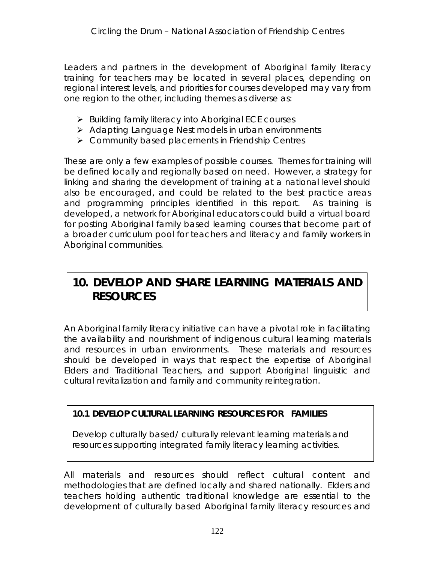Leaders and partners in the development of Aboriginal family literacy training for teachers may be located in several places, depending on regional interest levels, and priorities for courses developed may vary from one region to the other, including themes as diverse as:

- $\triangleright$  Building family literacy into Aboriginal ECE courses
- Adapting Language Nest models in urban environments
- **▶ Community based placements in Friendship Centres**

These are only a few examples of possible courses. Themes for training will be defined locally and regionally based on need. However, a strategy for linking and sharing the development of training at a national level should also be encouraged, and could be related to the best practice areas and programming principles identified in this report. As training is developed, a network for Aboriginal educators could build a virtual board for posting Aboriginal family based learning courses that become part of a broader curriculum pool for teachers and literacy and family workers in Aboriginal communities.

### **10. DEVELOP AND SHARE LEARNING MATERIALS AND RESOURCES**

An Aboriginal family literacy initiative can have a pivotal role in facilitating the availability and nourishment of indigenous cultural learning materials and resources in urban environments. These materials and resources should be developed in ways that respect the expertise of Aboriginal Elders and Traditional Teachers, and support Aboriginal linguistic and cultural revitalization and family and community reintegration.

**10.1 DEVELOP CULTURAL LEARNING RESOURCES FOR FAMILIES**

Develop culturally based/ culturally relevant learning materials and resources supporting integrated family literacy learning activities.

All materials and resources should reflect cultural content and methodologies that are defined locally and shared nationally. Elders and teachers holding authentic traditional knowledge are essential to the development of culturally based Aboriginal family literacy resources and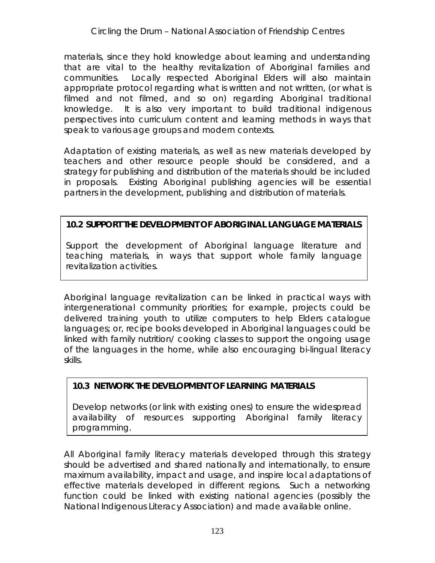materials, since they hold knowledge about learning and *understanding* that are vital to the healthy revitalization of Aboriginal families and communities. Locally respected Aboriginal Elders will also maintain appropriate protocol regarding what is written and not written, (or what is filmed and not filmed, and so on) regarding Aboriginal traditional knowledge. It is also very important to build traditional indigenous perspectives into curriculum content and learning methods in ways that speak to various age groups and modern contexts.

Adaptation of existing materials, as well as new materials developed by teachers and other resource people should be considered, and a strategy for publishing and distribution of the materials should be included in proposals. Existing Aboriginal publishing agencies will be essential partners in the development, publishing and distribution of materials.

**10.2 SUPPORT THE DEVELOPMENT OF ABORIGINAL LANGUAGE MATERIALS**

Support the development of Aboriginal language literature and teaching materials, in ways that support whole family language revitalization activities.

Aboriginal language revitalization can be linked in practical ways with intergenerational community priorities; for example, projects could be delivered training youth to utilize computers to help Elders catalogue languages; or, recipe books developed in Aboriginal languages could be linked with family nutrition/ cooking classes to support the ongoing usage of the languages in the home, while also encouraging bi-lingual literacy skills.

#### **10.3 NETWORK THE DEVELOPMENT OF LEARNING MATERIALS**

Develop networks (or link with existing ones) to ensure the widespread availability of resources supporting Aboriginal family literacy programming.

All Aboriginal family literacy materials developed through this strategy should be advertised and shared nationally and internationally, to ensure maximum availability, impact and usage, and inspire local adaptations of effective materials developed in different regions. Such a networking function could be linked with existing national agencies (possibly the National Indigenous Literacy Association) and made available online.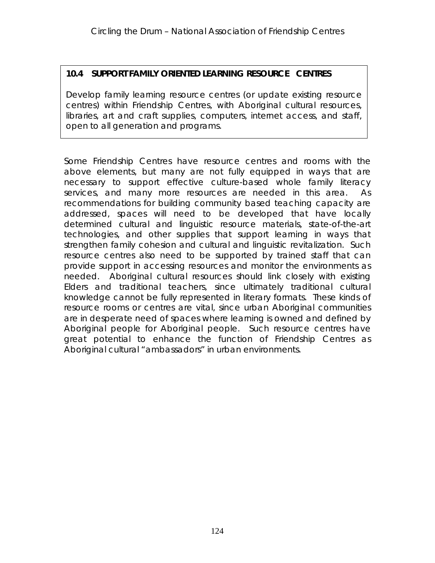**10.4 SUPPORT FAMILY ORIENTED LEARNING RESOURCE CENTRES**

Develop family learning resource centres (or update existing resource centres) within Friendship Centres, with Aboriginal cultural resources, libraries, art and craft supplies, computers, internet access, and staff, open to all generation and programs.

Some Friendship Centres have resource centres and rooms with the above elements, but many are not fully equipped in ways that are necessary to support effective culture-based whole family literacy services, and many more resources are needed in this area. As recommendations for building community based teaching capacity are addressed, spaces will need to be developed that have locally determined cultural and linguistic resource materials, state-of-the-art technologies, and other supplies that support learning in ways that strengthen family cohesion and cultural and linguistic revitalization. Such resource centres also need to be supported by trained staff that can provide support in accessing resources and monitor the environments as needed. Aboriginal cultural resources should link closely with existing Elders and traditional teachers, since ultimately traditional cultural knowledge cannot be fully represented in literary formats. These kinds of resource rooms or centres are vital, since urban Aboriginal communities are in desperate need of spaces where learning is owned and defined by Aboriginal people for Aboriginal people. Such resource centres have great potential to enhance the function of Friendship Centres as Aboriginal cultural "ambassadors" in urban environments.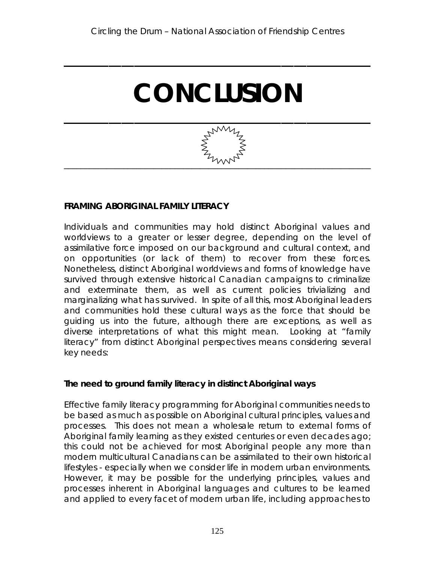**\_\_\_\_\_\_\_\_\_\_\_\_\_\_\_\_\_\_\_\_\_\_\_\_\_\_\_\_\_\_\_\_\_\_\_\_\_\_\_\_\_\_\_\_\_\_\_\_**

# **CONCLUSION**



#### **FRAMING** *ABORIGINAL* **FAMILY LITERACY**

Individuals and communities may hold distinct Aboriginal values and worldviews to a greater or lesser degree, depending on the level of assimilative force imposed on our background and cultural context, and on opportunities (or lack of them) to recover from these forces. Nonetheless, distinct Aboriginal worldviews and forms of knowledge have survived through extensive historical Canadian campaigns to criminalize and exterminate them, as well as current policies trivializing and marginalizing what has survived. In spite of all this, most Aboriginal leaders and communities hold these cultural ways as the force that should be guiding us into the future, although there are exceptions, as well as diverse interpretations of what this might mean. Looking at "family literacy" from distinct Aboriginal perspectives means considering several key needs:

**The need to ground family literacy in distinct Aboriginal ways**

Effective family literacy programming for Aboriginal communities needs to be based as much as possible on Aboriginal cultural principles, values and processes. This does not mean a wholesale return to *external* forms of Aboriginal family learning as they existed centuries or even decades ago; this could not be achieved for most Aboriginal people any more than modern multicultural Canadians can be assimilated to their own historical lifestyles - especially when we consider life in modern urban environments. However, it may be possible for the underlying *principles, values and processes* inherent in Aboriginal languages and cultures to be learned and applied to every facet of modern urban life, including approaches to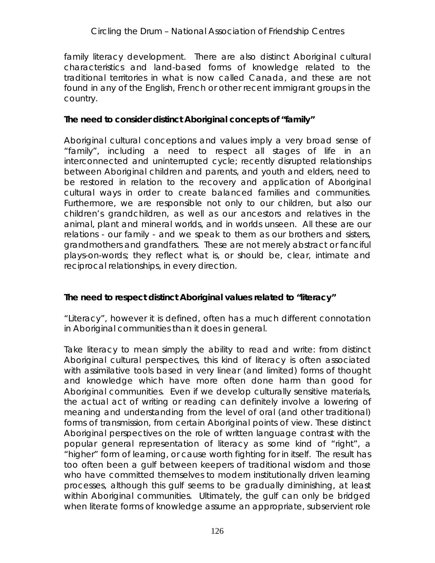#### *Circling the Drum* – National Association of Friendship Centres

family literacy development. There are also distinct Aboriginal cultural characteristics and land-based forms of knowledge related to the traditional territories in what is now called Canada, and these are not found in any of the English, French or other recent immigrant groups in the country.

**The need to consider distinct Aboriginal concepts of "family"**

Aboriginal cultural conceptions and values imply a very broad sense of "family", including a need to respect all stages of life in an interconnected and uninterrupted cycle; recently disrupted relationships between Aboriginal children and parents, and youth and elders, need to be restored in relation to the recovery and application of Aboriginal cultural ways in order to create balanced families and communities. Furthermore, we are responsible not only to our children, but also our children's grandchildren, as well as our ancestors and relatives in the animal, plant and mineral worlds, and in worlds unseen. All these are our relations - our family - and we speak to them as our brothers and sisters, grandmothers and grandfathers. These are not merely abstract or fanciful plays-on-words; they reflect what is, or should be, clear, intimate and reciprocal *relationships*, in every direction.

**The need to respect distinct Aboriginal values related to "literacy"**

"Literacy", however it is defined, often has a much different connotation in Aboriginal communities than it does in general.

Take literacy to mean simply the ability to read and write: from distinct Aboriginal cultural perspectives, this kind of literacy is often associated with assimilative tools based in very linear (and limited) forms of thought and knowledge which have more often done harm than good for Aboriginal communities. Even if we develop culturally sensitive materials, the actual *act* of writing or reading can definitely involve a *lowering* of meaning and understanding from the level of oral (and other traditional) forms of transmission, from certain Aboriginal points of view. These distinct Aboriginal perspectives on the role of written language contrast with the popular general representation of literacy as some kind of "right", a "higher" form of learning, or cause worth fighting for in itself. The result has too often been a gulf between keepers of traditional wisdom and those who have committed themselves to modern institutionally driven learning processes, although this gulf seems to be gradually diminishing, at least within Aboriginal communities. Ultimately, the gulf can only be bridged when literate forms of knowledge assume an appropriate, *subservient* role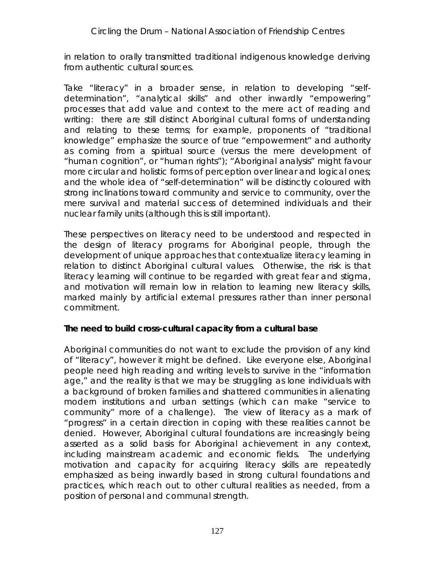in relation to orally transmitted traditional indigenous knowledge deriving from authentic cultural sources.

Take "literacy" in a broader sense, in relation to developing "selfdetermination", "analytical skills" and other inwardly "empowering" processes that add value and context to the mere act of reading and writing: there are still distinct Aboriginal cultural forms of understanding and relating to these terms; for example, proponents of "traditional knowledge" emphasize the source of true "empowerment" and authority as coming from a spiritual source (versus the mere development of "human cognition", or "human rights"); "Aboriginal analysis" might favour more circular and holistic forms of perception over linear and logical ones; and the whole idea of "self-determination" will be distinctly coloured with strong inclinations toward community and service to community, over the mere survival and material success of determined individuals and their nuclear family units (although this is still important).

These perspectives on literacy need to be understood and respected in the design of literacy programs for Aboriginal people, through the development of unique approaches that contextualize literacy learning in relation to distinct Aboriginal cultural values. Otherwise, the risk is that literacy learning will continue to be regarded with great fear and stigma, and motivation will remain low in relation to learning new literacy skills, marked mainly by artificial external pressures rather than inner personal commitment.

**The need to build cross-cultural capacity from a cultural base**

Aboriginal communities do not want to exclude the provision of any kind of "literacy", however it might be defined. Like everyone else, Aboriginal people need high reading and writing levels to survive in the "information age," and the reality is that we may be struggling as lone individuals with a background of broken families and shattered communities in alienating modern institutions and urban settings (which can make "service to community" more of a challenge). The view of literacy as a mark of "progress" in a certain direction in coping with these realities cannot be denied. However, Aboriginal cultural foundations are increasingly being asserted as a solid basis for Aboriginal achievement in any context, including mainstream academic and economic fields. The underlying motivation and capacity for acquiring literacy skills are repeatedly emphasized as being inwardly based in strong cultural foundations and practices, which reach out to other cultural realities as needed, from a position of personal and communal strength.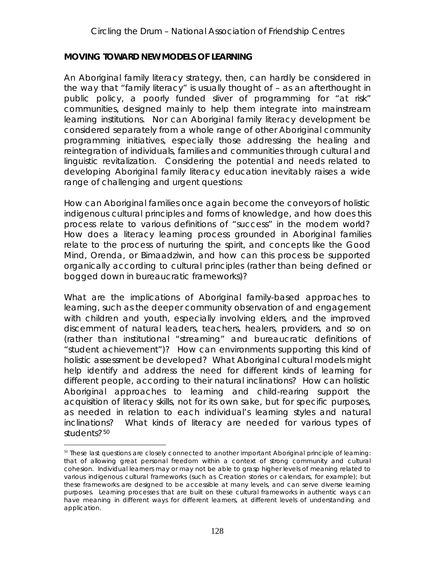#### **MOVING TOWARD NEW MODELS OF LEARNING**

An *Aboriginal* family literacy strategy, then, can hardly be considered in the way that "family literacy" is usually thought of – as an afterthought in public policy, a poorly funded sliver of programming for "at risk" communities, designed mainly to help them integrate into mainstream learning institutions. Nor can Aboriginal family literacy development be considered separately from a whole range of other Aboriginal community programming initiatives, especially those addressing the healing and reintegration of individuals, families and communities through cultural and linguistic revitalization. Considering the potential and needs related to developing Aboriginal family literacy education inevitably raises a wide range of challenging and urgent questions:

How can Aboriginal families once again become the conveyors of holistic indigenous cultural principles and forms of knowledge, and how does this process relate to various definitions of "success" in the modern world? How does a literacy learning process grounded in Aboriginal families relate to the process of nurturing the spirit, and concepts like the Good Mind, Orenda, or Bimaadziwin, and how can this process be supported organically according to cultural principles (rather than being defined or bogged down in bureaucratic frameworks)?

What are the implications of Aboriginal family-based approaches to learning, such as the deeper community observation of and engagement with children and youth, especially involving elders, and the improved discernment of natural leaders, teachers, healers, providers, and so on (rather than institutional "streaming" and bureaucratic definitions of "student achievement")? How can environments supporting this kind of holistic assessment be developed? What Aboriginal cultural models might help identify and address the need for *different kinds of learning for different people*, according to their natural inclinations? How can holistic Aboriginal approaches to learning and child-rearing support the acquisition of literacy skills, not for its own sake, but for specific purposes, as needed in relation to each individual's learning styles and natural inclinations? What *kinds* of literacy are needed for various *types* of students?<sup>50</sup>

 $50$  These last questions are closely connected to another important Aboriginal principle of learning: that of allowing great personal freedom within a context of strong community and cultural cohesion. Individual learners may or may not be able to grasp higher levels of meaning related to various indigenous cultural frameworks (such as Creation stories or calendars, for example); but these frameworks are designed to be accessible at many levels, and can serve diverse learning purposes. Learning processes that are built on these cultural frameworks in authentic ways can have meaning in different ways for different learners, at different levels of understanding and application.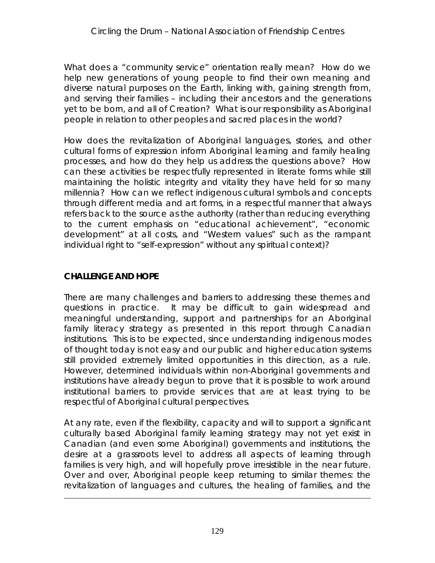What does a "community service" orientation really mean? How do we help new generations of young people to find their own meaning and diverse natural purposes on the Earth, linking with, gaining strength from, and serving their families – including their ancestors and the generations yet to be born, and all of Creation? What is our responsibility as Aboriginal people in relation to other peoples and sacred places in the world?

How does the revitalization of Aboriginal languages, stories, and other cultural forms of expression inform Aboriginal learning and family healing processes, and how do they help us address the questions above? How can these activities be respectfully represented in literate forms while still maintaining the holistic integrity and vitality they have held for so many millennia? How can we reflect indigenous cultural symbols and concepts through different media and art forms, in a respectful manner that always refers back to the source as the authority (rather than reducing everything to the current emphasis on "educational achievement", "economic development" at all costs, and "Western values" such as the rampant individual right to "self-expression" without any spiritual context)?

#### **CHALLENGE AND HOPE**

 $\overline{a}$ 

There are many challenges and barriers to addressing these themes and questions in practice. It may be difficult to gain widespread and meaningful understanding, support and partnerships for an Aboriginal family literacy strategy as presented in this report through Canadian institutions. This is to be expected, since understanding indigenous modes of thought today is not easy and our public and higher education systems still provided extremely limited opportunities in this direction, as a rule. However, determined individuals within non-Aboriginal governments and institutions have already begun to prove that it is possible to work around institutional barriers to provide services that are at least trying to be respectful of Aboriginal cultural perspectives.

At any rate, even if the flexibility, capacity and will to support a significant culturally based Aboriginal family learning strategy may not yet exist in Canadian (and even some Aboriginal) governments and institutions, the desire at a grassroots level to address all aspects of learning through families is very high, and will hopefully prove irresistible in the near future. Over and over, Aboriginal people keep returning to similar themes: the revitalization of languages and cultures, the healing of families, and the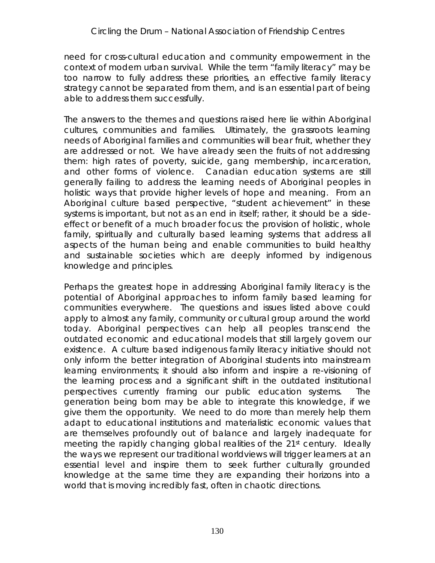need for cross-cultural education and community empowerment in the context of modern urban survival. While the term "family literacy" may be too narrow to fully address these priorities, an effective family literacy strategy cannot be separated from them, and is an essential part of being able to address them successfully.

The answers to the themes and questions raised here lie *within* Aboriginal cultures, communities and families. Ultimately, the grassroots learning needs of Aboriginal families and communities will bear fruit, whether they are addressed or not. We have already seen the fruits of not addressing them: high rates of poverty, suicide, gang membership, incarceration, and other forms of violence. Canadian education systems are still generally failing to address the learning needs of Aboriginal peoples in holistic ways that provide higher levels of hope and meaning. From an Aboriginal culture based perspective, "student achievement" in these systems is important, but not as an end in itself; rather, it should be a sideeffect or benefit of a much broader focus: the provision of holistic, whole family, spiritually and culturally based learning systems that address all aspects of the human being and enable communities to build healthy and sustainable societies which are deeply informed by indigenous knowledge and principles.

Perhaps the greatest hope in addressing Aboriginal family literacy is the potential of Aboriginal approaches to inform family based learning for communities everywhere. The questions and issues listed above could apply to almost any family, community or cultural group around the world today. Aboriginal perspectives can help all peoples transcend the outdated economic and educational models that still largely govern our existence. A culture based indigenous family literacy initiative should not only inform the better integration of Aboriginal students into mainstream learning environments; it should also inform and inspire a re-visioning of the learning process and a significant shift in the outdated institutional perspectives currently framing our public education systems. The generation being born may be able to integrate this knowledge, if we give them the opportunity. We need to do more than merely help them adapt to educational institutions and materialistic economic values that are themselves profoundly out of balance and largely inadequate for meeting the rapidly changing global realities of the 21<sup>st</sup> century. Ideally the ways we represent our traditional worldviews will trigger learners at an essential level and inspire them to seek further culturally grounded knowledge at the same time they are expanding their horizons into a world that is moving incredibly fast, often in chaotic directions.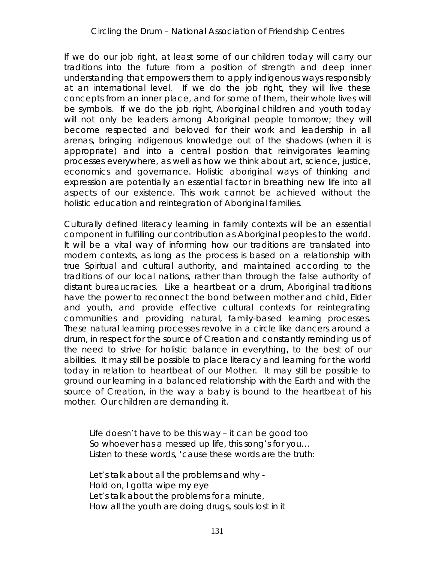If we do our job right, at least some of our children today will carry our traditions into the future from a position of strength and deep inner understanding that empowers them to apply indigenous ways responsibly at an international level. If we do the job right, they will live these concepts from an inner place, and for some of them, their whole lives will *be symbols*. If we do the job right, Aboriginal children and youth today will not only be leaders among Aboriginal people tomorrow; they will become respected and beloved for their work and leadership in all arenas, bringing indigenous knowledge out of the shadows (when it is appropriate) and into a central position that reinvigorates learning processes everywhere, as well as how we think about art, science, justice, economics and governance. Holistic aboriginal ways of thinking and expression are potentially an essential factor in breathing new life into all aspects of our existence. This work cannot be achieved without the holistic education and reintegration of Aboriginal families.

Culturally defined literacy learning in family contexts will be an essential component in fulfilling our contribution as Aboriginal peoples to the world. It will be a vital way of informing *how* our traditions are translated into modern contexts, as long as the process is based on a relationship with true Spiritual and cultural authority, and maintained according to the traditions of our local nations, rather than through the false authority of distant bureaucracies. Like a heartbeat or a drum, Aboriginal traditions have the power to reconnect the bond between mother and child, Elder and youth, and provide effective cultural contexts for reintegrating communities and providing natural, family-based learning processes. These natural learning processes revolve in a circle like dancers around a drum, in respect for the source of Creation and constantly reminding us of the need to strive for holistic balance in everything, to the best of our abilities. It may still be possible to place literacy and learning for the world today in relation to heartbeat of our Mother. It may still be possible to ground our learning in a balanced relationship with the Earth and with the source of Creation, in the way a baby is bound to the heartbeat of his mother. Our children are demanding it.

*Life doesn't have to be this way – it can be good too So whoever has a messed up life, this song's for you… Listen to these words, 'cause these words are the truth:*

*Let's talk about all the problems and why - Hold on, I gotta wipe my eye Let's talk about the problems for a minute, How all the youth are doing drugs, souls lost in it*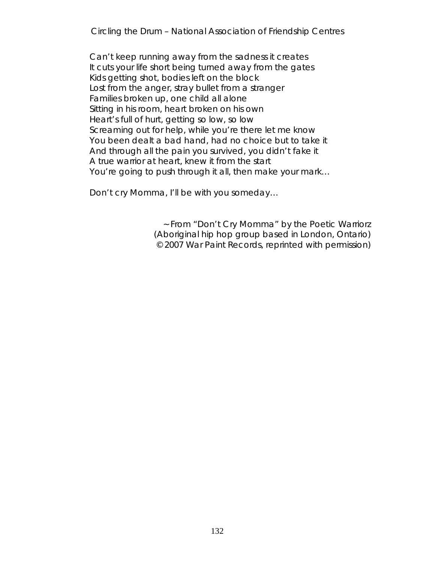*Circling the Drum* – National Association of Friendship Centres

*Can't keep running away from the sadness it creates It cuts your life short being turned away from the gates Kids getting shot, bodies left on the block Lost from the anger, stray bullet from a stranger Families broken up, one child all alone Sitting in his room, heart broken on his own Heart's full of hurt, getting so low, so low Screaming out for help, while you're there let me know You been dealt a bad hand, had no choice but to take it And through all the pain you survived, you didn't fake it A true warrior at heart, knew it from the start You're going to push through it all, then make your mark…*

*Don't cry Momma, I'll be with you someday…*

~ From "Don't Cry Momma" by the Poetic Warriorz (Aboriginal hip hop group based in London, Ontario) © 2007 War Paint Records, reprinted with permission)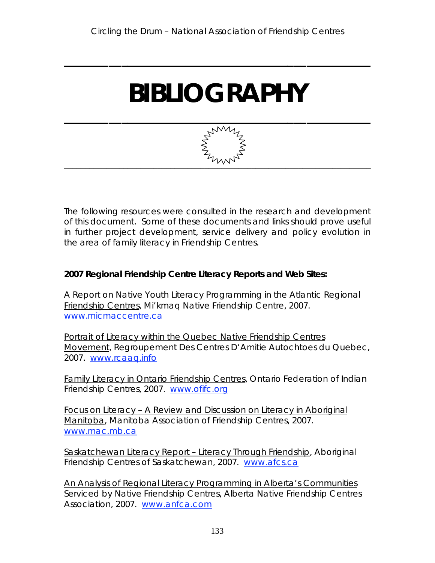**\_\_\_\_\_\_\_\_\_\_\_\_\_\_\_\_\_\_\_\_\_\_\_\_\_\_\_\_\_\_\_\_\_\_\_\_\_\_\_\_\_\_\_\_\_\_\_\_**

# **BIBLIOGRAPHY**



The following resources were consulted in the research and development of this document. Some of these documents and links should prove useful in further project development, service delivery and policy evolution in the area of family literacy in Friendship Centres.

**2007 Regional Friendship Centre Literacy Reports and Web Sites:**

A Report on Native Youth Literacy Programming in the Atlantic Regional Friendship Centres, Mi'kmaq Native Friendship Centre, 2007. www.micmaccentre.ca

Portrait of Literacy within the Quebec Native Friendship Centres Movement, Regroupement Des Centres D'Amitie Autochtoes du Quebec, 2007. www.rcaaq.info

Family Literacy in Ontario Friendship Centres, Ontario Federation of Indian Friendship Centres, 2007. www.ofifc.org

Focus on Literacy – A Review and Discussion on Literacy in Aboriginal Manitoba, Manitoba Association of Friendship Centres, 2007. www.mac.mb.ca

Saskatchewan Literacy Report – Literacy Through Friendship, Aboriginal Friendship Centres of Saskatchewan, 2007. www.afcs.ca

An Analysis of Regional Literacy Programming in Alberta's Communities Serviced by Native Friendship Centres, Alberta Native Friendship Centres Association, 2007. www.anfca.com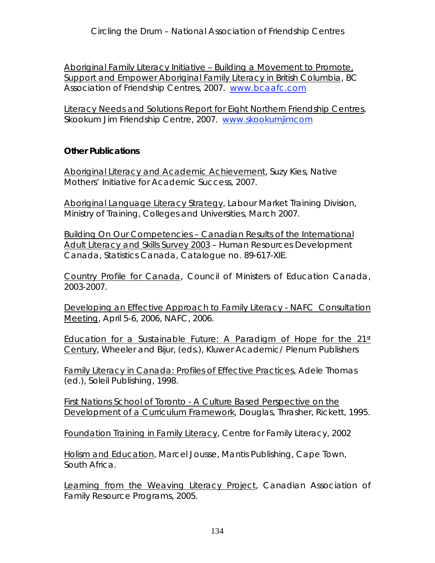Aboriginal Family Literacy Initiative – Building a Movement to Promote, Support and Empower Aboriginal Family Literacy in British Columbia, BC Association of Friendship Centres, 2007. www.bcaafc.com

Literacy Needs and Solutions Report for Eight Northern Friendship Centres, Skookum Jim Friendship Centre, 2007. www.skookumjimcom

**Other Publications**

Aboriginal Literacy and Academic Achievement, Suzy Kies, Native Mothers' Initiative for Academic Success, 2007.

Aboriginal Language Literacy Strategy, Labour Market Training Division, Ministry of Training, Colleges and Universities, March 2007.

Building On Our Competencies – Canadian Results of the International Adult Literacy and Skills Survey 2003 – Human Resources Development Canada, Statistics Canada, Catalogue no. 89-617-XIE.

Country Profile for Canada, Council of Ministers of Education Canada, 2003-2007.

Developing an Effective Approach to Family Literacy - NAFC Consultation Meeting, April 5-6, 2006, NAFC, 2006.

Education for a Sustainable Future: A Paradigm of Hope for the  $21<sup>st</sup>$ Century, Wheeler and Bijur, (eds.), Kluwer Academic/ Plenum Publishers

Family Literacy in Canada: Profiles of Effective Practices, Adele Thomas (ed.), Soleil Publishing, 1998.

First Nations School of Toronto - A Culture Based Perspective on the Development of a Curriculum Framework, Douglas, Thrasher, Rickett, 1995.

Foundation Training in Family Literacy, Centre for Family Literacy, 2002

Holism and Education, Marcel Jousse, Mantis Publishing, Cape Town, South Africa.

Learning from the Weaving Literacy Project, Canadian Association of Family Resource Programs, 2005.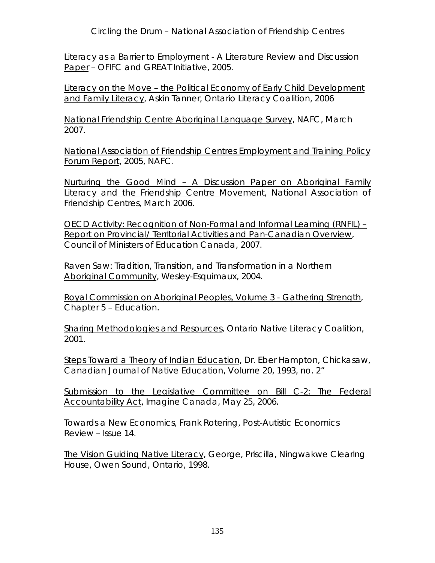*Circling the Drum* – National Association of Friendship Centres

Literacy as a Barrier to Employment - A Literature Review and Discussion Paper – OFIFC and GREAT Initiative, 2005.

Literacy on the Move – the Political Economy of Early Child Development and Family Literacy, Askin Tanner, Ontario Literacy Coalition, 2006

National Friendship Centre Aboriginal Language Survey, NAFC, March 2007.

National Association of Friendship Centres Employment and Training Policy Forum Report, 2005, NAFC.

Nurturing the Good Mind – A Discussion Paper on Aboriginal Family Literacy and the Friendship Centre Movement, National Association of Friendship Centres, March 2006.

OECD Activity: Recognition of Non-Formal and Informal Learning (RNFIL) – Report on Provincial/ Territorial Activities and Pan-Canadian Overview, Council of Ministers of Education Canada, 2007.

Raven Saw: Tradition, Transition, and Transformation in a Northern Aboriginal Community, Wesley-Esquimaux, 2004.

Royal Commission on Aboriginal Peoples, Volume 3 - Gathering Strength, Chapter 5 – Education.

Sharing Methodologies and Resources, Ontario Native Literacy Coalition, 2001.

Steps Toward a Theory of Indian Education, Dr. Eber Hampton, Chickasaw, Canadian Journal of Native Education, Volume 20, 1993, no. 2"

Submission to the Legislative Committee on Bill C-2: The Federal Accountability Act, Imagine Canada, May 25, 2006.

Towards a New Economics, Frank Rotering, Post-Autistic Economics Review – Issue 14.

The Vision Guiding Native Literacy, George, Priscilla, Ningwakwe Clearing House, Owen Sound, Ontario, 1998.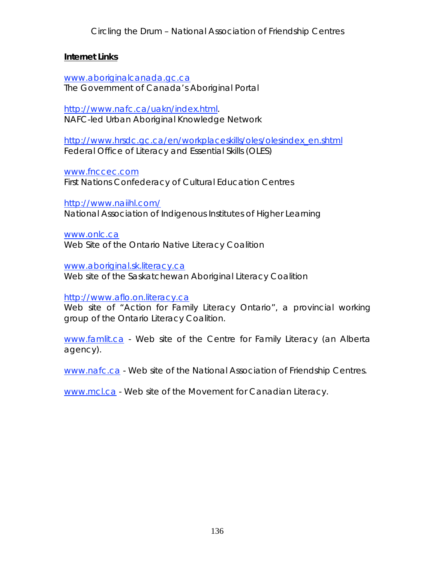#### **Internet Links**

www.aboriginalcanada.gc.ca The Government of Canada's Aboriginal Portal

http://www.nafc.ca/uakn/index.html. NAFC-led Urban Aboriginal Knowledge Network

http://www.hrsdc.gc.ca/en/workplaceskills/oles/olesindex\_en.shtml Federal Office of Literacy and Essential Skills (OLES)

www.fnccec.com

First Nations Confederacy of Cultural Education Centres

http://www.naiihl.com/

National Association of Indigenous Institutes of Higher Learning

www.onlc.ca

Web Site of the Ontario Native Literacy Coalition

www.aboriginal.sk.literacy.ca

Web site of the Saskatchewan Aboriginal Literacy Coalition

http://www.aflo.on.literacy.ca

Web site of "Action for Family Literacy Ontario", a provincial working group of the Ontario Literacy Coalition.

www.famlit.ca - Web site of the Centre for Family Literacy (an Alberta agency).

www.nafc.ca - Web site of the National Association of Friendship Centres.

www.mcl.ca - Web site of the Movement for Canadian Literacy.